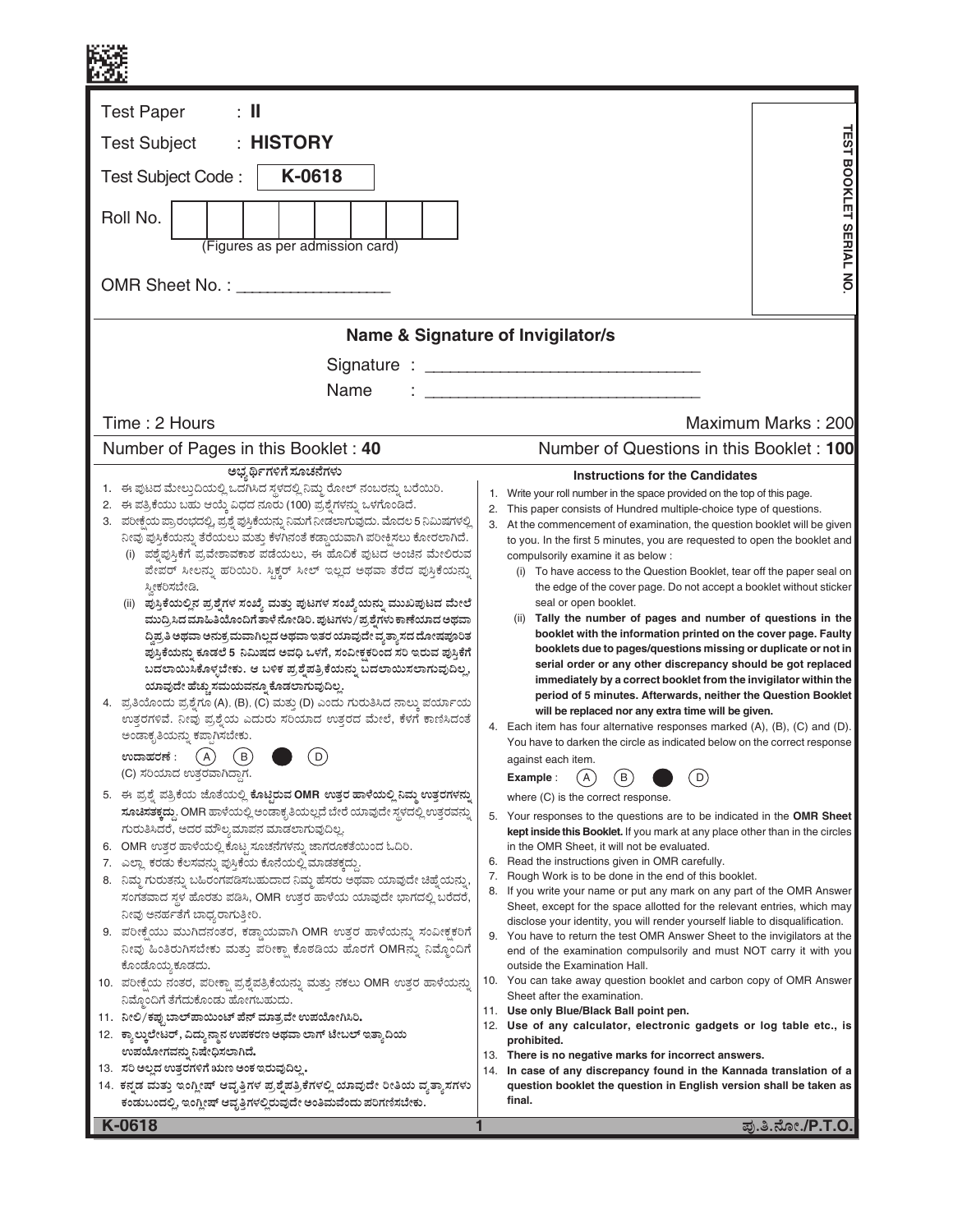| $\pm$ 11<br><b>Test Paper</b><br>: HISTORY<br><b>Test Subject</b><br>K-0618<br>Test Subject Code:<br>Roll No.<br>(Figures as per admission card)                                                                                                                                                                                                                                                                                                                                                                                                                                                                                                                                                                                                                                                                                                                                                                                                                                                                                                                                                                                                                                                                                                                                                                                                                                                                                                                                                                                                                                                                                                                                                                                                                                                                                                                                                                                                                                                                                                                                                                                                                                              | <b>TEST BOOKLET SERIAL NO</b>                                                                                                                                                                                                                                                                                                                                                                                                                                                                                                                                                                                                                                                                                                                                                                                                                                                                                                                                                                                                                                                                                                                                                                                                                                                                                                                                                                                                                                                                                                                                                                                                                                                                                                                                                                                                                                                                                                                                                                                                                                                                                                                                                                                                                                                                                                                                                             |
|-----------------------------------------------------------------------------------------------------------------------------------------------------------------------------------------------------------------------------------------------------------------------------------------------------------------------------------------------------------------------------------------------------------------------------------------------------------------------------------------------------------------------------------------------------------------------------------------------------------------------------------------------------------------------------------------------------------------------------------------------------------------------------------------------------------------------------------------------------------------------------------------------------------------------------------------------------------------------------------------------------------------------------------------------------------------------------------------------------------------------------------------------------------------------------------------------------------------------------------------------------------------------------------------------------------------------------------------------------------------------------------------------------------------------------------------------------------------------------------------------------------------------------------------------------------------------------------------------------------------------------------------------------------------------------------------------------------------------------------------------------------------------------------------------------------------------------------------------------------------------------------------------------------------------------------------------------------------------------------------------------------------------------------------------------------------------------------------------------------------------------------------------------------------------------------------------|-------------------------------------------------------------------------------------------------------------------------------------------------------------------------------------------------------------------------------------------------------------------------------------------------------------------------------------------------------------------------------------------------------------------------------------------------------------------------------------------------------------------------------------------------------------------------------------------------------------------------------------------------------------------------------------------------------------------------------------------------------------------------------------------------------------------------------------------------------------------------------------------------------------------------------------------------------------------------------------------------------------------------------------------------------------------------------------------------------------------------------------------------------------------------------------------------------------------------------------------------------------------------------------------------------------------------------------------------------------------------------------------------------------------------------------------------------------------------------------------------------------------------------------------------------------------------------------------------------------------------------------------------------------------------------------------------------------------------------------------------------------------------------------------------------------------------------------------------------------------------------------------------------------------------------------------------------------------------------------------------------------------------------------------------------------------------------------------------------------------------------------------------------------------------------------------------------------------------------------------------------------------------------------------------------------------------------------------------------------------------------------------|
| Name                                                                                                                                                                                                                                                                                                                                                                                                                                                                                                                                                                                                                                                                                                                                                                                                                                                                                                                                                                                                                                                                                                                                                                                                                                                                                                                                                                                                                                                                                                                                                                                                                                                                                                                                                                                                                                                                                                                                                                                                                                                                                                                                                                                          | Name & Signature of Invigilator/s                                                                                                                                                                                                                                                                                                                                                                                                                                                                                                                                                                                                                                                                                                                                                                                                                                                                                                                                                                                                                                                                                                                                                                                                                                                                                                                                                                                                                                                                                                                                                                                                                                                                                                                                                                                                                                                                                                                                                                                                                                                                                                                                                                                                                                                                                                                                                         |
| Time: 2 Hours                                                                                                                                                                                                                                                                                                                                                                                                                                                                                                                                                                                                                                                                                                                                                                                                                                                                                                                                                                                                                                                                                                                                                                                                                                                                                                                                                                                                                                                                                                                                                                                                                                                                                                                                                                                                                                                                                                                                                                                                                                                                                                                                                                                 | Maximum Marks: 200                                                                                                                                                                                                                                                                                                                                                                                                                                                                                                                                                                                                                                                                                                                                                                                                                                                                                                                                                                                                                                                                                                                                                                                                                                                                                                                                                                                                                                                                                                                                                                                                                                                                                                                                                                                                                                                                                                                                                                                                                                                                                                                                                                                                                                                                                                                                                                        |
| Number of Pages in this Booklet: 40<br>ಅಭ್ಯರ್ಥಿಗಳಿಗೆ ಸೂಚನೆಗಳು                                                                                                                                                                                                                                                                                                                                                                                                                                                                                                                                                                                                                                                                                                                                                                                                                                                                                                                                                                                                                                                                                                                                                                                                                                                                                                                                                                                                                                                                                                                                                                                                                                                                                                                                                                                                                                                                                                                                                                                                                                                                                                                                 | Number of Questions in this Booklet: 100<br><b>Instructions for the Candidates</b>                                                                                                                                                                                                                                                                                                                                                                                                                                                                                                                                                                                                                                                                                                                                                                                                                                                                                                                                                                                                                                                                                                                                                                                                                                                                                                                                                                                                                                                                                                                                                                                                                                                                                                                                                                                                                                                                                                                                                                                                                                                                                                                                                                                                                                                                                                        |
| 1. ಈ ಪುಟದ ಮೇಲ್ತುದಿಯಲ್ಲಿ ಒದಗಿಸಿದ ಸ್ಥಳದಲ್ಲಿ ನಿಮ್ಮ ರೋಲ್ ನಂಬರನ್ನು ಬರೆಯಿರಿ.<br>2. ಈ ಪತ್ರಿಕೆಯು ಬಹು ಆಯ್ಕೆ ವಿಧದ ನೂರು (100) ಪ್ರಶ್ನೆಗಳನ್ನು ಒಳಗೊಂಡಿದೆ.<br>3. ಪರೀಕ್ಷೆಯ ಪ್ರಾರಂಭದಲ್ಲಿ, ಪ್ರಶ್ನೆ ಪುಸ್ತಿಕೆಯನ್ನು ನಿಮಗೆ ನೀಡಲಾಗುವುದು. ಮೊದಲ 5 ನಿಮಿಷಗಳಲ್ಲಿ<br>ನೀವು ಪುಸ್ತಿಕೆಯನ್ನು ತೆರೆಯಲು ಮತ್ತು ಕೆಳಗಿನಂತೆ ಕಡ್ಡಾಯವಾಗಿ ಪರೀಕ್ಷಿಸಲು ಕೋರಲಾಗಿದೆ.<br>(i) ಪಶ್ವೆಪುಸ್ತಿಕೆಗೆ ಪ್ರವೇಶಾವಕಾಶ ಪಡೆಯಲು, ಈ ಹೊದಿಕೆ ಪುಟದ ಅಂಚಿನ ಮೇಲಿರುವ<br>ಪೇಪರ್ ಸೀಲನ್ನು ಹರಿಯಿರಿ. ಸ್ಥಿಕ್ಚರ್ ಸೀಲ್ ಇಲ್ಲದ ಅಥವಾ ತೆರೆದ ಪುಸ್ತಿಕೆಯನ್ನು<br>ಸ್ತೀಕರಿಸಬೇಡಿ.<br>(ii) ಪುಸ್ತಿಕೆಯಲ್ಲಿನ ಪ್ರಶ್ನೆಗಳ ಸಂಖ್ಯೆ ಮತ್ತು ಪುಟಗಳ ಸಂಖ್ಯೆಯನ್ನು ಮುಖಪುಟದ ಮೇಲೆ<br>ಮುದ್ರಿಸಿದ ಮಾಹಿತಿಯೊಂದಿಗೆ ತಾಳೆ ನೋಡಿರಿ. ಪುಟಗಳು / ಪ್ರಶ್ನೆಗಳು ಕಾಣೆಯಾದ ಅಥವಾ<br>ದ್ಧಿಪ್ರತಿ ಅಥವಾ ಅನುಕ್ರಮವಾಗಿಲ್ಲದ ಅಥವಾ ಇತರ ಯಾವುದೇ ವ್ಯತ್ಯಾಸದ ದೋಷಪೂರಿತ<br>ಪುಸ್ತಿಕೆಯನ್ನು ಕೂಡಲೆ 5 ನಿಮಿಷದ ಅವಧಿ ಒಳಗೆ, ಸಂವೀಕ್ಷಕರಿಂದ ಸರಿ ಇರುವ ಪುಸ್ತಿಕೆಗೆ<br>ಬದಲಾಯಿಸಿಕೊಳ್ಳಬೇಕು. ಆ ಬಳಿಕ ಪ್ರಶ್ನೆಪತ್ರಿಕೆಯನ್ನು ಬದಲಾಯಿಸಲಾಗುವುದಿಲ್ಲ,<br>ಯಾವುದೇ ಹೆಚ್ಚು ಸಮಯವನ್ನೂ ಕೊಡಲಾಗುವುದಿಲ್ಲ.<br>4.   ಪ್ರತಿಯೊಂದು ಪ್ರಶ್ನೆಗೂ (A), (B), (C) ಮತ್ತು (D) ಎಂದು ಗುರುತಿಸಿದ ನಾಲ್ಕು ಪರ್ಯಾಯ<br>ಉತ್ತರಗಳಿವೆ. ನೀವು ಪ್ರಶ್ನೆಯ ಎದುರು ಸರಿಯಾದ ಉತ್ತರದ ಮೇಲೆ, ಕೆಳಗೆ ಕಾಣಿಸಿದಂತೆ<br>ಅಂಡಾಕೃತಿಯನ್ನು ಕಪ್ಪಾಗಿಸಬೇಕು.<br>(A)<br>(B)<br>D<br>ಉದಾಹರಣೆ :<br>(C) ಸರಿಯಾದ ಉತ್ತರವಾಗಿದ್ದಾಗ.<br>5. ಈ ಪ್ರಶ್ನೆ ಪತ್ರಿಕೆಯ ಜೊತೆಯಲ್ಲಿ ಕೊಟ್ಟಿರುವ OMR ಉತ್ತರ ಹಾಳೆಯಲ್ಲಿ ನಿಮ್ಮ ಉತ್ತರಗಳನ್ನು<br>ಸೂಚಿಸತಕ್ಕದ್ದು. OMR ಹಾಳೆಯಲ್ಲಿ ಅಂಡಾಕೃತಿಯಲ್ಲದೆ ಬೇರೆ ಯಾವುದೇ ಸ್ಥಳದಲ್ಲಿ ಉತ್ತರವನ್ನು<br>ಗುರುತಿಸಿದರೆ, ಅದರ ಮೌಲ್ಯಮಾಪನ ಮಾಡಲಾಗುವುದಿಲ್ಲ.<br>6. OMR ಉತ್ತರ ಹಾಳೆಯಲ್ಲಿ ಕೊಟ್ಟ ಸೂಚನೆಗಳನ್ನು ಜಾಗರೂಕತೆಯಿಂದ ಓದಿರಿ.<br>7. ಎಲ್ಲಾ ಕರಡು ಕೆಲಸವನ್ನು ಪುಸ್ತಿಕೆಯ ಕೊನೆಯಲ್ಲಿ ಮಾಡತಕ್ಕದ್ದು.<br>8.   ನಿಮ್ಜ ಗುರುತನ್ನು ಬಹಿರಂಗಪಡಿಸಬಹುದಾದ ನಿಮ್ಜ ಹೆಸರು ಅಥವಾ ಯಾವುದೇ ಚಿಹ್ನೆಯನ್ನು,<br>ಸಂಗತವಾದ ಸ್ಥಳ ಹೊರತು ಪಡಿಸಿ, OMR ಉತ್ತರ ಹಾಳೆಯ ಯಾವುದೇ ಭಾಗದಲ್ಲಿ ಬರೆದರೆ,<br>ನೀವು ಅನರ್ಹತೆಗೆ ಬಾಧ್ಯರಾಗುತ್ತೀರಿ.<br>9. ಪರೀಕ್ಷೆಯು ಮುಗಿದನಂತರ, ಕಡ್ಡಾಯವಾಗಿ OMR ಉತ್ತರ ಹಾಳೆಯನ್ನು ಸಂವೀಕ್ಷಕರಿಗೆ<br>ನೀವು ಹಿಂತಿರುಗಿಸಬೇಕು ಮತ್ತು ಪರೀಕ್ಷಾ ಕೊಠಡಿಯ ಹೊರಗೆ OMRನ್ನು ನಿಮ್ಮೊಂದಿಗೆ<br>ಕೊಂಡೊಯ್ತ ಕೂಡದು.<br>10. ಪರೀಕ್ಷೆಯ ನಂತರ, ಪರೀಕ್ಷಾ ಪ್ರಶ್ನೆಪತ್ರಿಕೆಯನ್ನು ಮತ್ತು ನಕಲು OMR ಉತ್ತರ ಹಾಳೆಯನ್ನು<br>ನಿಮ್ಮೊಂದಿಗೆ ತೆಗೆದುಕೊಂಡು ಹೋಗಬಹುದು.<br>11. ನೀಲಿ/ಕಪ್ಪು ಬಾಲ್ಪಾಯಿಂಟ್ ಪೆನ್ ಮಾತ್ರವೇ ಉಪಯೋಗಿಸಿರಿ.<br>12. ಕ್ಯಾಲ್ಕುಲೇಟರ್, ವಿದ್ಯುನ್ಮಾನ ಉಪಕರಣ ಅಥವಾ ಲಾಗ್ ಟೇಬಲ್ ಇತ್ಯಾದಿಯ<br>ಉಪಯೋಗವನ್ನು ನಿಷೇಧಿಸಲಾಗಿದೆ.<br>13. ಸರಿ ಅಲ್ಲದ ಉತ್ತರಗಳಿಗೆ ಋಣ ಅಂಕ ಇರುವುದಿಲ್ಲ. | Write your roll number in the space provided on the top of this page.<br>1.<br>2. This paper consists of Hundred multiple-choice type of questions.<br>At the commencement of examination, the question booklet will be given<br>3.<br>to you. In the first 5 minutes, you are requested to open the booklet and<br>compulsorily examine it as below :<br>(i) To have access to the Question Booklet, tear off the paper seal on<br>the edge of the cover page. Do not accept a booklet without sticker<br>seal or open booklet.<br>Tally the number of pages and number of questions in the<br>(ii)<br>booklet with the information printed on the cover page. Faulty<br>booklets due to pages/questions missing or duplicate or not in<br>serial order or any other discrepancy should be got replaced<br>immediately by a correct booklet from the invigilator within the<br>period of 5 minutes. Afterwards, neither the Question Booklet<br>will be replaced nor any extra time will be given.<br>4. Each item has four alternative responses marked (A), (B), (C) and (D).<br>You have to darken the circle as indicated below on the correct response<br>against each item.<br>В<br>D<br>Example :<br>A<br>where (C) is the correct response.<br>5. Your responses to the questions are to be indicated in the OMR Sheet<br>kept inside this Booklet. If you mark at any place other than in the circles<br>in the OMR Sheet, it will not be evaluated.<br>Read the instructions given in OMR carefully.<br>6.<br>Rough Work is to be done in the end of this booklet.<br>7.<br>8. If you write your name or put any mark on any part of the OMR Answer<br>Sheet, except for the space allotted for the relevant entries, which may<br>disclose your identity, you will render yourself liable to disqualification.<br>9. You have to return the test OMR Answer Sheet to the invigilators at the<br>end of the examination compulsorily and must NOT carry it with you<br>outside the Examination Hall.<br>10. You can take away question booklet and carbon copy of OMR Answer<br>Sheet after the examination.<br>11. Use only Blue/Black Ball point pen.<br>12. Use of any calculator, electronic gadgets or log table etc., is<br>prohibited.<br>13. There is no negative marks for incorrect answers.<br>14. In case of any discrepancy found in the Kannada translation of a |
| 14. ಕನ್ನಡ ಮತ್ತು ಇಂಗ್ಲೀಷ್ ಆವೃತ್ತಿಗಳ ಪ್ರಶ್ನೆಪತ್ರಿಕೆಗಳಲ್ಲಿ ಯಾವುದೇ ರೀತಿಯ ವ್ಯತ್ನಾಸಗಳು<br>ಕಂಡುಬಂದಲ್ಲಿ, ಇಂಗ್ಲೀಷ್ ಆವೃತ್ತಿಗಳಲ್ಲಿರುವುದೇ ಅಂತಿಮವೆಂದು ಪರಿಗಣಿಸಬೇಕು.                                                                                                                                                                                                                                                                                                                                                                                                                                                                                                                                                                                                                                                                                                                                                                                                                                                                                                                                                                                                                                                                                                                                                                                                                                                                                                                                                                                                                                                                                                                                                                                                                                                                                                                                                                                                                                                                                                                                                                                                                                         | question booklet the question in English version shall be taken as<br>final.                                                                                                                                                                                                                                                                                                                                                                                                                                                                                                                                                                                                                                                                                                                                                                                                                                                                                                                                                                                                                                                                                                                                                                                                                                                                                                                                                                                                                                                                                                                                                                                                                                                                                                                                                                                                                                                                                                                                                                                                                                                                                                                                                                                                                                                                                                              |
| K-0618                                                                                                                                                                                                                                                                                                                                                                                                                                                                                                                                                                                                                                                                                                                                                                                                                                                                                                                                                                                                                                                                                                                                                                                                                                                                                                                                                                                                                                                                                                                                                                                                                                                                                                                                                                                                                                                                                                                                                                                                                                                                                                                                                                                        | ಪು.ತಿ.ನೋ./P.T.O.                                                                                                                                                                                                                                                                                                                                                                                                                                                                                                                                                                                                                                                                                                                                                                                                                                                                                                                                                                                                                                                                                                                                                                                                                                                                                                                                                                                                                                                                                                                                                                                                                                                                                                                                                                                                                                                                                                                                                                                                                                                                                                                                                                                                                                                                                                                                                                          |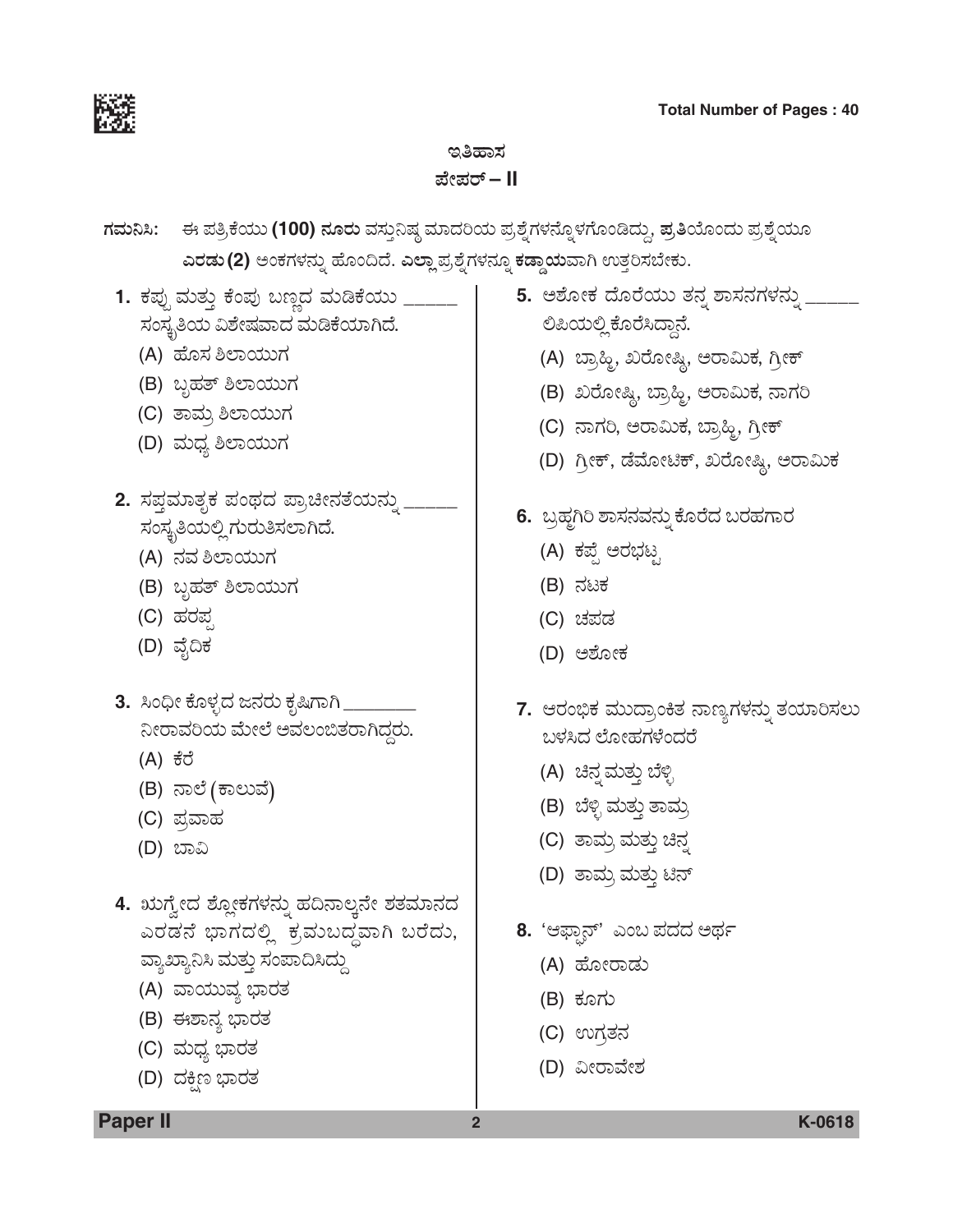

# ಇತಿಹಾಸ ಪೇಪರ್ – II

ಗಮನಿಸಿ: ಈ ಪತ್ರಿಕೆಯು (100) ನೂರು ವಸ್ತುನಿಷ್ಠ ಮಾದರಿಯ ಪ್ರಶ್ನೆಗಳನ್ನೊಳಗೊಂಡಿದ್ದು, ಪ್ರತಿಯೊಂದು ಪ್ರಶ್ನೆಯೂ ಎರಡು (2) ಅಂಕಗಳನ್ನು ಹೊಂದಿದೆ. ಎಲ್ಲಾ ಪ್ರಶ್ನೆಗಳನ್ನೂ ಕಡ್ಡಾಯವಾಗಿ ಉತ್ತರಿಸಬೇಕು.

- 1. ಕಪ್ಪು ಮತ್ತು ಕೆಂಪು ಬಣ್ಣದ ಮಡಿಕೆಯು \_\_\_\_\_\_ ಸಂಸ್ಥತಿಯ ವಿಶೇಷವಾದ ಮಡಿಕೆಯಾಗಿದೆ.
	- (A) ಹೊಸ ಶಿಲಾಯುಗ
	- (B) ಬೃಹತ್ ಶಿಲಾಯುಗ
	- (C) ತಾಮ್ರ ಶಿಲಾಯುಗ
	- (D) ಮಧ್ಯ ಶಿಲಾಯುಗ
- 2. ಸಪ್ತಮಾತೃಕ ಪಂಥದ ಪ್ರಾಚೀನತೆಯನ್ನು ಸಂಸ್ಥತಿಯಲ್ಲಿ ಗುರುತಿಸಲಾಗಿದೆ.
	- (A) ನವ ಶಿಲಾಯುಗ
	- (B) ಬೃಹತ್ ಶಿಲಾಯುಗ
	- (C) ಹರಪ್ಪ
	- (D) ವೈದಿಕ
- 3. ಸಿಂಧೀ ಕೊಳ್ಳದ ಜನರು ಕೃಷಿಗಾಗಿ \_\_\_ ನೀರಾವರಿಯ ಮೇಲೆ ಅವಲಂಬಿತರಾಗಿದ್ದರು.
	- (A) ಕೆರೆ
	- (B) ನಾಲೆ (ಕಾಲುವೆ)
	- (C) ಪ್ರವಾಹ
	- (D) ಬಾವಿ
- 4. ಋಗ್ವೇದ ಶ್ಲೋಕಗಳನ್ನು ಹದಿನಾಲ್ಕನೇ ಶತಮಾನದ ಎರಡನೆ ಭಾಗದಲ್ಲಿ ಕ್ರಮುಬದ್ಧವಾಗಿ ಬರೆದು, ವ್ಯಾಖ್ಯಾನಿಸಿ ಮತ್ತು ಸಂಪಾದಿಸಿದ್ದು
	- (A) ವಾಯುವ್ಯ ಭಾರತ
	- (B) ಈಶಾನ್ಯ ಭಾರತ
	- (C) ಮಧ್ಯ ಭಾರತ
	- (D) ದಕ್ಷಿಣ ಭಾರತ

# 5. ಆಶೋಕ ದೊರೆಯು ತನ್ನ ಶಾಸನಗಳನ್ನು \_\_\_\_\_ ಲಿಪಿಯಲ್ಲಿ ಕೊರೆಸಿದ್ದಾನೆ.

- (A) ಬ್ರಾಹ್ನಿ, ಖರೋಷ್ಣಿ, ಅರಾಮಿಕ, ಗ್ರೀಕ್
- (B) ಖರೋಷ್ಣಿ, ಬ್ರಾಹ್ಮಿ, ಅರಾಮಿಕ, ನಾಗರಿ
- (C) ನಾಗರಿ, ಆರಾಮಿಕ, ಬ್ರಾಹ್ತಿ, ಗ್ರೀಕ್
- (D) ಗ್ರೀಕ್, ಡೆಮೋಟಿಕ್, ಖರೋಷ್ಣಿ, ಅರಾಮಿಕ
- 6. ಬ್ರಹ್ನಗಿರಿ ಶಾಸನವನ್ನು ಕೊರೆದ ಬರಹಗಾರ
	- (A) ಕಪ್ಪೆ ಅರಭಟ್ಟ
	- (B) ನಟಕ
	- (C) ಚಪಡ
	- (D) ಅಶೋಕ
- 7. ಆರಂಭಿಕ ಮುದ್ರಾಂಕಿತ ನಾಣ್ಯಗಳನ್ನು ತಯಾರಿಸಲು ಬಳಸಿದ ಲೋಹಗಳೆಂದರೆ
	- (A) ಚಿನ್ನ ಮತ್ತು ಬೆಳ್ಳಿ
	- (B) ಬೆಳ್ಳಿ ಮತ್ತು ತಾಮ್ರ
	- (C) ತಾಮ್ರ ಮತ್ತು ಚಿನ್ನ
	- (D) ತಾಮ್ರ ಮತ್ತು ಟಿನ್
- 8. 'ಆಫ್ಫಾನ್' ಎಂಬ ಪದದ ಅರ್ಥ
	- (A) ಹೋರಾಡು
	- (B) ಕೂಗು
	- (C) ಉಗ್ರತನ
	- (D) ವೀರಾವೇಶ

 $\overline{2}$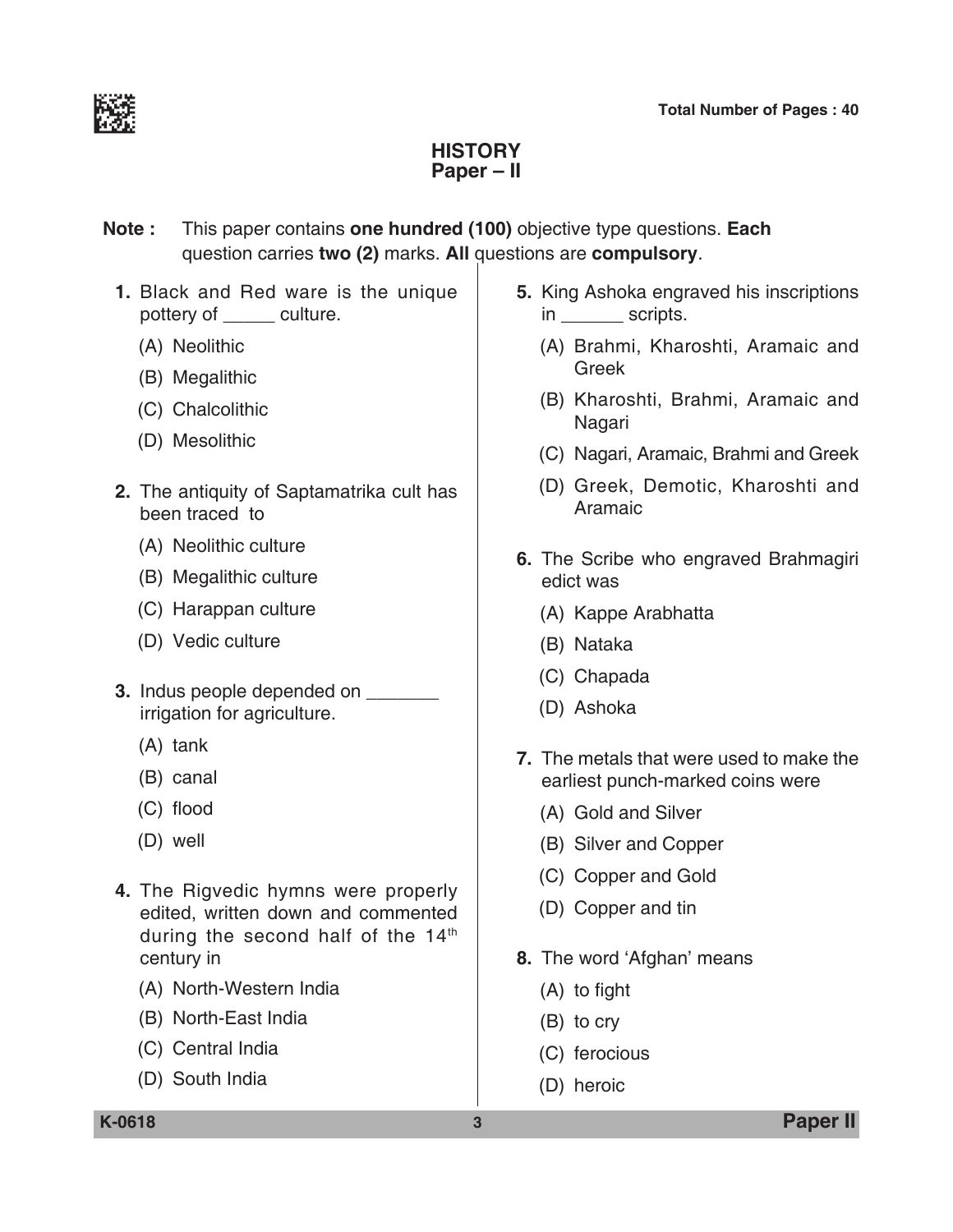

# **History Paper – II**

**Note :** This paper contains **one hundred (100)** objective type questions. **Each**  question carries **two (2)** marks. **All** questions are **compulsory**.

- **1.** Black and Red ware is the unique pottery of \_\_\_\_\_ culture.
	- (A) Neolithic
	- (B) Megalithic
	- (C) Chalcolithic
	- (D) Mesolithic
- **2.** The antiquity of Saptamatrika cult has been traced to
	- (A) Neolithic culture
	- (B) Megalithic culture
	- (C) Harappan culture
	- (D) Vedic culture
- **3.** Indus people depended on \_\_\_\_\_\_\_ irrigation for agriculture.
	- (A) tank
	- (B) canal
	- (C) flood
	- (D) well
- **4.** The Rigvedic hymns were properly edited, written down and commented during the second half of the  $14<sup>th</sup>$ century in
	- (A) North-Western India
	- (B) North-East India
	- (C) Central India
	- (D) South India
- **5.** King Ashoka engraved his inscriptions in \_\_\_\_\_\_\_\_ scripts.
	- (A) Brahmi, Kharoshti, Aramaic and Greek
	- (B) Kharoshti, Brahmi, Aramaic and Nagari
	- (C) Nagari, Aramaic, Brahmi and Greek
	- (D) Greek, Demotic, Kharoshti and Aramaic
- **6.** The Scribe who engraved Brahmagiri edict was
	- (A) Kappe Arabhatta
	- (B) Nataka
	- (C) Chapada
	- (D) Ashoka
- **7.** The metals that were used to make the earliest punch-marked coins were
	- (A) Gold and Silver
	- (B) Silver and Copper
	- (C) Copper and Gold
	- (D) Copper and tin
- **8.** The word 'Afghan' means
	- (A) to fight
	- (B) to cry
	- (C) ferocious
	- (D) heroic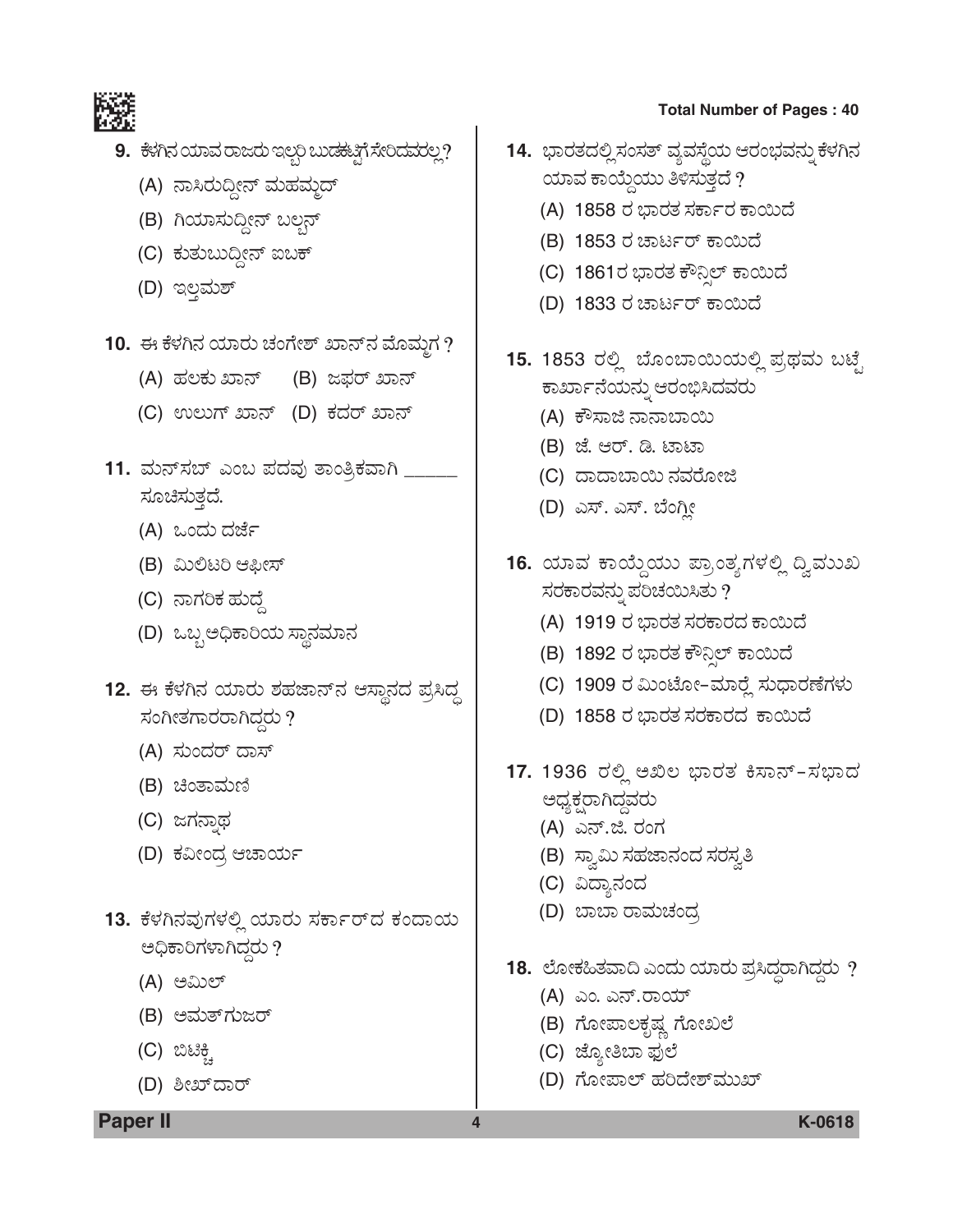

- **9.** ಕೆಳಗಿನ ಯಾವ ರಾಜರು ಇಲ್ಲರಿ ಬುಡಕಟ್ಟಿಗೆ ಸೇರಿದವರಲ್ಲ?
	- (A) ನಾಸಿರುದ್ದೀನ್ ಮಹಮ್ಮದ್
	- (B) ಗಿಯಾಸುದ್ದೀನ್ ಬಲ್ಗನ್
	- (C) ಕುತುಬುದ್ದೀನ್ ಐಬಕ್
	- (D) ಇಲ್ಲಮಶ್
- 10. ಈ ಕೆಳಗಿನ ಯಾರು ಚಂಗೇಶ್ ಖಾನ್**ನ ಮೊಮ್ಮಗ** ?
	- (A) ಹಲಕು ಖಾನ್ (B) ಜಫರ್ ಖಾನ್
	- (C) ಉಲುಗ್ ಖಾನ್ (D) ಕದರ್ ಖಾನ್
- 11. ಮನ್**ಸಬ್ ಎಂಬ ಪದವು ತಾಂತ್ರಿಕವಾಗಿ** \_\_ ಸೂಚಿಸುತ್ತದೆ.
	- (A) ಒಂದು ದರ್ಜೆ
	- (B) ಮಿಲಿಟರಿ ಆಫೀಸ್
	- (C) ನಾಗರಿಕ ಹುದ್ದೆ
	- (D) ಒಬ್ಬ ಅಧಿಕಾರಿಯ ಸ್ಥಾನಮಾನ
- 12. ಈ ಕೆಳಗಿನ ಯಾರು ಶಹಜಾನ್**ನ ಆಸ್ಥಾನದ ಪ್ರಸಿದ್ಧ** ಸಂಗೀತಗಾರರಾಗಿದ್ದರು $\eta$ 
	- (A) ಸುಂದರ್ ದಾಸ್
	- (B) ಚಿಂತಾಮಣಿ
	- (C) ಜಗನಾಥ
	- (D) ಕವೀಂದ್ರ ಆಚಾರ್ಯ
- **13.** ಕೆಳಗಿನವುಗಳಲ್ಲಿ ಯಾರು ಸರ್ಕಾರ್**ದ ಕಂದಾಯ** ಅಧಿಕಾರಿಗಳಾಗಿದ್ದರು ?
	- (A) ಅಮಿಲ್
	- (B) ಅಮತ್*ಗು*ಜರ್
	- (C) ಬಿಟಿಕ್ಕ<u>ಿ</u>
	- (D) ಶೀಖ್*ದಾರ್*

- 14. ಭಾರತದಲ್ಲಿ ಸಂಸತ್ ವ್ಯವಸ್ಥೆಯ ಆರಂಭವನ್ನು ಕೆಳಗಿನ ಯಾವ ಕಾಯ್ದೆಯು ತಿಳಿಸುತ್ತದೆ ?
	- (A) 1858 ರ ಭಾರತ ಸರ್ಕಾರ ಕಾಯಿದೆ
	- (B) 1853 ರ ಚಾರ್ಟರ್ ಕಾಯಿದೆ
	- (C) 1861ರ ಭಾರತ ಕೌನಿಲ್ ಕಾಯಿದೆ
	- (D) 1833 ರ ಚಾರ್ಟರ್ ಕಾಯಿದೆ
- 15. 1853 ರಲ್ಲಿ ಬೊಂಬಾಯಿಯಲ್ಲಿ ಪ್ರಥಮ ಬಟ್ಟೆ ಕಾರ್ಖಾನೆಯನ್ನು ಆರಂಭಿಸಿದವರು
	- (A) ಕೌಸಾಜಿ ನಾನಾಬಾಯಿ
	- (B) ಜೆ. ಆರ್. ಡಿ. ಟಾಟಾ
	- (C) ದಾದಾಬಾಯಿ ನವರೋಜಿ
	- (D) ಎಸ್. ಎಸ್. ಬೆಂಗ್ಲೀ
- 16. ಯಾವ ಕಾಯ್ದೆಯು ಪ್ರಾಂತ್ಯಗಳಲ್ಲಿ ದ್ವಿವುಖ ಸರಕಾರವನ್ನು ಪರಿಚಯಿಸಿತು ?
	- (A) 1919 ರ ಭಾರತ ಸರಕಾರದ ಕಾಯಿದೆ
	- (B) 1892 ರ ಭಾರತ ಕೌನ್ಸಿಲ್ ಕಾಯಿದೆ
	- (C) 1909 ರ ಮಿಂಟೋ–ಮಾರ್ರ್ಲೆ ಸುಧಾರಣೆಗಳು
	- (D) 1858 ರ ಭಾರತ ಸರಕಾರದ ಕಾಯಿದೆ
- 17. 1936 ರಲ್ಲಿ ಅಖಿಲ ಭಾರತ ಕಿಸಾನ್-ಸಭಾದ ಅಧ್ಯಕ್ಷರಾಗಿದ್ದವರು
	- (A) ಎನ್.ಜಿ. ರಂಗ
	- (B) ಸ್ವಾಮಿ ಸಹಜಾನಂದ ಸರಸ್ವತಿ
	- (C) ವಿದ್ಯಾನಂದ
	- (D) ಬಾಬಾ ರಾಮಚಂದ್ರ
- 18. ಲೋಕಹಿತವಾದಿ ಎಂದು ಯಾರು ಪ್ರಸಿದ್ಧರಾಗಿದ್ದರು ?
	- (A) ಎಂ. ಎನ್.ರಾಯ್
	- (B) ಗೋಪಾಲಕೃಷ್ಣ ಗೋಖಲೆ
	- (C) ಜ್ಯೋತಿಬಾ ಫುಲೆ
	- (D) ಗೋಪಾಲ್ ಹರಿದೇಶ್*ಮುಖ್*

**Paper II 4 K-0618**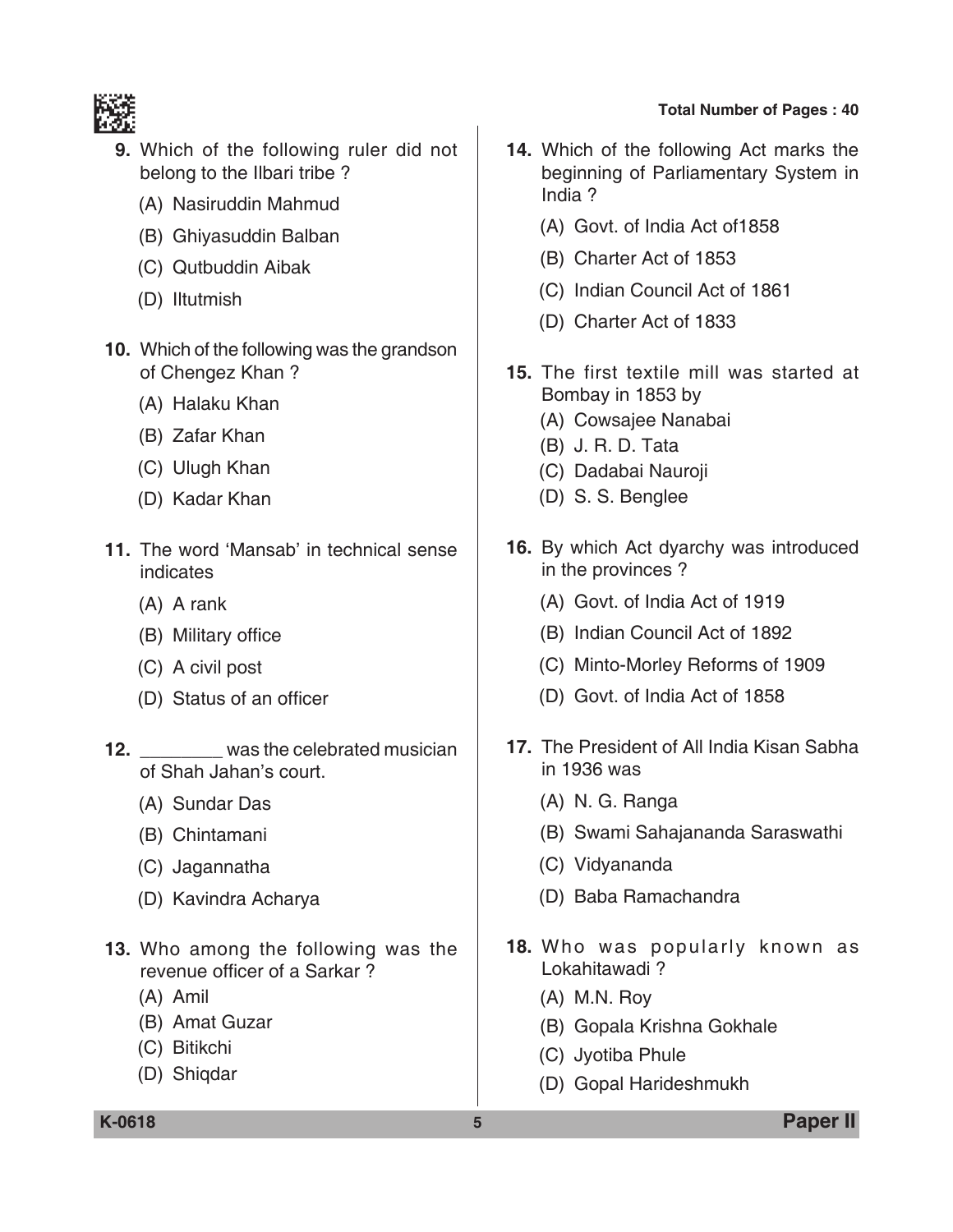

- **9.** Which of the following ruler did not belong to the Ilbari tribe ?
	- (A) Nasiruddin Mahmud
	- (B) Ghiyasuddin Balban
	- (C) Qutbuddin Aibak
	- (D) Iltutmish
- **10.** Which of the following was the grandson of Chengez Khan ?
	- (A) Halaku Khan
	- (B) Zafar Khan
	- (C) Ulugh Khan
	- (D) Kadar Khan
- **11.** The word 'Mansab' in technical sense indicates
	- (A) A rank
	- (B) Military office
	- (C) A civil post
	- (D) Status of an officer
- **12. 12.** was the celebrated musician of Shah Jahan's court.
	- (A) Sundar Das
	- (B) Chintamani
	- (C) Jagannatha
	- (D) Kavindra Acharya
- **13.** Who among the following was the revenue officer of a Sarkar ?
	- (A) Amil
	- (B) Amat Guzar
	- (C) Bitikchi
	- (D) Shiqdar
- **14.** Which of the following Act marks the beginning of Parliamentary System in India ?
	- (A) Govt. of India Act of1858
	- (B) Charter Act of 1853
	- (C) Indian Council Act of 1861
	- (D) Charter Act of 1833
- **15.** The first textile mill was started at Bombay in 1853 by
	- (A) Cowsajee Nanabai
	- (B) J. R. D. Tata
	- (C) Dadabai Nauroji
	- (D) S. S. Benglee
- **16.** By which Act dyarchy was introduced in the provinces ?
	- (A) Govt. of India Act of 1919
	- (B) Indian Council Act of 1892
	- (C) Minto-Morley Reforms of 1909
	- (D) Govt. of India Act of 1858
- **17.** The President of All India Kisan Sabha in 1936 was
	- (A) N. G. Ranga
	- (B) Swami Sahajananda Saraswathi
	- (C) Vidyananda
	- (D) Baba Ramachandra
- **18.** Who was popularly known as Lokahitawadi ?
	- (A) M.N. Roy
	- (B) Gopala Krishna Gokhale
	- (C) Jyotiba Phule
	- (D) Gopal Harideshmukh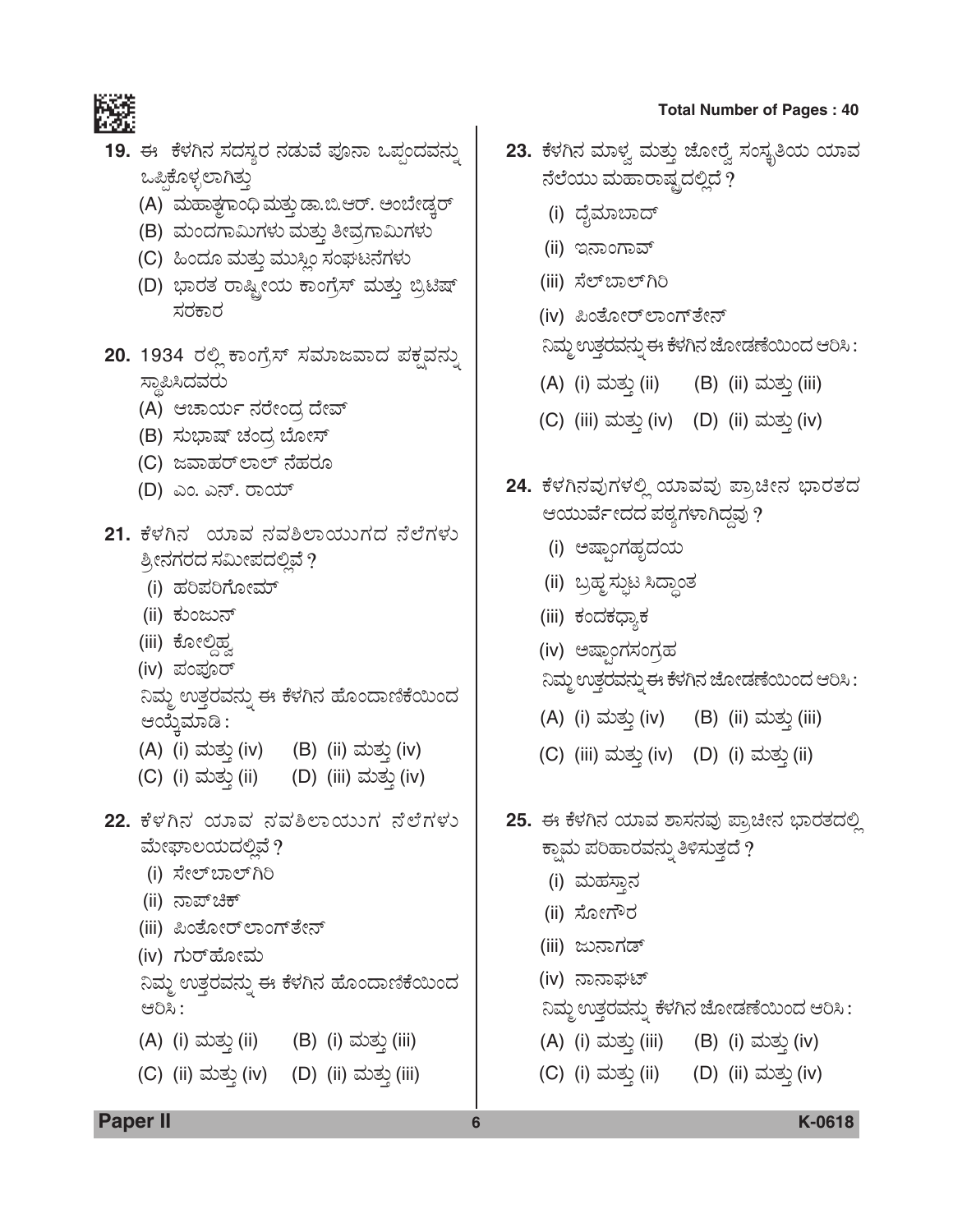

19. ಈ ಕೆಳಗಿನ ಸದಸ್ಯರ ನಡುವೆ ಪೂನಾ ಒಪ್ಪಂದವನ್ನು ಒಪ್ಪಿಕೊಳ್ಳಲಾಗಿತ್ತು

- (A) ಮಹಾತಗಾಂಧಿ ಮತ್ತು ಡಾ.ಬಿ.ಆರ್. ಅಂಬೇಡ್ರರ್
- (B) ಮಂದಗಾಮಿಗಳು ಮತ್ತು ತೀವ್ರಗಾಮಿಗಳು
- (C) ಹಿಂದೂ ಮತ್ತು ಮುಸ್ಲಿಂ ಸಂಘಟನೆಗಳು
- (D) ಭಾರತ ರಾಷ್ಟ್ರೀಯ ಕಾಂಗ್ರೆಸ್ ಮತ್ತು ಬ್ರಿಟಿಷ್ ಸರಕಾರ
- 20. 1934 ರಲ್ಲಿ ಕಾಂಗ್ರೆಸ್ ಸಮಾಜವಾದ ಪಕ್ಷವನ್ನು ಸ್ಥಾಪಿಸಿದವರು
	- (A) ಆಚಾರ್ಯ ನರೇಂದ್ರ ದೇವ್
	- (B) ಸುಭಾಷ್ ಚಂದ್ರ ಬೋಸ್
	- (C) ಜವಾಹರ್*ಲಾಲ್* ನೆಹರೂ
	- (D) ಎಂ. ಎನ್. ರಾಯ್
- 21. ಕೆಳಗಿನ ಯಾವ ನವಶಿಲಾಯುಗದ ನೆಲೆಗಳು ಶ್ರೀನಗರದ ಸಮೀಪದಲ್ಲಿವೆ ? (i) ಹರಿಪರಿಗೋಮ್ (ii) ಕುಂಜುನ್ (iii) ಕೋಲಿಹ (iv) ಪಂಪೂರ್ ನಿಮ್ಮ ಉತ್ತರವನ್ನು ಈ ಕೆಳಗಿನ ಹೊಂದಾಣಿಕೆಯಿಂದ ಆಯ್ತೆಮಾಡಿ : (A) (i) ಮತ್ತು (iv) (B) (ii) ಮತ್ತು (iv) (C) (i) ಮತ್ತು (ii) (D) (iii) ಮತ್ತು (iv) 22. ಕೆಳಗಿನ ಯಾವ ನವಶಿಲಾಯುಗ ನೆಲೆಗಳು ಮೇಘಾಲಯದಲ್ಲಿವೆ ? (i) ಸೇಲ್ ಬಾಲ್ ಗಿರಿ (ii) ನಾಪ್**ಚಿಕ್** (iii) ಪಿಂತೋರ್ಲಾಂಗ್ ತೇನ್ (iv) ಗುರ್**ಹೋಮ** ನಿಮ್ಮ ಉತ್ತರವನ್ನು ಈ ಕೆಳಗಿನ ಹೊಂದಾಣಿಕೆಯಿಂದ ಆರಿಸಿ: (A) (i) ಮತ್ತು (ii) (B) (i) ಮತ್ತು (iii) (C) (ii) ಮತ್ತು (iv) (D) (ii) ಮತ್ತು (iii) 6
- 23. ಕೆಳಗಿನ ಮಾಳ್ವ ಮತ್ತು ಜೋರ್ರೈ ಸಂಸ್ಥತಿಯ ಯಾವ ನೆಲೆಯು ಮಹಾರಾಷ್ಟ್ರದಲ್ಲಿದೆ ?
	- (i) ದೈಮಾಬಾದ್
	- (ii) ಇನಾಂಗಾವ್
	- (iii) ಸೆಲ್ಬಾಲ್ಗ್
	- (iv) ಪಿಂತೋರ್ ಲಾಂಗ್ ತೇನ್

ನಿಮ್ಮ ಉತ್ತರವನ್ನು ಈ ಕೆಳಗಿನ ಜೋಡಣೆಯಿಂದ ಆರಿಸಿ:

- (A) (i) ಮತ್ತು (ii) (B) (ii) ಮತ್ತು (iii)
- (C) (iii) ಮತ್ತು (iv) (D) (ii) ಮತ್ತು (iv)
- 24. ಕೆಳಗಿನವುಗಳಲ್ಲಿ ಯಾವವು ಪ್ರಾಚೀನ ಭಾರತದ ಆಯುರ್ವೇದದ ಪಠ್ಯಗಳಾಗಿದ್ದವು ?
	- (i) ಅಷ್ರಾಂಗಹೃದಯ
	- (ii) ಬ್ರಹ್ಮ ಸ್ಪುಟ ಸಿದ್ಧಾಂತ
	- (iii) ಕಂದಕಧ್ತಾಕ
	- (iv) ಅಷ್ರಾಂಗಸಂಗ್ರಹ
	- ನಿಮ್ಮ ಉತ್ತರವನ್ನು ಈ ಕೆಳಗಿನ ಜೋಡಣೆಯಿಂದ ಆರಿಸಿ:
	- (A) (i) ಮತ್ತು (iv) (B) (ii) ಮತ್ತು (iii)
	- (C) (iii) ಮತ್ತು (iv) (D) (i) ಮತ್ತು (ii)
- 25. ಈ ಕೆಳಗಿನ ಯಾವ ಶಾಸನವು ಪ್ರಾಚೀನ ಭಾರತದಲ್ಲಿ ಕ್ತಾಮ ಪರಿಹಾರವನ್ನು ತಿಳಿಸುತ್ತದೆ ?
	- (i) ಮಹಸಾನ
	- (ii) ಸೋಗೌರ
	- (iii) ಜುನಾಗಡ್
	- (iv) ನಾನಾಘಟ್

ನಿಮ್ಮ ಉತ್ತರವನ್ನು ಕೆಳಗಿನ ಜೋಡಣೆಯಿಂದ ಆರಿಸಿ :

- (A) (i) ಮತ್ತು (iii) (B) (i) ಮತ್ತು (iv)
- (C) (i) ಮತ್ತು (ii) (D) (ii) ಮತ್ತು (iv)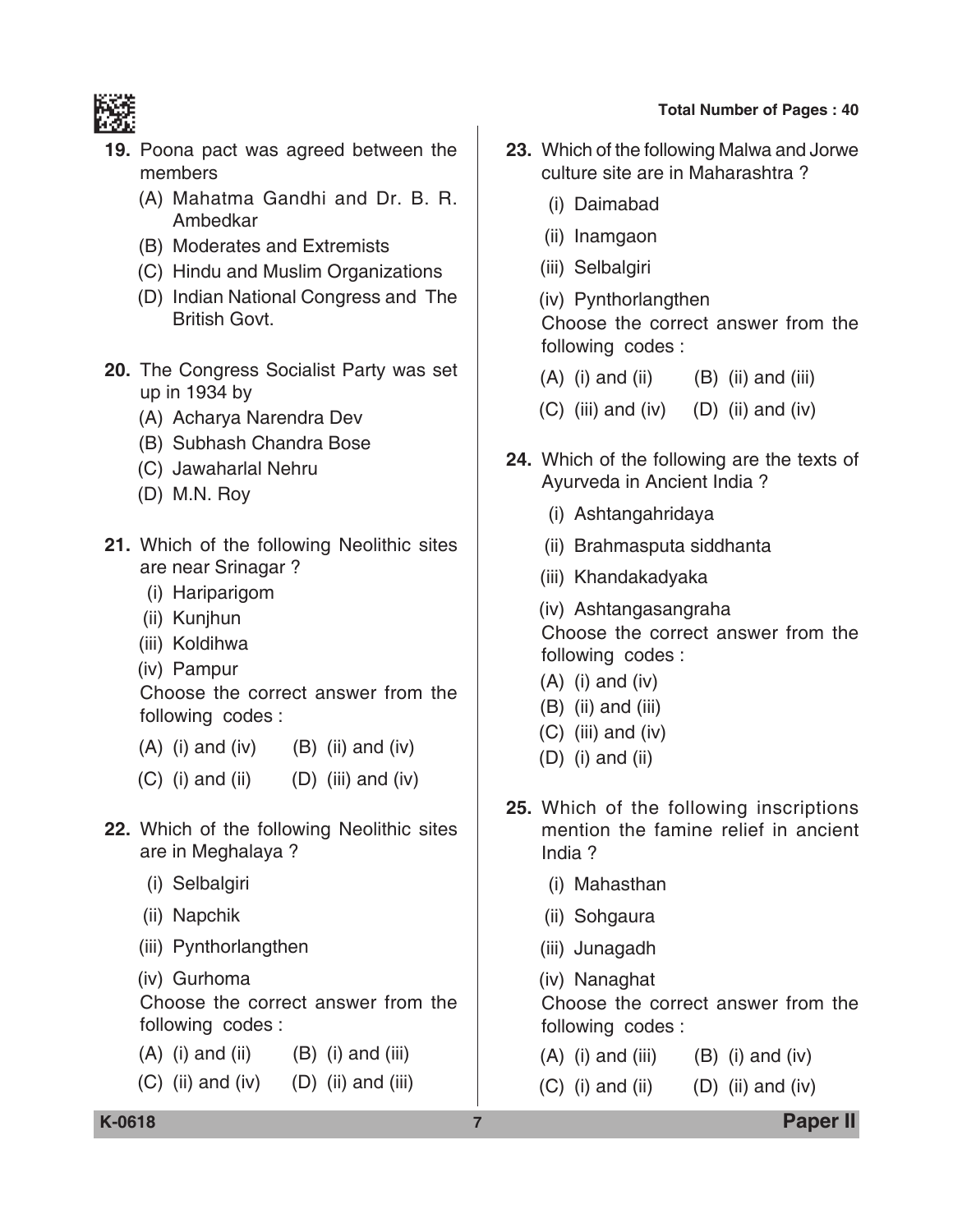

- **19.** Poona pact was agreed between the members
	- (A) Mahatma Gandhi and Dr. B. R. Ambedkar
	- (B) Moderates and Extremists
	- (C) Hindu and Muslim Organizations
	- (D) Indian National Congress and The British Govt.
- **20.** The Congress Socialist Party was set up in 1934 by
	- (A) Acharya Narendra Dev
	- (B) Subhash Chandra Bose
	- (C) Jawaharlal Nehru
	- (D) M.N. Roy
- **21.** Which of the following Neolithic sites are near Srinagar ?
	- (i) Hariparigom
	- (ii) Kunjhun
	- (iii) Koldihwa
	- (iv) Pampur

 Choose the correct answer from the following codes :

- $(A)$  (i) and (iv)  $(B)$  (ii) and (iv)
- $(C)$  (i) and (ii)  $(D)$  (iii) and (iv)
- **22.** Which of the following Neolithic sites are in Meghalaya ?
	- (i) Selbalgiri
	- (ii) Napchik
	- (iii) Pynthorlangthen
	- (iv) Gurhoma

 Choose the correct answer from the following codes :

- $(A)$  (i) and (ii)  $(B)$  (i) and (iii)
- $(C)$  (ii) and (iv)  $(D)$  (ii) and (iii)
- **23.** Which of the following Malwa and Jorwe culture site are in Maharashtra ?
	- (i) Daimabad
	- (ii) Inamgaon
	- (iii) Selbalgiri
	- (iv) Pynthorlangthen

 Choose the correct answer from the following codes :

- $(A)$  (i) and (ii)  $(B)$  (ii) and (iii)
- $(C)$  (iii) and (iv)  $(D)$  (ii) and (iv)
- **24.** Which of the following are the texts of Ayurveda in Ancient India ?
	- (i) Ashtangahridaya
	- (ii) Brahmasputa siddhanta
	- (iii) Khandakadyaka
	- (iv) Ashtangasangraha

 Choose the correct answer from the following codes :

- $(A)$  (i) and (iv)
- (B) (ii) and (iii)
- $(C)$  (iii) and (iv)
- (D) (i) and (ii)
- **25.** Which of the following inscriptions mention the famine relief in ancient India ?
	- (i) Mahasthan
	- (ii) Sohgaura
	- (iii) Junagadh
	- (iv) Nanaghat

 Choose the correct answer from the following codes :

- $(A)$  (i) and (iii)  $(B)$  (i) and (iv)
- $(C)$  (i) and (ii)  $(D)$  (ii) and (iv)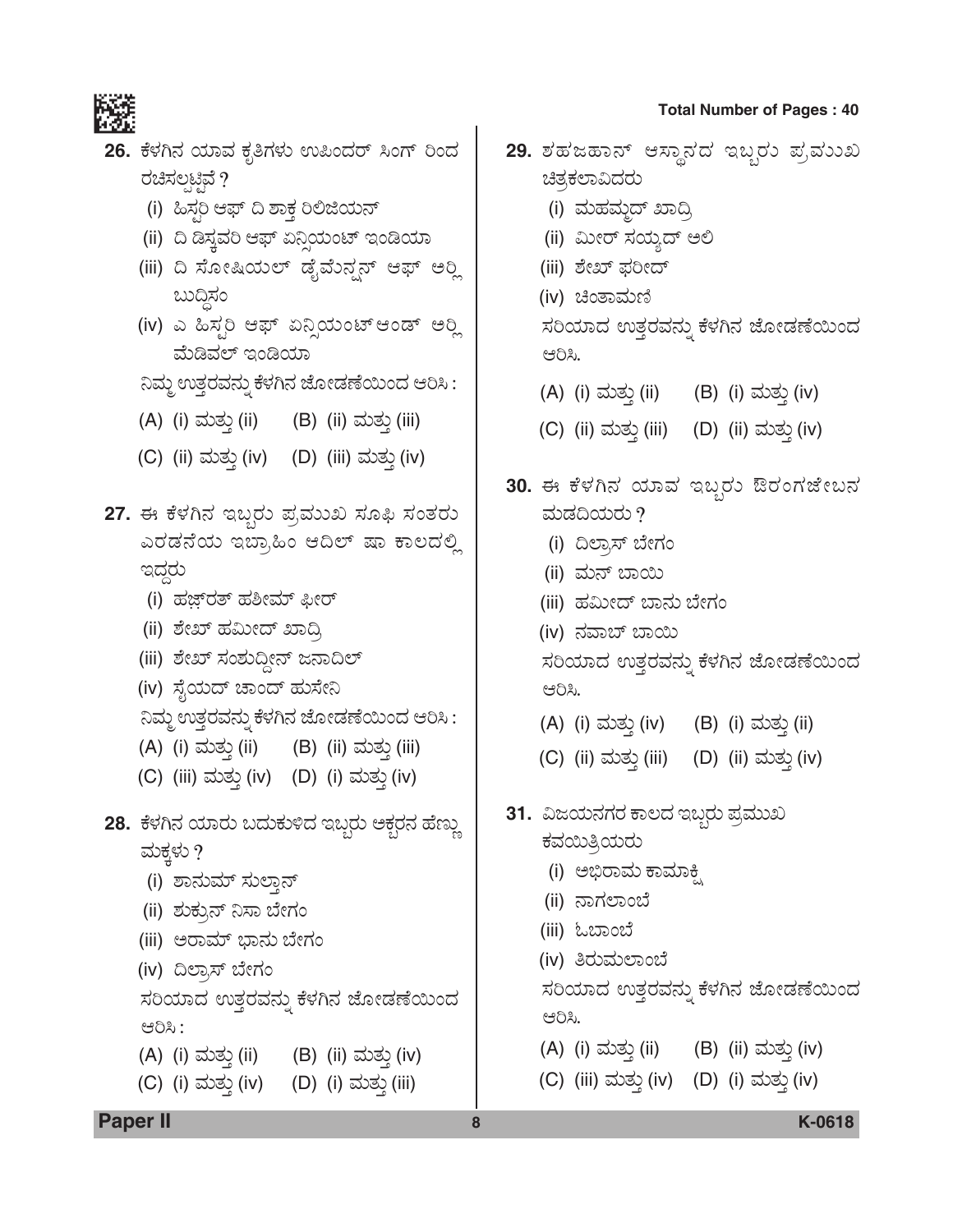

| 83 E | 26. ಕೆಳಗಿನ ಯಾವ ಕೃತಿಗಳು ಉಪಿಂದರ್ ಸಿಂಗ್ ರಿಂದ                                          |   |                                          | 29. ಶಹಜಹಾನ್ ಆಸ್ಥಾನದ ಇಬ್ಬರು ಪ್ರಮುಖ  |
|------|------------------------------------------------------------------------------------|---|------------------------------------------|------------------------------------|
|      | ರಚಿಸಲ್ಪಟ್ಟಿವೆ ?                                                                    |   | ಚಿತ್ರಕಲಾವಿದರು                            |                                    |
|      | (i) ಹಿಸ್ತರಿ ಆಫ್ ದಿ ಶಾಕ್ತ ರಿಲಿಜಿಯನ್                                                 |   | (i) ಮಹಮ್ <del>ಜ</del> ದ್ ಖಾದ್ರಿ          |                                    |
|      | (ii) ದಿ ಡಿಸ್ತವರಿ ಆಫ್ ಏನ್ಷಿಯಂಟ್ ಇಂಡಿಯಾ                                              |   | (ii) ಮೀರ್ ಸಯ್ಯದ್ ಅಲಿ                     |                                    |
|      | (iii) ದಿ ಸೋಷಿಯಲ್ ಡೈಮೆನ್ಷನ್ ಆಫ್ ಅರ್ಥಿ                                               |   | (iii) ಶೇಖ್ ಫರೀದ್                         |                                    |
|      | ಬುದ್ಧಿಸಂ                                                                           |   | (iv) ಚಿಂತಾಮಣಿ                            |                                    |
|      | (iv) ಎ ಹಿಸ್ಟರಿ ಆಫ್ ಏನ್ನಿಯಂಟ್ ಆಂಡ್ ಅರ್<br>ಮೆಡಿವಲ್ ಇಂಡಿಯಾ                            |   | ಆರಿಸಿ.                                   | ಸರಿಯಾದ ಉತ್ತರವನ್ನು ಕೆಳಗಿನ ಜೋಡಣೆಯಿಂದ |
|      | ನಿಮ್ಮ ಉತ್ತರವನ್ನು ಕೆಳಗಿನ ಜೋಡಣೆಯಿಂದ ಆರಿಸಿ :                                          |   | (A) (i) ಮತ್ತು (ii) (B) (i) ಮತ್ತು (iv)    |                                    |
|      | (A) (i) ಮತ್ತು (ii) (B) (ii) ಮತ್ತು (iii)                                            |   | (C) (ii) ಮತ್ತು (iii) (D) (ii) ಮತ್ತು (iv) |                                    |
|      | (C) (ii) ಮತ್ತು (iv) (D) (iii) ಮತ್ತು (iv)                                           |   |                                          | 30. ಈ ಕೆಳಗಿನ ಯಾವ ಇಬ್ಬರು ಔರಂಗಜೇಬನ   |
|      | 27. ಈ ಕೆಳಗಿನ ಇಬ್ಬರು ಪ್ರಮುಖ ಸೂಫಿ ಸಂತರು                                              |   | ಮಡದಿಯರು ?                                |                                    |
|      | ಎರಡನೆಯ ಇಬ್ರಾಹಿಂ ಆದಿಲ್ ಷಾ ಕಾಲದಲ್ಲಿ                                                  |   | (i) ದಿಲ್ರಾಸ್ ಬೇಗಂ                        |                                    |
|      | ಇದ್ದರು                                                                             |   | (ii) ಮನ್ ಬಾಯಿ                            |                                    |
|      | (i) ಹಜ್ಜ್ <b>ರತ್ ಹಶೀಮ್ ಫೀರ್</b>                                                    |   | (iii) ಹಮೀದ್ ಬಾನು ಬೇಗಂ                    |                                    |
|      | (ii) ಶೇಖ್ ಹಮೀದ್ ಖಾದ್ರಿ                                                             |   | (iv) ನವಾಬ್ ಬಾಯಿ                          |                                    |
|      | (iii) ಶೇಖ್ ಸಂಶುದ್ದೀನ್ ಜನಾದಿಲ್                                                      |   |                                          | ಸರಿಯಾದ ಉತ್ತರವನ್ನು ಕೆಳಗಿನ ಜೋಡಣೆಯಿಂದ |
|      | (iv) ಸೈಯದ್ ಚಾಂದ್ ಹುಸೇನಿ                                                            |   | ಆರಿಸಿ.                                   |                                    |
|      | ನಿಮ್ಮ ಉತ್ತರವನ್ನು ಕೆಳಗಿನ ಜೋಡಣೆಯಿಂದ ಆರಿಸಿ :                                          |   | (A) (i) ಮತ್ತು (iv) (B) (i) ಮತ್ತು (ii)    |                                    |
|      | (A) (i) ಮತ್ತು (ii) (B) (ii) ಮತ್ತು (iii)<br>(C) (iii) ಮತ್ತು (iv) (D) (i) ಮತ್ತು (iv) |   | (C) (ii) ಮತ್ತು (iii) (D) (ii) ಮತ್ತು (iv) |                                    |
|      | 28. ಕೆಳಗಿನ ಯಾರು ಬದುಕುಳಿದ ಇಬ್ಬರು ಆಕ್ಬರನ ಹೆಣ್ಣು                                      |   | 31. ವಿಜಯನಗರ ಕಾಲದ ಇಬ್ಬರು ಪ್ರಮುಖ           |                                    |
|      | ಮಕ್ಕಳು ?                                                                           |   | ಕವಯಿತ್ರಿಯರು                              |                                    |
|      | (i) ಶಾನುಮ್ ಸುಲ್ತಾನ್                                                                |   | (i) ಅಭಿರಾಮ ಕಾಮಾಕ್ಷ್ಮಿ                    |                                    |
|      | (ii) ಶುಕ್ರುನ್ ನಿಸಾ ಬೇಗಂ                                                            |   | (ii) ನಾಗಲಾಂಬೆ                            |                                    |
|      | (iii) ಅರಾಮ್ ಭಾನು ಬೇಗಂ                                                              |   | (iii) ಓಬಾಂಬೆ                             |                                    |
|      | (iv) ದಿಲ್ಕಾಸ್ ಬೇಗಂ                                                                 |   | (iv) ತಿರುಮಲಾಂಬೆ                          |                                    |
|      | ಸರಿಯಾದ ಉತ್ತರವನ್ನು ಕೆಳಗಿನ ಜೋಡಣೆಯಿಂದ<br>ಆರಿಸಿ:                                       |   | ಆರಿಸಿ.                                   | ಸರಿಯಾದ ಉತ್ತರವನ್ನು ಕೆಳಗಿನ ಜೋಡಣೆಯಿಂದ |
|      | (A) (i) ಮತ್ತು (ii) (B) (ii) ಮತ್ತು (iv)                                             |   | (A) (i) ಮತ್ತು (ii) (B) (ii) ಮತ್ತು (iv)   |                                    |
|      | (C) (i) ಮತ್ತು (iv) (D) (i) ಮತ್ತು (iii)                                             |   | (C) (iii) ಮತ್ತು (iv) (D) (i) ಮತ್ತು (iv)  |                                    |
|      | <b>Paper II</b>                                                                    | 8 |                                          | K-0618                             |

# Paper II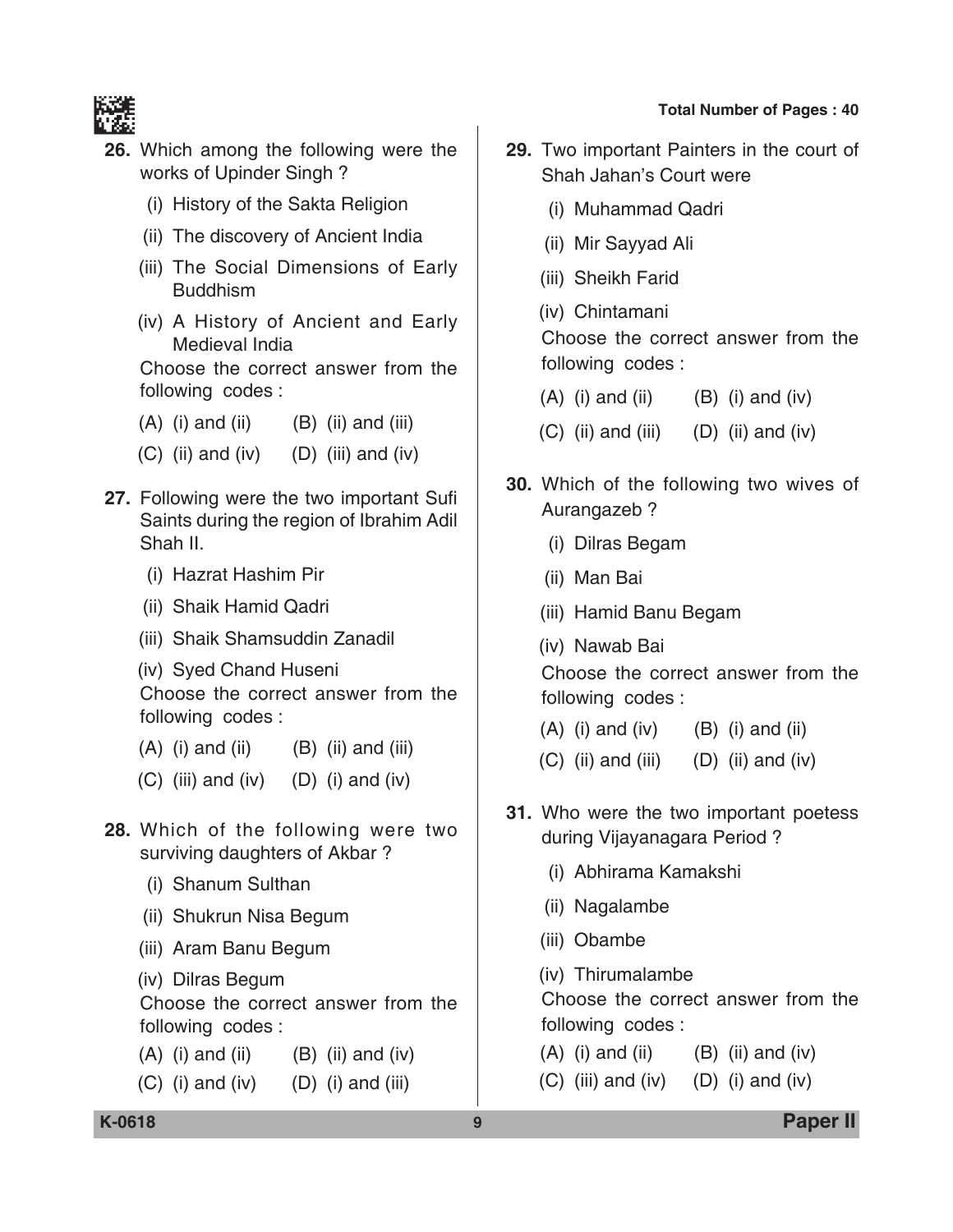

- **26.** Which among the following were the works of Upinder Singh ?
	- (i) History of the Sakta Religion
	- (ii) The discovery of Ancient India
	- (iii) The Social Dimensions of Early Buddhism
	- (iv) A History of Ancient and Early Medieval India

 Choose the correct answer from the following codes :

- $(A)$  (i) and (ii)  $(B)$  (ii) and (iii)
- $(C)$  (ii) and (iv)  $(D)$  (iii) and (iv)
- **27.** Following were the two important Sufi Saints during the region of Ibrahim Adil Shah II.
	- (i) Hazrat Hashim Pir
	- (ii) Shaik Hamid Qadri
	- (iii) Shaik Shamsuddin Zanadil

(iv) Syed Chand Huseni Choose the correct answer from the following codes :

- $(A)$  (i) and (ii)  $(B)$  (ii) and (iii)
- $(C)$  (iii) and (iv)  $(D)$  (i) and (iv)
- **28.** Which of the following were two surviving daughters of Akbar ?
	- (i) Shanum Sulthan
	- (ii) Shukrun Nisa Begum
	- (iii) Aram Banu Begum
	- (iv) Dilras Begum

 Choose the correct answer from the following codes :

- $(A)$  (i) and (ii)  $(B)$  (ii) and (iv)
- $(C)$  (i) and (iv)  $(D)$  (i) and (iii)
- **29.** Two important Painters in the court of Shah Jahan's Court were
	- (i) Muhammad Qadri
	- (ii) Mir Sayyad Ali
	- (iii) Sheikh Farid
	- (iv) Chintamani

 Choose the correct answer from the following codes :

- $(A)$  (i) and (ii)  $(B)$  (i) and (iv)
- $(C)$  (ii) and (iii)  $(D)$  (ii) and (iv)
- **30.** Which of the following two wives of Aurangazeb ?
	- (i) Dilras Begam
	- (ii) Man Bai
	- (iii) Hamid Banu Begam
	- (iv) Nawab Bai

 Choose the correct answer from the following codes :

- $(A)$  (i) and (iv)  $(B)$  (i) and (ii)
- $(C)$  (ii) and (iii)  $(D)$  (ii) and (iv)
- **31.** Who were the two important poetess during Vijayanagara Period ?
	- (i) Abhirama Kamakshi
	- (ii) Nagalambe
	- (iii) Obambe

(iv) Thirumalambe

 Choose the correct answer from the following codes :

- $(A)$  (i) and (ii)  $(B)$  (ii) and (iv)
- $(C)$  (iii) and (iv)  $(D)$  (i) and (iv)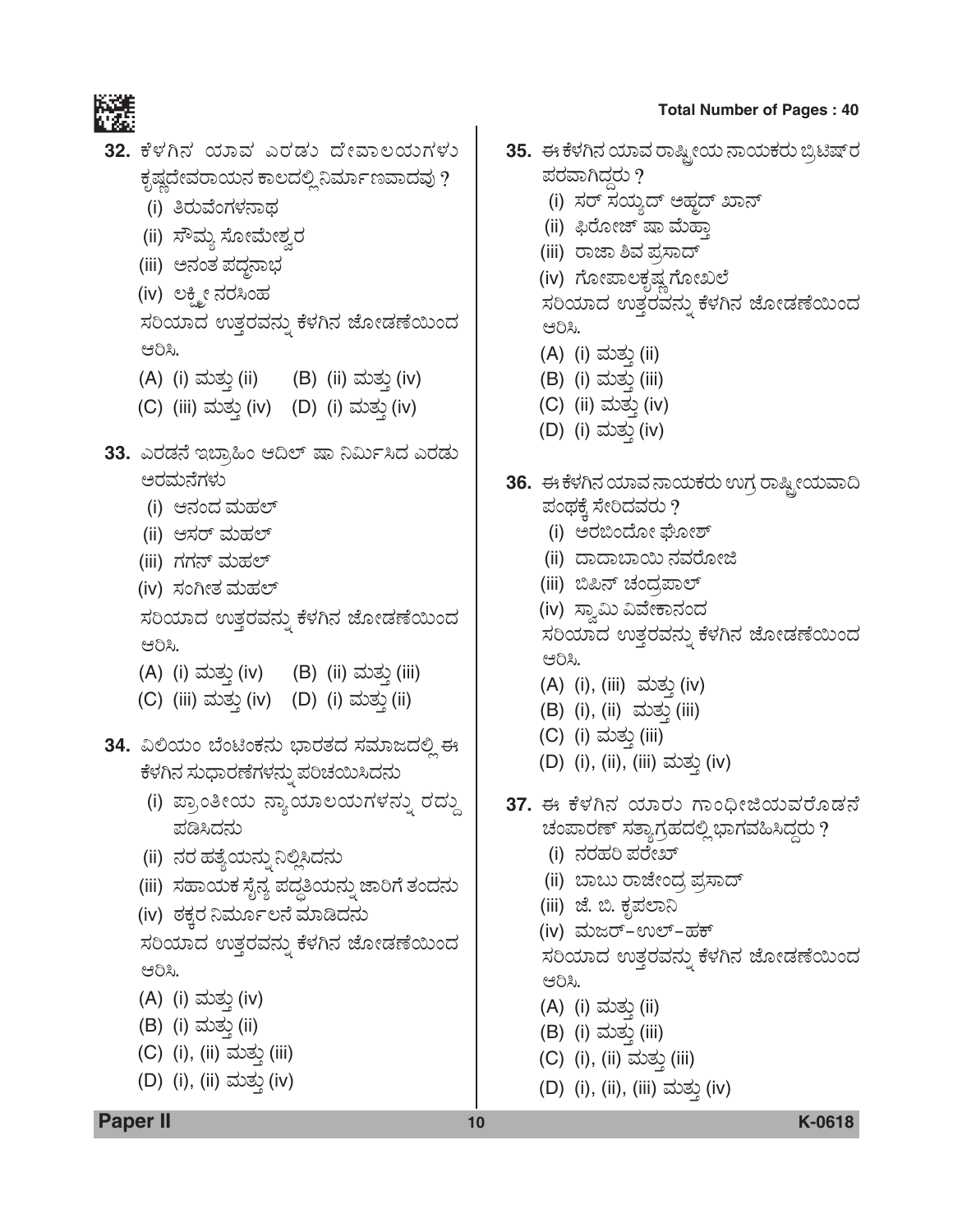

- 32. ಕೆಳಗಿನ ಯಾವ ಎರಡು ದೇವಾಲಯಗಳು ಕೃಷ್ಣದೇವರಾಯನ ಕಾಲದಲ್ಲಿ ನಿರ್ಮಾಣವಾದವು ?
	- (i) ತಿರುವೆಂಗಳನಾಥ
	- (ii) ಸೌಮ್ತ ಸೋಮೇಶ್ವರ
	- (iii) ಅನಂತ ಪದ್ಧನಾಭ
	- (iv) ಲಕ್ಮ್ಮೀ ನರಸಿಂಹ

ಸರಿಯಾದ ಉತ್ತರವನ್ನು ಕೆಳಗಿನ ಜೋಡಣೆಯಿಂದ ಆರಿಸಿ.

- (A) (i) ಮತ್ತು (ii) (B) (ii) ಮತ್ತು (iv)
- (C) (iii) ಮತ್ತು (iv) (D) (i) ಮತ್ತು (iv)
- 33. ಎರಡನೆ ಇಬ್ರಾಹಿಂ ಆದಿಲ್ ಷಾ ನಿರ್ಮಿಸಿದ ಎರಡು ಅರಮನೆಗಳು
	- (i) ಆನಂದ ಮಹಲ್
	- (ii) ಆಸರ್ ಮಹಲ್
	- (iii) ಗಗನ್ ಮಹಲ್
	- (iv) ಸಂಗೀತ ಮಹಲ್

ಸರಿಯಾದ ಉತ್ತರವನ್ನು ಕೆಳಗಿನ ಜೋಡಣೆಯಿಂದ ಆರಿಸಿ.

- (A) (i) ಮತ್ತು (iv) (B) (ii) ಮತ್ತು (iii)
- (C) (iii) ಮತ್ತು (iv) (D) (i) ಮತ್ತು (ii)

34. ವಿಲಿಯಂ ಬೆಂಟಿಂಕನು ಭಾರತದ ಸಮಾಜದಲ್ಲಿ ಈ ಕೆಳಗಿನ ಸುಧಾರಣೆಗಳನ್ನು ಪರಿಚಯಿಸಿದನು

- (i) ಪ್ರಾಂತೀಯ ನ್ಯಾಯಾಲಯಗಳನ್ನು ರದ್ದು ಪಡಿಸಿದನು
- (ii) ನರ ಹತ್ಯೆಯನ್ನು ನಿಲ್ಲಿಸಿದನು
- (iii) ಸಹಾಯಕ ಸೈನ್ಯ ಪದ್ಧತಿಯನ್ನು ಜಾರಿಗೆ ತಂದನು

(iv) ಠಕ್ತರ ನಿರ್ಮೂಲನೆ ಮಾಡಿದನು ಸರಿಯಾದ ಉತ್ತರವನ್ನು ಕೆಳಗಿನ ಜೋಡಣೆಯಿಂದ ಆರಿಸಿ.

- (A) (i) ಮತ್ತು (iv)
- (B) (i) ಮತ್ತು (ii)
- (C) (i), (ii) ಮತ್ತು (iii)
- (D) (i), (ii) ಮತ್ತು (iv)

35. ಈ ಕೆಳಗಿನ ಯಾವ ರಾಷ್ಟ್ರೀಯ ನಾಯಕರು ಬ್ರಿಟಿಷ್ ರ ಪರವಾಗಿದ್ದರು ? (i) ಸರ್ ಸಯ್ಯದ್ ಅಹ್ಜದ್ ಖಾನ್ (ii) ಫಿರೋಜ್ ಷಾ ಮೆಹ್ತಾ

- (iii) ರಾಜಾ ಶಿವ ಪ್ರಸಾದ್
- (iv) ಗೋಪಾಲಕೃಷ್ಣ ಗೋಖಲೆ

ಸರಿಯಾದ ಉತ್ತರವನ್ನು ಕೆಳಗಿನ ಜೋಡಣೆಯಿಂದ ಆರಿಸಿ.

- (A) (i) ಮತ್ತು (ii)
- (B) (i) ಮತ್ತು (iii)
- (C) (ii) ಮತ್ತು (iv)
- (D) (i) ಮತ್ತು (iv)
- 36. ಈ ಕೆಳಗಿನ ಯಾವ ನಾಯಕರು ಉಗ್ರ ರಾಷ್ಟ್ರೀಯವಾದಿ ಪಂಥಕ್ಕೆ ಸೇರಿದವರು ?
	- (i) ಅರಬಿಂದೋ ಘೋಶ್
	- (ii) ದಾದಾಬಾಯಿ ನವರೋಜಿ
	- (iii) ಬಿಪಿನ್ ಚಂದ್ರಪಾಲ್
	- (iv) ಸ್ವಾಮಿ ವಿವೇಕಾನಂದ

ಸರಿಯಾದ ಉತ್ತರವನ್ನು ಕೆಳಗಿನ ಜೋಡಣೆಯಿಂದ ಆರಿಸಿ.

- (A) (i), (iii) ಮತ್ತು (iv)
- (B) (i), (ii) ಮತ್ತು (iii)
- (C) (i) ಮತ್ತು (iii)
- (D) (i), (ii), (iii) ಮತ್ತು (iv)
- 37. ಈ ಕೆಳಗಿನ ಯಾರು ಗಾಂಧೀಜಿಯವರೊಡನೆ ಚಂಪಾರಣ್ ಸತ್ಯಾಗ್ರಹದಲ್ಲಿ ಭಾಗವಹಿಸಿದ್ದರು ?
	- (i) ನರಹರಿ ಪರೇಖ್
	- (ii) ಬಾಬು ರಾಜೇಂದ್ರ ಪ್ರಸಾದ್
	- (iii) ಜೆ. ಬಿ. ಕೃಪಲಾನಿ
	- (iv) ಮಜರ್-ಉಲ್-ಹಕ್

ಸರಿಯಾದ ಉತ್ತರವನ್ನು ಕೆಳಗಿನ ಜೋಡಣೆಯಿಂದ ಆರಿಸಿ.

- (A) (i) ಮತ್ತು (ii)
- (B) (i) ಮತ್ತು (iii)
- (C) (i), (ii) ಮತ್ತು (iii)
- (D) (i), (ii), (iii) ಮತ್ತು (iv)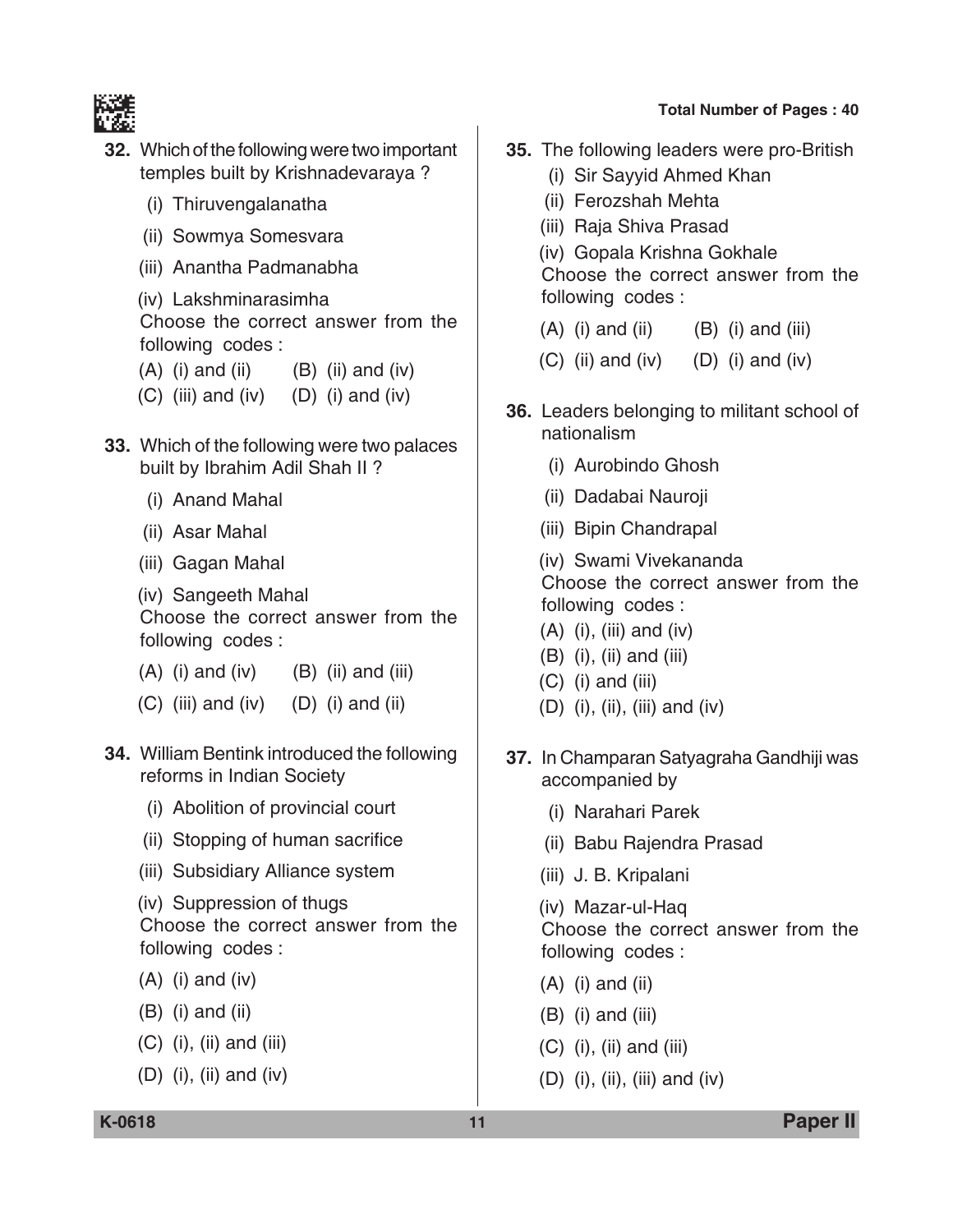

- **32.** Which of the following were two important temples built by Krishnadevaraya ?
	- (i) Thiruvengalanatha
	- (ii) Sowmya Somesvara
	- (iii) Anantha Padmanabha
	- (iv) Lakshminarasimha Choose the correct answer from the following codes :
	- $(A)$  (i) and (ii)  $(B)$  (ii) and (iv)
	- $(C)$  (iii) and (iv)  $(D)$  (i) and (iv)
- **33.** Which of the following were two palaces built by Ibrahim Adil Shah II ?
	- (i) Anand Mahal
	- (ii) Asar Mahal
	- (iii) Gagan Mahal
	- (iv) Sangeeth Mahal Choose the correct answer from the following codes :
	- $(A)$  (i) and (iv)  $(B)$  (ii) and (iii)
	- $(C)$  (iii) and (iv)  $(D)$  (i) and (ii)
- **34.** William Bentink introduced the following reforms in Indian Society
	- (i) Abolition of provincial court
	- (ii) Stopping of human sacrifice
	- (iii) Subsidiary Alliance system
	- (iv) Suppression of thugs Choose the correct answer from the following codes :
	- (A) (i) and (iv)
	- (B) (i) and (ii)
	- $(C)$  (i), (ii) and (iii)
	- (D) (i), (ii) and (iv)
- **Total Number of Pages : 40**
- **35.** The following leaders were pro-British
	- (i) Sir Sayyid Ahmed Khan
	- (ii) Ferozshah Mehta
	- (iii) Raja Shiva Prasad
	- (iv) Gopala Krishna Gokhale

 Choose the correct answer from the following codes :

- $(A)$  (i) and (ii)  $(B)$  (i) and (iii)
- $(C)$  (ii) and (iv)  $(D)$  (i) and (iv)
- **36.** Leaders belonging to militant school of nationalism
	- (i) Aurobindo Ghosh
	- (ii) Dadabai Nauroji
	- (iii) Bipin Chandrapal

(iv) Swami Vivekananda Choose the correct answer from the following codes :

- $(A)$  (i), (iii) and (iv)
- (B) (i), (ii) and (iii)
- $(C)$  (i) and (iii)
- (D) (i), (ii), (iii) and (iv)
- **37.** In Champaran Satyagraha Gandhiji was accompanied by
	- (i) Narahari Parek
	- (ii) Babu Rajendra Prasad
	- (iii) J. B. Kripalani

(iv) Mazar-ul-Haq Choose the correct answer from the following codes :

- (A) (i) and (ii)
- $(B)$  (i) and (iii)
- $(C)$  (i), (ii) and (iii)
- (D) (i), (ii), (iii) and (iv)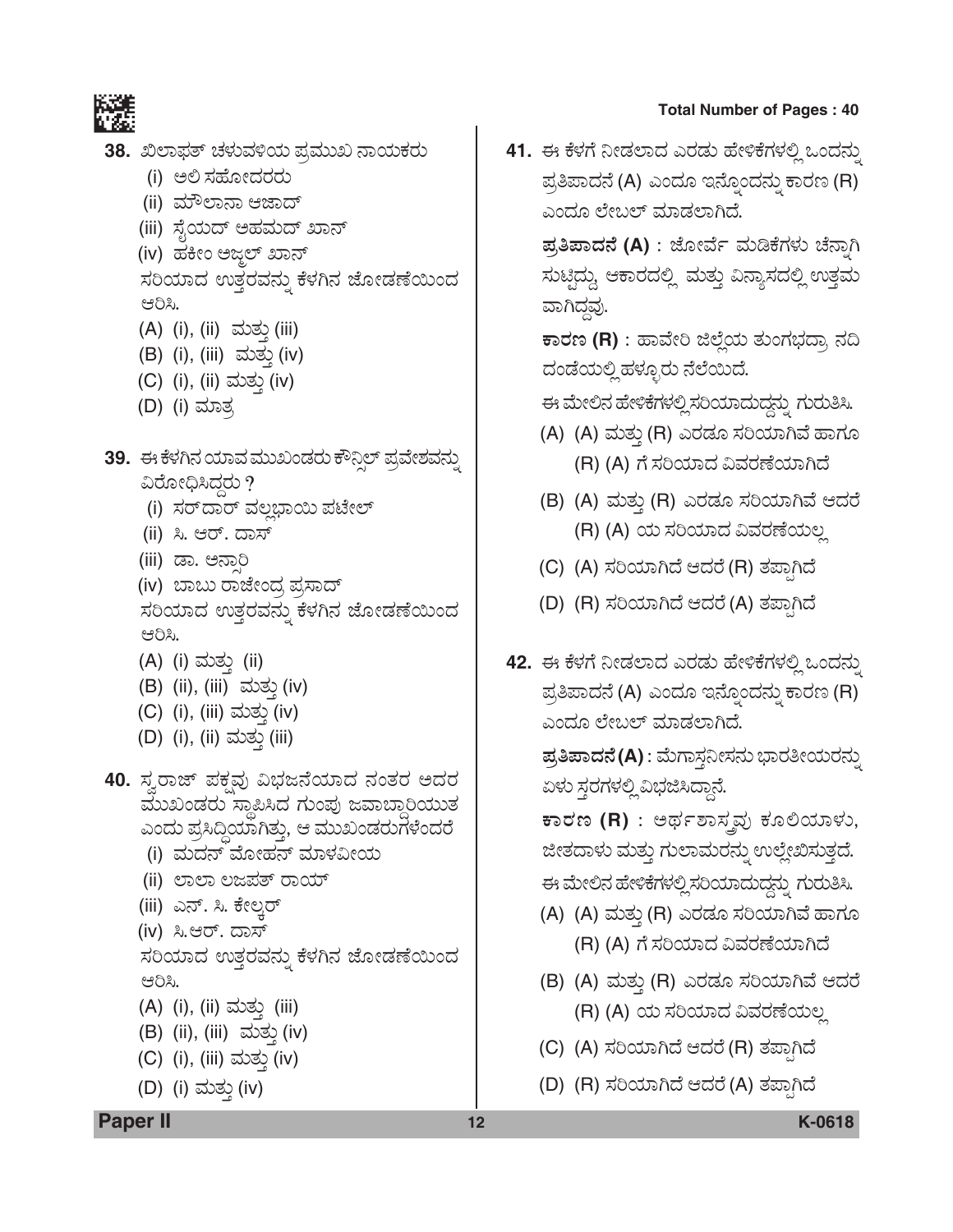

38. ಖಿಲಾಫತ್ ಚಳುವಳಿಯ ಪ್ರಮುಖ ನಾಯಕರು

- (i) ಅಲಿ ಸಹೋದರರು
- (ii) ಮೌಲಾನಾ ಆಜಾದ್
- (iii) ಸೈಯದ್ ಅಹಮದ್ ಖಾನ್
- (iv) ಹಕೀಂ ಅಜ್ಜಲ್ ಖಾನ್

ಸರಿಯಾದ ಉತ್ತರವನ್ನು ಕೆಳಗಿನ ಜೋಡಣೆಯಿಂದ ಆರಿಸಿ.

- (A) (i), (ii) ಮತ್ತು (iii)
- (B) (i), (iii) ಮತ್ತು (iv)
- (C) (i), (ii) ಮತ್ತು (iv)
- (D) (i) ಮಾತ್ರ
- 39. ಈ ಕೆಳಗಿನ ಯಾವ ಮುಖಂಡರು ಕೌನಿಲ್ ಪ್ರವೇಶವನ್ನು ವಿರೋಧಿಸಿದ್ದರು ?
	- (i) ಸರ್ದಾರ್ ವಲ್ಷಭಾಯಿ ಪಟೇಲ್
	- (ii) ಸಿ. ಆರ್. ದಾಸ್
	- (iii) ಡಾ. ಅನಾರಿ
	- (iv) ಬಾಬು ರಾಜೇಂದ್ರ ಪ್ರಸಾದ್

ಸರಿಯಾದ ಉತ್ತರವನ್ನು ಕೆಳಗಿನ ಜೋಡಣೆಯಿಂದ ಆರಿಸಿ.

- (A) (i) ಮತ್ತು (ii)
- (B) (ii), (iii) ಮತ್ತು (iv)
- (C) (i), (iii) ಮತ್ತು (iv)
- (D) (i), (ii) ಮತ್ತು (iii)
- **40.** ಸ್ತರಾಜ್ ಪಕವು ವಿಭಜನೆಯಾದ ನಂತರ ಅದರ ಮುಖಂಡರು ಸ್ಥಾಪಿಸಿದ ಗುಂಪು ಜವಾಬ್ದಾರಿಯುತ ಎಂದು ಪ್ರಸಿದ್ಧಿಯಾಗಿತ್ತು, ಆ ಮುಖಂಡರುಗಳೆಂದರೆ
	- (i) ಮದನ್ ಮೋಹನ್ ಮಾಳವೀಯ
	- (ii) ಲಾಲಾ ಲಜಪತ್ ರಾಯ್
	- (iii) ಎನ್. ಸಿ. ಕೇಲ್ತರ್
	- (iv) ಸಿ.ಆರ್. ದಾಸ್

ಸರಿಯಾದ ಉತ್ತರವನ್ನು ಕೆಳಗಿನ ಜೋಡಣೆಯಿಂದ ಆರಿಸಿ.

- (A) (i), (ii) ಮತ್ತು (iii)
- (B) (ii), (iii) ಮತ್ತು (iv)
- (C) (i), (iii) ಮತ್ತು (iv)
- (D) (i) ಮತ್ತು (iv)

41. ಈ ಕೆಳಗೆ ನೀಡಲಾದ ಎರಡು ಹೇಳಿಕೆಗಳಲ್ಲಿ ಒಂದನ್ನು ಪ್ರತಿಪಾದನೆ (A) ಎಂದೂ ಇನ್ನೊಂದನ್ನು ಕಾರಣ (R) ಎಂದೂ ಲೇಬಲ್ ಮಾಡಲಾಗಿದೆ.

> $\bar{z}$ ತಿಪಾದನೆ (A) : ಜೋರ್ವೆ ಮಡಿಕೆಗಳು ಚೆನ್ನಾಗಿ ಸುಟ್ಟಿದ್ದು, ಆಕಾರದಲ್ಲಿ ಮತ್ತು ವಿನ್ಯಾಸದಲ್ಲಿ ಉತ್ತಮ ವಾಗಿದ್ದವು.

> $\overline{\textbf{r}}$ ಾರಣ (R) : ಹಾವೇರಿ ಜಿಲ್ಲೆಯ ತುಂಗಭದ್ರಾ ನದಿ ದಂಡೆಯಲ್ಲಿ ಹಳ್ಳೂರು ನೆಲೆಯಿದೆ.

ಈ ಮೇಲಿನ ಹೇಳಿಕೆಗಳಲ್ಲಿ ಸರಿಯಾದುದ್ದನ್ನು ಗುರುತಿಸಿ.

- (A) (A) ಮತ್ತು (R) ಎರಡೂ ಸರಿಯಾಗಿವೆ ಹಾಗೂ (R) (A) ಗೆ ಸರಿಯಾದ ವಿವರಣೆಯಾಗಿದೆ
- (B) (A) ಮತ್ತು (R) ಎರಡೂ ಸರಿಯಾಗಿವೆ ಆದರೆ (R) (A) ಯ ಸರಿಯಾದ ವಿವರಣೆಯಲ್ಲ
- (C) (A) ಸರಿಯಾಗಿದೆ ಆದರೆ (R) ತಪ್ಪಾಗಿದೆ
- (D) (R) ಸರಿಯಾಗಿದೆ ಆದರೆ (A) ತಪಾಗಿದೆ
- 42. ಈ ಕೆಳಗೆ ನೀಡಲಾದ ಎರಡು ಹೇಳಿಕೆಗಳಲ್ಲಿ ಒಂದನ್ನು ಪ್ರತಿಪಾದನೆ (A) ಎಂದೂ ಇನ್ನೊಂದನ್ನು ಕಾರಣ (R) ಎಂದೂ ಲೇಬಲ್ ಮಾಡಲಾಗಿದೆ.

 $\bar{z}$ ತಿಪಾದನೆ(A) : ಮೆಗಾಸ್ಗನೀಸನು ಭಾರತೀಯರನ್ನು ಏಳು ಸ್ಥರಗಳಲ್ಲಿ ವಿಭಜಿಸಿದ್ದಾನೆ.

 $\overline{a}$  **a**  $\overline{b}$  **(R)** : ಅರ್ಥಶಾಸ್ತ್ರವು ಕೊಲಿಯಾಳು, ಜೀತದಾಳು ಮತ್ತು ಗುಲಾಮರನ್ನು ಉಲ್ಲೇಖಿಸುತ್ತದೆ. ಈ ಮೇಲಿನ ಹೇಳಿಕೆಗಳಲ್ಲಿ ಸರಿಯಾದುದ್ದನ್ನು ಗುರುತಿಸಿ.

- (A) (A) ಮತ್ತು (R) ಎರಡೂ ಸರಿಯಾಗಿವೆ ಹಾಗೂ (R) (A) ಗೆ ಸರಿಯಾದ ವಿವರಣೆಯಾಗಿದೆ
- (B) (A) ಮತ್ತು (R) ಎರಡೂ ಸರಿಯಾಗಿವೆ ಆದರೆ (R) (A) ಯ ಸರಿಯಾದ ವಿವರಣೆಯಲ್ಲ
- (C) (A) ಸರಿಯಾಗಿದೆ ಆದರೆ (R) ತಪ್ಪಾಗಿದೆ
- (D) (R) ಸರಿಯಾಗಿದೆ ಆದರೆ (A) ತಪಾಗಿದೆ

### **Paper II 12 K-0618**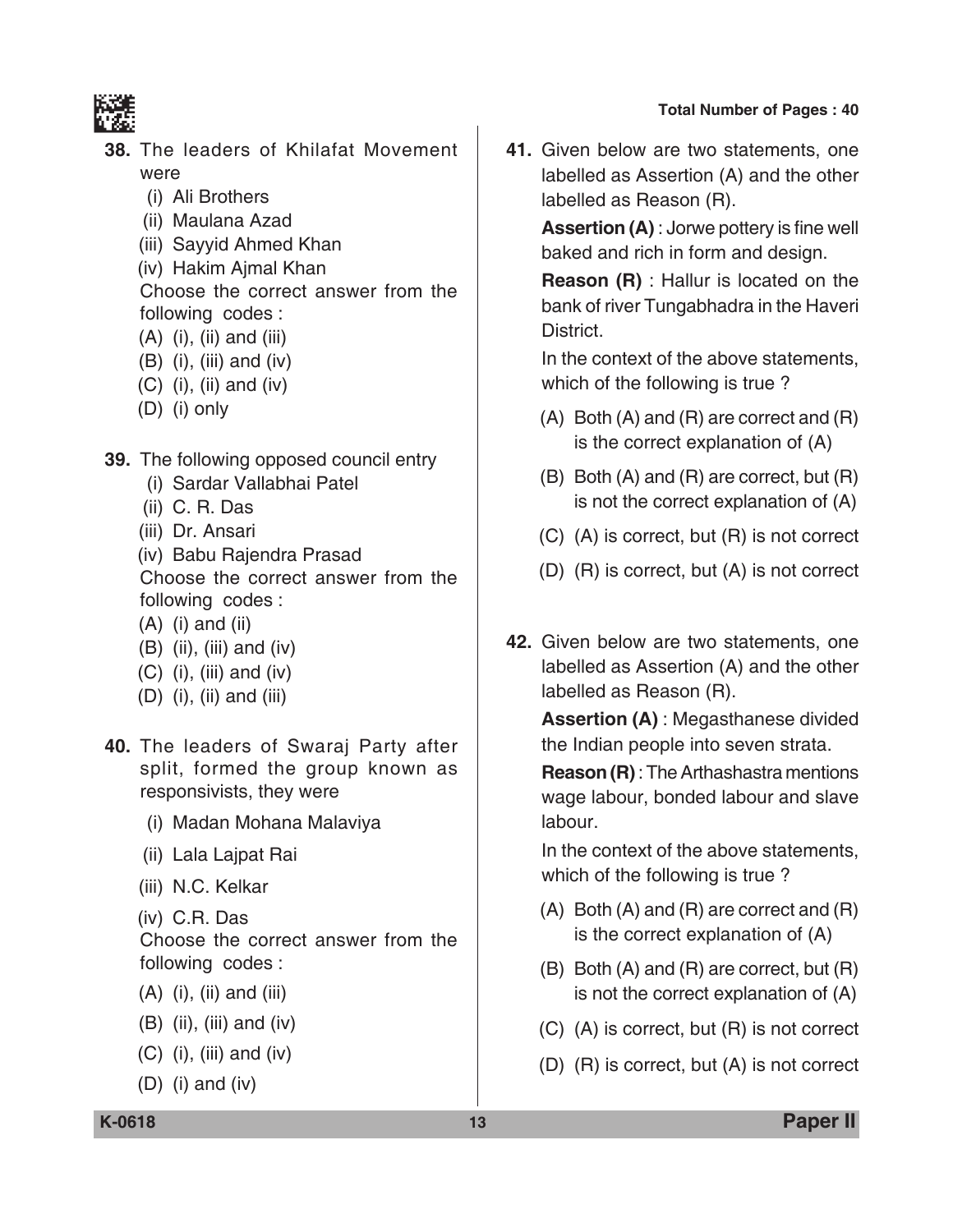

- **38.** The leaders of Khilafat Movement were
	- (i) Ali Brothers
	- (ii) Maulana Azad
	- (iii) Sayyid Ahmed Khan
	- (iv) Hakim Ajmal Khan Choose the correct answer from the following codes :
	- $(A)$  (i), (ii) and (iii)
	- (B) (i), (iii) and (iv)
	- (C) (i), (ii) and (iv)
	- (D) (i) only
- **39.** The following opposed council entry
	- (i) Sardar Vallabhai Patel
	- (ii) C. R. Das
	- (iii) Dr. Ansari
	- (iv) Babu Rajendra Prasad

 Choose the correct answer from the following codes :

- $(A)$  (i) and (ii)
- (B) (ii), (iii) and (iv)
- $(C)$  (i), (iii) and (iv)
- (D) (i), (ii) and (iii)
- **40.** The leaders of Swaraj Party after split, formed the group known as responsivists, they were
	- (i) Madan Mohana Malaviya
	- (ii) Lala Lajpat Rai
	- (iii) N.C. Kelkar
	- (iv) C.R. Das

 Choose the correct answer from the following codes :

- (A) (i), (ii) and (iii)
- (B) (ii), (iii) and (iv)
- $(C)$  (i), (iii) and (iv)
- (D) (i) and (iv)

**41.** Given below are two statements, one labelled as Assertion (A) and the other labelled as Reason (R).

 **Assertion (A)** : Jorwe pottery is fine well baked and rich in form and design.

 **Reason (R)** : Hallur is located on the bank of river Tungabhadra in the Haveri District.

 In the context of the above statements, which of the following is true ?

- (A) Both (A) and (R) are correct and (R) is the correct explanation of (A)
- (B) Both (A) and (R) are correct, but (R) is not the correct explanation of (A)
- (C) (A) is correct, but (R) is not correct
- (D) (R) is correct, but (A) is not correct
- **42.** Given below are two statements, one labelled as Assertion (A) and the other labelled as Reason (R).

 **Assertion (A)** : Megasthanese divided the Indian people into seven strata.

 **Reason (R)** : The Arthashastra mentions wage labour, bonded labour and slave labour.

 In the context of the above statements, which of the following is true ?

- (A) Both (A) and (R) are correct and (R) is the correct explanation of (A)
- (B) Both (A) and (R) are correct, but (R) is not the correct explanation of (A)
- (C) (A) is correct, but (R) is not correct
- (D) (R) is correct, but (A) is not correct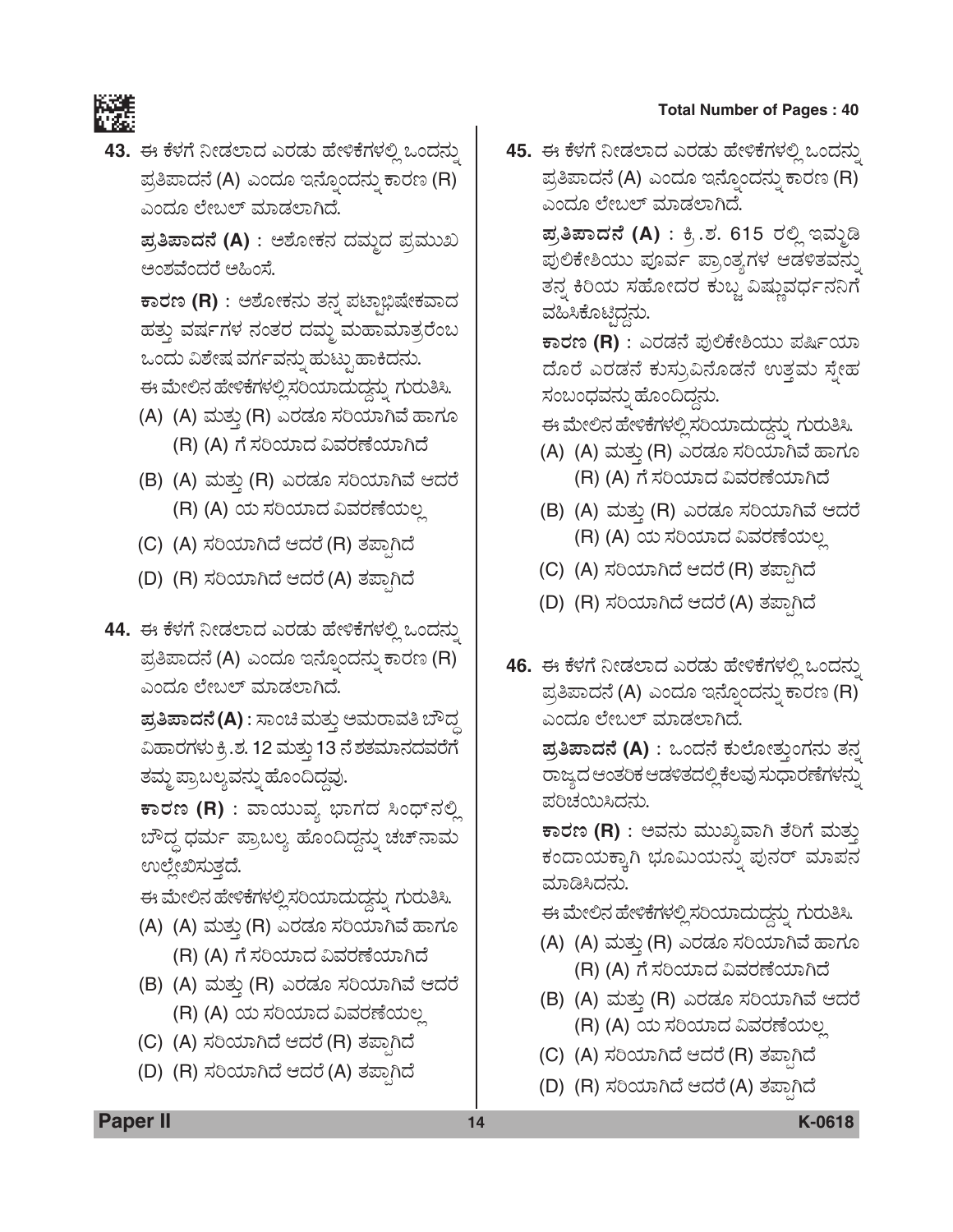

43. ಈ ಕೆಳಗೆ ನೀಡಲಾದ ಎರಡು ಹೇಳಿಕೆಗಳಲ್ಲಿ ಒಂದನ್ನು ಪ್ರತಿಪಾದನೆ (A) ಎಂದೂ ಇನ್ನೊಂದನ್ನು ಕಾರಣ (R) ಎಂದೂ ಲೇಬಲ್ ಮಾಡಲಾಗಿದೆ.

ಪ್ರತಿಪಾದನೆ (A) : ಅಶೋಕನ ದಮ್ಮದ ಪ್ರಮುಖ ಅಂಶವೆಂದರೆ ಅಹಿಂಸೆ.

ಕಾರಣ (R) : ಅಶೋಕನು ತನ್ನ ಪಟ್ಟಾಭಿಷೇಕವಾದ ಹತ್ತು ವರ್ಷಗಳ ನಂತರ ದಮ್ಮ ಮಹಾಮಾತ್ರರೆಂಬ ಒಂದು ವಿಶೇಷ ವರ್ಗವನ್ನು ಹುಟ್ಟುಹಾಕಿದನು. ಈ ಮೇಲಿನ ಹೇಳಿಕೆಗಳಲ್ಲಿ ಸರಿಯಾದುದ್ದನ್ನು ಗುರುತಿಸಿ.

- (A) (A) ಮತ್ತು (R) ಎರಡೂ ಸರಿಯಾಗಿವೆ ಹಾಗೂ (R) (A) ಗೆ ಸರಿಯಾದ ವಿವರಣೆಯಾಗಿದೆ
- (B) (A) ಮತ್ತು (R) ಎರಡೂ ಸರಿಯಾಗಿವೆ ಆದರೆ (R) (A) ಯ ಸರಿಯಾದ ವಿವರಣೆಯಲ್ಲ
- (C) (A) ಸರಿಯಾಗಿದೆ ಆದರೆ (R) ತಪ್ಪಾಗಿದೆ
- (D) (R) ಸರಿಯಾಗಿದೆ ಆದರೆ (A) ತಪ್ಪಾಗಿದೆ
- 44. ಈ ಕೆಳಗೆ ನೀಡಲಾದ ಎರಡು ಹೇಳಿಕೆಗಳಲ್ಲಿ ಒಂದನ್ನು ಪ್ರತಿಪಾದನೆ (A) ಎಂದೂ ಇನ್ನೊಂದನ್ನು ಕಾರಣ (R) ಎಂದೂ ಲೇಬಲ್ ಮಾಡಲಾಗಿದೆ.

**ಪ್ರತಿಪಾದನೆ (A)** : ಸಾಂಚಿ ಮತ್ತು ಅಮರಾವತಿ ಬೌದ್ಧ ವಿಹಾರಗಳು ಕ್ರಿ.ಶ. 12 ಮತ್ತು 13 ನೆ ಶತಮಾನದವರೆಗೆ ತಮ್ಮ ಪ್ರಾಬಲ್ಯವನ್ನು ಹೊಂದಿದ್ದವು.

ಕಾರಣ (R) : ವಾಯುವ್ಯ ಭಾಗದ ಸಿಂಧ್**ನಲ್ಲಿ** ಬೌದ್ಧ ಧರ್ಮ ಪ್ರಾಬಲ್ಯ ಹೊಂದಿದ್ದನ್ನು ಚಚ್ನಾಮ ಉಲ್ಲೇಖಿಸುತ್ತದೆ.

ಈ ಮೇಲಿನ ಹೇಳಿಕೆಗಳಲ್ಲಿ ಸರಿಯಾದುದ್ದನ್ನು ಗುರುತಿಸಿ.

- (A) (A) ಮತ್ತು (R) ಎರಡೂ ಸರಿಯಾಗಿವೆ ಹಾಗೂ (R) (A) ಗೆ ಸರಿಯಾದ ವಿವರಣೆಯಾಗಿದೆ
- (B) (A) ಮತ್ತು (R) ಎರಡೂ ಸರಿಯಾಗಿವೆ ಆದರೆ (R) (A) ಯ ಸರಿಯಾದ ವಿವರಣೆಯಲ್ಲ
- (C) (A) ಸರಿಯಾಗಿದೆ ಆದರೆ (R) ತಪ್ಪಾಗಿದೆ
- (D) (R) ಸರಿಯಾಗಿದೆ ಆದರೆ (A) ತಪ್ಪಾಗಿದೆ

45. ಈ ಕೆಳಗೆ ನೀಡಲಾದ ಎರಡು ಹೇಳಿಕೆಗಳಲ್ಲಿ ಒಂದನ್ನು ಪ್ರತಿಪಾದನೆ (A) ಎಂದೂ ಇನ್ನೊಂದನ್ನು ಕಾರಣ (R) ಎಂದೂ ಲೇಬಲ್ ಮಾಡಲಾಗಿದೆ.

> ಪ್ರತಿಪಾದನೆ (A) : ಕ್ರಿ.ಶ. 615 ರಲ್ಲಿ ಇಮ್ಮಡಿ ಪುಲಿಕೇಶಿಯು ಪೂರ್ವ ಪ್ರಾಂತ್ಯಗಳ ಆಡಳಿತವನ್ನು ತನ್ನ ಕಿರಿಯ ಸಹೋದರ ಕುಬ್ಜ ವಿಷ್ಣುವರ್ಧನನಿಗೆ ವಹಿಸಿಕೊಟ್ಟಿದ್ದನು.

> ಕಾರಣ (R) : ಎರಡನೆ ಪುಲಿಕೇಶಿಯು ಪರ್ಷಿಯಾ ದೊರೆ ಎರಡನೆ ಕುಸ್ರುವಿನೊಡನೆ ಉತ್ತಮ ಸ್ತೇಹ ಸಂಬಂಧವನ್ನು ಹೊಂದಿದ್ದನು.

ಈ ಮೇಲಿನ ಹೇಳಿಕೆಗಳಲ್ಲಿ ಸರಿಯಾದುದ್ದನ್ನು ಗುರುತಿಸಿ.

- (A) (A) ಮತ್ತು (R) ಎರಡೂ ಸರಿಯಾಗಿವೆ ಹಾಗೂ (R) (A) ಗೆ ಸರಿಯಾದ ವಿವರಣೆಯಾಗಿದೆ
- (B) (A) ಮತ್ತು (R) ಎರಡೂ ಸರಿಯಾಗಿವೆ ಆದರೆ (R) (A) ಯ ಸರಿಯಾದ ವಿವರಣೆಯಲ್ಲ
- (C) (A) ಸರಿಯಾಗಿದೆ ಆದರೆ (R) ತಪ್ಪಾಗಿದೆ
- (D) (R) ಸರಿಯಾಗಿದೆ ಆದರೆ (A) ತಪಾಗಿದೆ
- 46. ಈ ಕೆಳಗೆ ನೀಡಲಾದ ಎರಡು ಹೇಳಿಕೆಗಳಲ್ಲಿ ಒಂದನ್ನು ಪ್ರತಿಪಾದನೆ (A) ಎಂದೂ ಇನ್ನೊಂದನ್ನು ಕಾರಣ (R) ಎಂದೂ ಲೇಬಲ್ ಮಾಡಲಾಗಿದೆ.

ಪ್ರತಿಪಾದನೆ (A) : ಒಂದನೆ ಕುಲೋತ್ತುಂಗನು ತನ್ನ ರಾಜ್ಯದ ಆಂತರಿಕ ಆಡಳಿತದಲ್ಲಿ ಕೆಲವು ಸುಧಾರಣೆಗಳನ್ನು ಪರಿಚಯಿಸಿದನು.

ಕಾರಣ (R) : ಅವನು ಮುಖ್ಯವಾಗಿ ತೆರಿಗೆ ಮತ್ತು ಕಂದಾಯಕ್ಕಾಗಿ ಭೂಮಿಯನ್ನು ಪುನರ್ ಮಾಪನ ಮಾಡಿಸಿದನು.

ಈ ಮೇಲಿನ ಹೇಳಿಕೆಗಳಲ್ಲಿ ಸರಿಯಾದುದ್ದನ್ನು ಗುರುತಿಸಿ.

- (A) (A) ಮತ್ತು (R) ಎರಡೂ ಸರಿಯಾಗಿವೆ ಹಾಗೂ (R) (A) ಗೆ ಸರಿಯಾದ ವಿವರಣೆಯಾಗಿದೆ
- (B) (A) ಮತ್ತು (R) ಎರಡೂ ಸರಿಯಾಗಿವೆ ಆದರೆ (R) (A) ಯ ಸರಿಯಾದ ವಿವರಣೆಯಲ್ಲ
- (C) (A) ಸರಿಯಾಗಿದೆ ಆದರೆ (R) ತಪ್ಪಾಗಿದೆ
- (D) (R) ಸರಿಯಾಗಿದೆ ಆದರೆ (A) ತಪಾಗಿದೆ

**Paper II** 

K-0618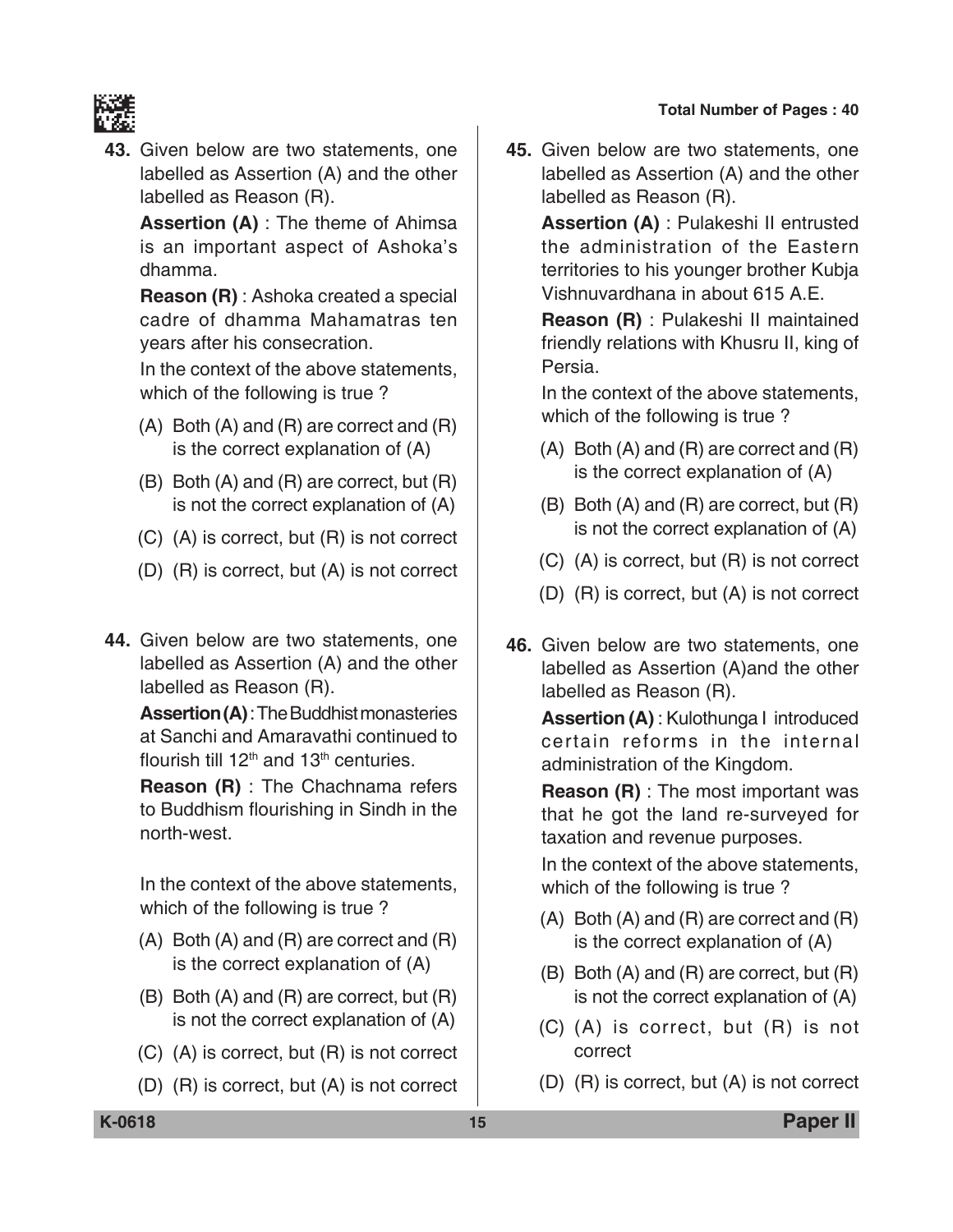

**43.** Given below are two statements, one labelled as Assertion (A) and the other labelled as Reason (R).

 **Assertion (A)** : The theme of Ahimsa is an important aspect of Ashoka's dhamma.

 **Reason (R)** : Ashoka created a special cadre of dhamma Mahamatras ten years after his consecration.

 In the context of the above statements, which of the following is true ?

- (A) Both (A) and (R) are correct and (R) is the correct explanation of (A)
- (B) Both (A) and (R) are correct, but (R) is not the correct explanation of (A)
- (C) (A) is correct, but (R) is not correct
- (D) (R) is correct, but (A) is not correct
- **44.** Given below are two statements, one labelled as Assertion (A) and the other labelled as Reason (R).

**Assertion (A)** : The Buddhist monasteries at Sanchi and Amaravathi continued to flourish till  $12<sup>th</sup>$  and  $13<sup>th</sup>$  centuries.

 **Reason (R)** : The Chachnama refers to Buddhism flourishing in Sindh in the north-west.

 In the context of the above statements, which of the following is true ?

- (A) Both (A) and (R) are correct and (R) is the correct explanation of (A)
- (B) Both (A) and (R) are correct, but (R) is not the correct explanation of (A)
- (C) (A) is correct, but (R) is not correct
- (D) (R) is correct, but (A) is not correct

**45.** Given below are two statements, one labelled as Assertion (A) and the other labelled as Reason (R).

**Assertion (A)** : Pulakeshi II entrusted the administration of the Eastern territories to his younger brother Kubja Vishnuvardhana in about 615 A.E.

 **Reason (R)** : Pulakeshi II maintained friendly relations with Khusru II, king of Persia.

 In the context of the above statements, which of the following is true ?

- (A) Both (A) and (R) are correct and (R) is the correct explanation of (A)
- (B) Both (A) and (R) are correct, but (R) is not the correct explanation of (A)
- (C) (A) is correct, but (R) is not correct
- (D) (R) is correct, but (A) is not correct
- **46.** Given below are two statements, one labelled as Assertion (A)and the other labelled as Reason (R).

 **Assertion (A)** : Kulothunga I introduced certain reforms in the internal administration of the Kingdom.

**Reason (R)** : The most important was that he got the land re-surveyed for taxation and revenue purposes.

 In the context of the above statements, which of the following is true ?

- (A) Both (A) and (R) are correct and (R) is the correct explanation of (A)
- (B) Both (A) and (R) are correct, but (R) is not the correct explanation of (A)
- (C) (A) is correct, but (R) is not correct
- (D) (R) is correct, but (A) is not correct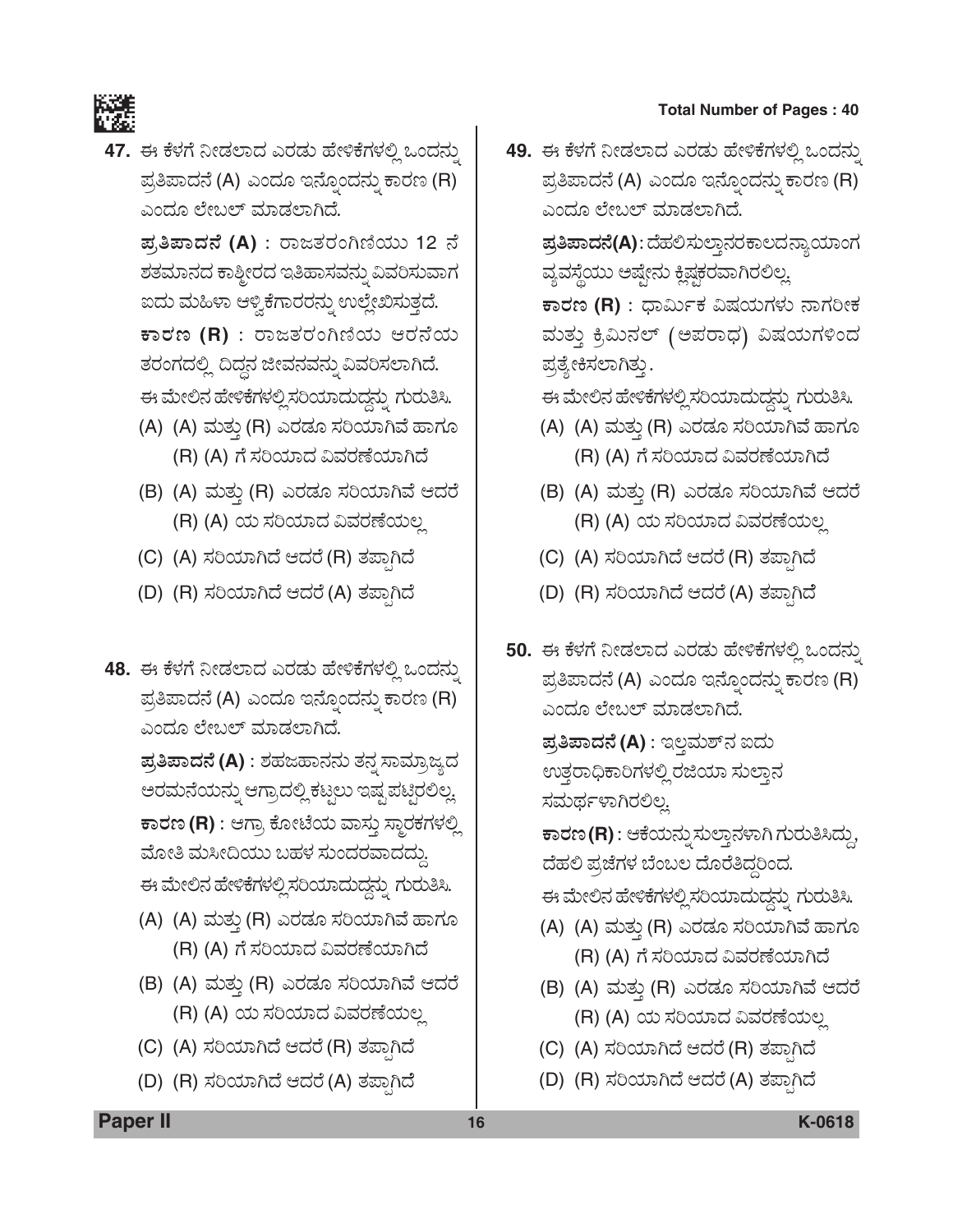

47. ಈ ಕೆಳಗೆ ನೀಡಲಾದ ಎರಡು ಹೇಳಿಕೆಗಳಲ್ಲಿ ಒಂದನ್ನು ಪ್ರತಿಪಾದನೆ (A) ಎಂದೂ ಇನ್ನೊಂದನ್ನು ಕಾರಣ (R) ಎಂದೂ ಲೇಬಲ್ ಮಾಡಲಾಗಿದೆ.

ಪ್ರತಿಪಾದನೆ (A) : ರಾಜತರಂಗಿಣಿಯು 12 ನೆ ಶತಮಾನದ ಕಾಶ್ಮೀರದ ಇತಿಹಾಸವನ್ನು ವಿವರಿಸುವಾಗ ಐದು ಮಹಿಳಾ ಆಳ್ವಿಕೆಗಾರರನ್ನು ಉಲ್ಲೇಖಿಸುತ್ತದೆ.  $\overline{p}$ ಕಾರಣ (R) : ರಾಜತರಂಗಿಣಿಯ ಆರನೆಯ ತರಂಗದಲ್ಲಿ ದಿದ್ದನ ಜೀವನವನ್ನು ವಿವರಿಸಲಾಗಿದೆ. ಈ ಮೇಲಿನ ಹೇಳಿಕೆಗಳಲ್ಲಿ ಸರಿಯಾದುದ್ದನ್ನು ಗುರುತಿಸಿ.

- (A) (A) ಮತ್ತು (R) ಎರಡೂ ಸರಿಯಾಗಿವೆ ಹಾಗೂ (R) (A) ಗೆ ಸರಿಯಾದ ವಿವರಣೆಯಾಗಿದೆ
- (B) (A) ಮತ್ತು (R) ಎರಡೂ ಸರಿಯಾಗಿವೆ ಆದರೆ (R) (A) ಯ ಸರಿಯಾದ ವಿವರಣೆಯಲ್ಲ
- (C) (A) ಸರಿಯಾಗಿದೆ ಆದರೆ (R) ತಪಾಗಿದೆ
- (D) (R) ಸರಿಯಾಗಿದೆ ಆದರೆ (A) ತಪ್ಪಾಗಿದೆ
- 48. ಈ ಕೆಳಗೆ ನೀಡಲಾದ ಎರಡು ಹೇಳಿಕೆಗಳಲ್ಲಿ ಒಂದನ್ನು ಪ್ರತಿಪಾದನೆ (A) ಎಂದೂ ಇನ್ನೊಂದನ್ನು ಕಾರಣ (R) ಎಂದೂ ಲೇಬಲ್ ಮಾಡಲಾಗಿದೆ.

ಪ್ರತಿಪಾದನೆ (A) : ಶಹಜಹಾನನು ತನ್ನ ಸಾಮ್ರಾಜ್ಯದ ಆರಮನೆಯನ್ನು ಆಗ್ರಾದಲ್ಲಿ ಕಟ್ಟಲು ಇಷ್ಟ ಪಟ್ಟಿರಲಿಲ್ಲ. ಕಾರಣ (R) : ಆಗ್ರಾ ಕೋಟೆಯ ವಾಸ್ತು ಸ್ಥಾರಕಗಳಲ್ಲಿ ಮೋತಿ ಮಸೀದಿಯು ಬಹಳ ಸುಂದರವಾದದ್ದು. ಈ ಮೇಲಿನ ಹೇಳಿಕೆಗಳಲ್ಲಿ ಸರಿಯಾದುದ್ದನ್ನು ಗುರುತಿಸಿ.

- (A) (A) ಮತ್ತು (R) ಎರಡೂ ಸರಿಯಾಗಿವೆ ಹಾಗೂ (R) (A) ಗೆ ಸರಿಯಾದ ವಿವರಣೆಯಾಗಿದೆ
- (B) (A) ಮತ್ತು (R) ಎರಡೂ ಸರಿಯಾಗಿವೆ ಆದರೆ (R) (A) ಯ ಸರಿಯಾದ ವಿವರಣೆಯಲ್ಲ
- (C) (A) ಸರಿಯಾಗಿದೆ ಆದರೆ (R) ತಪಾಗಿದೆ
- (D) (R) ಸರಿಯಾಗಿದೆ ಆದರೆ (A) ತಪಾಗಿದೆ

49. ಈ ಕೆಳಗೆ ನೀಡಲಾದ ಎರಡು ಹೇಳಿಕೆಗಳಲ್ಲಿ ಒಂದನ್ನು ಪ್ರತಿಪಾದನೆ (A) ಎಂದೂ ಇನ್ನೊಂದನ್ನು ಕಾರಣ (R) ಎಂದೂ ಲೇಬಲ್ ಮಾಡಲಾಗಿದೆ.

> ಪ್ರತಿಪಾದನೆ(A): ದೆಹಲಿಸುಲ್ತಾನರಕಾಲದನ್ನಾಯಾಂಗ ವ್ಯವಸ್ಥೆಯು ಅಷ್ಟೇನು ಕ್ಲಿಷ್ಗಕರವಾಗಿರಲಿಲ್ಲ.

> ಕಾರಣ (R) : ಧಾರ್ಮಿಕ ವಿಷಯಗಳು ನಾಗರೀಕ ಮತ್ತು ಕ್ರಿಮಿನಲ್ (ಅಪರಾಧ) ವಿಷಯಗಳಿಂದ ಪ್ರತ್ಯೇಕಿಸಲಾಗಿತ್ತು.

ಈ ಮೇಲಿನ ಹೇಳಿಕೆಗಳಲ್ಲಿ ಸರಿಯಾದುದ್ದನ್ನು ಗುರುತಿಸಿ.

- (A) (A) ಮತ್ತು (R) ಎರಡೂ ಸರಿಯಾಗಿವೆ ಹಾಗೂ (R) (A) ಗೆ ಸರಿಯಾದ ವಿವರಣೆಯಾಗಿದೆ
- (B) (A) ಮತ್ತು (R) ಎರಡೂ ಸರಿಯಾಗಿವೆ ಆದರೆ (R) (A) ಯ ಸರಿಯಾದ ವಿವರಣೆಯಲ್ಲ
- (C) (A) ಸರಿಯಾಗಿದೆ ಆದರೆ (R) ತಪಾಗಿದೆ
- (D) (R) ಸರಿಯಾಗಿದೆ ಆದರೆ (A) ತಪಾಗಿದೆ
- 50. ಈ ಕೆಳಗೆ ನೀಡಲಾದ ಎರಡು ಹೇಳಿಕೆಗಳಲ್ಲಿ ಒಂದನ್ನು ಪ್ರತಿಪಾದನೆ (A) ಎಂದೂ ಇನ್ನೊಂದನ್ನು ಕಾರಣ (R) ಎಂದೂ ಲೇಬಲ್ ಮಾಡಲಾಗಿದೆ. **ಪ್ರತಿಪಾದನೆ (A)** : ಇಲ್ಲಮಶ್ನ ಐದು ಉತ್ತರಾಧಿಕಾರಿಗಳಲ್ಲಿ ರಜಿಯಾ ಸುಲ್ತಾನ ಸಮರ್ಥಳಾಗಿರಲಿಲ್ಲ ಕಾರಣ (R) : ಆಕೆಯನ್ನು ಸುಲ್ತಾನಳಾಗಿ ಗುರುತಿಸಿದ್ದು, ದೆಹಲಿ ಪ್ರಜೆಗಳ ಬೆಂಬಲ ದೊರೆತಿದ್ದರಿಂದ. ಈ ಮೇಲಿನ ಹೇಳಿಕೆಗಳಲ್ಲಿ ಸರಿಯಾದುದ್ದನ್ನು ಗುರುತಿಸಿ. (A) (A) ಮತ್ತು (R) ಎರಡೂ ಸರಿಯಾಗಿವೆ ಹಾಗೂ (R) (A) ಗೆ ಸರಿಯಾದ ವಿವರಣೆಯಾಗಿದೆ
	- (B) (A) ಮತ್ತು (R) ಎರಡೂ ಸರಿಯಾಗಿವೆ ಆದರೆ (R) (A) ಯ ಸರಿಯಾದ ವಿವರಣೆಯಲ್ಲ
	- (C) (A) ಸರಿಯಾಗಿದೆ ಆದರೆ (R) ತಪಾಗಿದೆ
	- (D) (R) ಸರಿಯಾಗಿದೆ ಆದರೆ (A) ತಪಾಗಿದೆ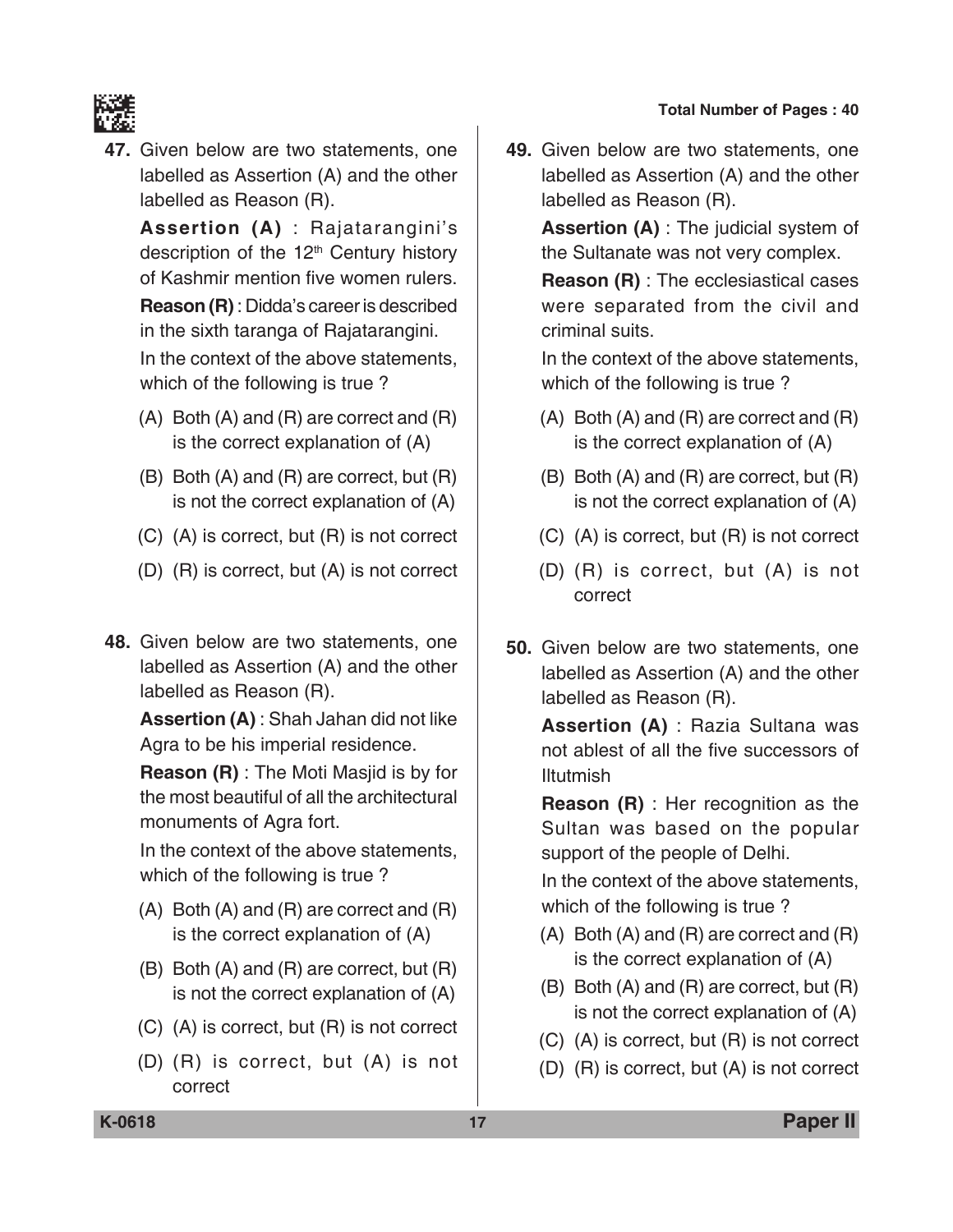

**47.** Given below are two statements, one labelled as Assertion (A) and the other labelled as Reason (R).

 **Assertion (A)** : Rajatarangini's description of the 12<sup>th</sup> Century history of Kashmir mention five women rulers. **Reason (R)** : Didda's career is described in the sixth taranga of Rajatarangini. In the context of the above statements, which of the following is true ?

- (A) Both (A) and (R) are correct and (R) is the correct explanation of (A)
- (B) Both (A) and (R) are correct, but (R) is not the correct explanation of (A)
- (C) (A) is correct, but (R) is not correct
- (D) (R) is correct, but (A) is not correct
- **48.** Given below are two statements, one labelled as Assertion (A) and the other labelled as Reason (R).

**Assertion (A)** : Shah Jahan did not like Agra to be his imperial residence.

 **Reason (R)** : The Moti Masjid is by for the most beautiful of all the architectural monuments of Agra fort.

 In the context of the above statements, which of the following is true ?

- (A) Both (A) and (R) are correct and (R) is the correct explanation of (A)
- (B) Both (A) and (R) are correct, but (R) is not the correct explanation of (A)
- (C) (A) is correct, but (R) is not correct
- (D) (R) is correct, but (A) is not correct

**49.** Given below are two statements, one labelled as Assertion (A) and the other labelled as Reason (R).

**Assertion (A)** : The judicial system of the Sultanate was not very complex.

 **Reason (R)** : The ecclesiastical cases were separated from the civil and criminal suits.

 In the context of the above statements, which of the following is true ?

- (A) Both (A) and (R) are correct and (R) is the correct explanation of (A)
- (B) Both (A) and (R) are correct, but (R) is not the correct explanation of (A)
- (C) (A) is correct, but (R) is not correct
- (D) (R) is correct, but (A) is not correct
- **50.** Given below are two statements, one labelled as Assertion (A) and the other labelled as Reason (R).

**Assertion (A)** : Razia Sultana was not ablest of all the five successors of Iltutmish

 **Reason (R)** : Her recognition as the Sultan was based on the popular support of the people of Delhi.

 In the context of the above statements, which of the following is true ?

- (A) Both (A) and (R) are correct and (R) is the correct explanation of (A)
- (B) Both (A) and (R) are correct, but (R) is not the correct explanation of (A)
- (C) (A) is correct, but (R) is not correct
- (D) (R) is correct, but (A) is not correct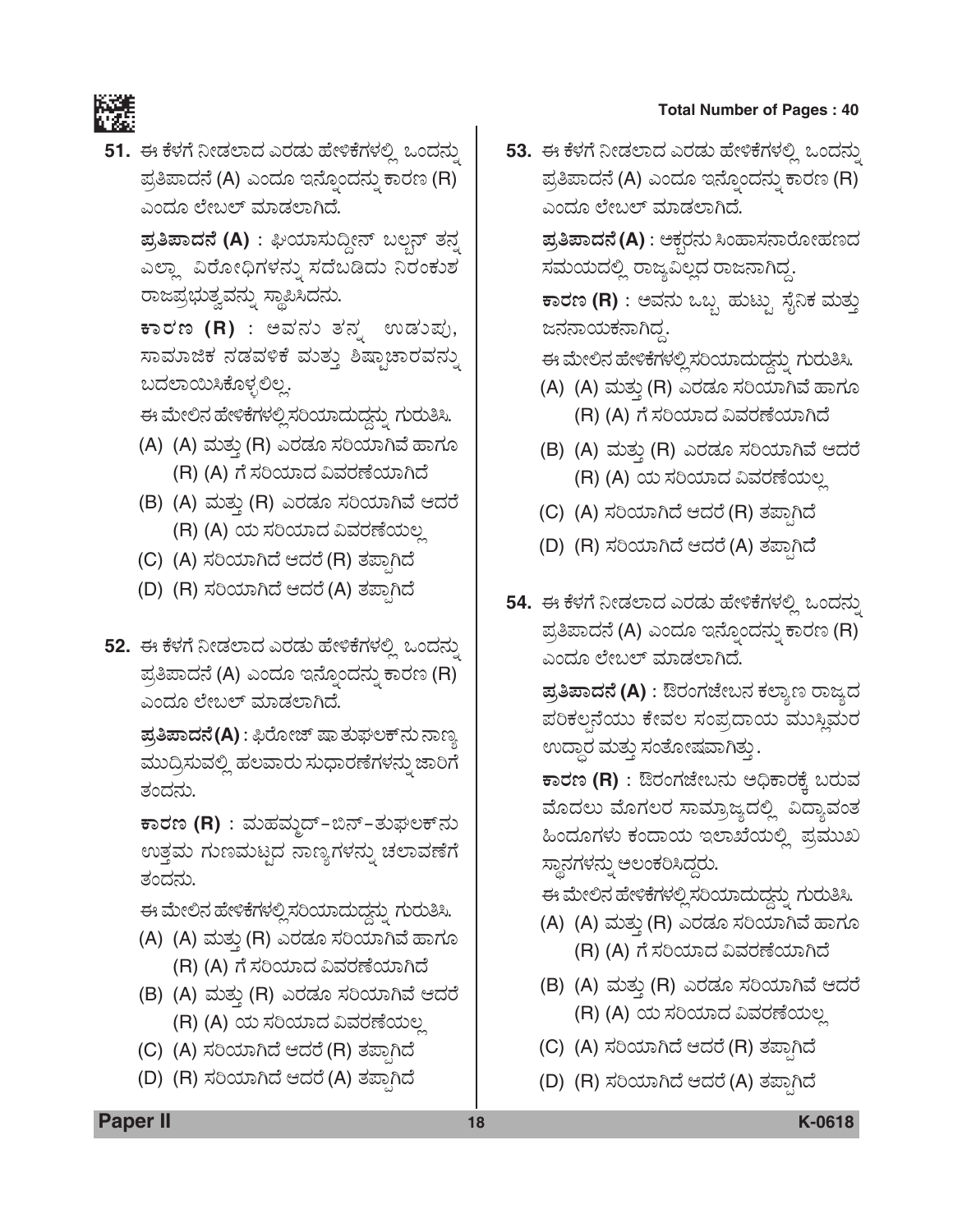

51. ಈ ಕೆಳಗೆ ನೀಡಲಾದ ಎರಡು ಹೇಳಿಕೆಗಳಲ್ಲಿ ಒಂದನ್ನು ಪ್ರತಿಪಾದನೆ (A) ಎಂದೂ ಇನ್ನೊಂದನ್ನು ಕಾರಣ (R) ಎಂದೂ ಲೇಬಲ್ ಮಾಡಲಾಗಿದೆ.

ಪ್ರತಿಪಾದನೆ (A) : ಘಿಯಾಸುದ್ದೀನ್ ಬಲ್ಬನ್ ತನ್ನ ಎಲ್ಲಾ ವಿರೋಧಿಗಳನ್ನು ಸದೆಬಡಿದು ನಿರಂಕುಶ ರಾಜಪ್ರಭುತ್ವವನ್ನು ಸ್ಥಾಪಿಸಿದನು.

ಕಾರಣ (R) : ಅವನು ತನ್ನ ಉಡುಪು, ಸಾಮಾಜಿಕ ನಡವಳಿಕೆ ಮತ್ತು ಶಿಷ್ಟಾಚಾರವನ್ನು ಬದಲಾಯಿಸಿಕೊಳ್ಳಲಿಲ್ಲ.

ಈ ಮೇಲಿನ ಹೇಳಿಕೆಗಳಲ್ಲಿ ಸರಿಯಾದುದ್ದನ್ನು ಗುರುತಿಸಿ.

- (A) (A) ಮತ್ತು (R) ಎರಡೂ ಸರಿಯಾಗಿವೆ ಹಾಗೂ (R) (A) ಗೆ ಸರಿಯಾದ ವಿವರಣೆಯಾಗಿದೆ
- (B) (A) ಮತ್ತು (R) ಎರಡೂ ಸರಿಯಾಗಿವೆ ಆದರೆ (R) (A) ಯ ಸರಿಯಾದ ವಿವರಣೆಯಲ್ಲ
- (C) (A) ಸರಿಯಾಗಿದೆ ಆದರೆ (R) ತಪ್ಪಾಗಿದೆ
- (D) (R) ಸರಿಯಾಗಿದೆ ಆದರೆ (A) ತಪಾಗಿದೆ
- 52. ಈ ಕೆಳಗೆ ನೀಡಲಾದ ಎರಡು ಹೇಳಿಕೆಗಳಲ್ಲಿ ಒಂದನ್ನು ಪ್ರತಿಪಾದನೆ (A) ಎಂದೂ ಇನ್ನೊಂದನ್ನು ಕಾರಣ (R) ಎಂದೂ ಲೇಬಲ್ ಮಾಡಲಾಗಿದೆ.

**ಪ್ರತಿಪಾದನೆ(A)** : ಫಿರೋಜ್ ಷಾ ತುಘಲಕ್*ನು* ನಾಣ್ಯ ಮುದ್ರಿಸುವಲ್ಲಿ ಹಲವಾರು ಸುಧಾರಣೆಗಳನ್ನು ಜಾರಿಗೆ ತಂದನು.

ಕಾರಣ (R) : ಮಹಮ್ಮದ್–ಬಿನ್–ತುಘಲಕ್*ನು* ಉತ್ತಮ ಗುಣಮಟ್ಟದ ನಾಣ್ಯಗಳನ್ನು ಚಲಾವಣೆಗೆ ತಂದನು.

ಈ ಮೇಲಿನ ಹೇಳಿಕೆಗಳಲ್ಲಿ ಸರಿಯಾದುದ್ದನ್ನು ಗುರುತಿಸಿ.

- (A) (A) ಮತ್ತು (R) ಎರಡೂ ಸರಿಯಾಗಿವೆ ಹಾಗೂ (R) (A) ಗೆ ಸರಿಯಾದ ವಿವರಣೆಯಾಗಿದೆ
- (B) (A) ಮತ್ತು (R) ಎರಡೂ ಸರಿಯಾಗಿವೆ ಆದರೆ (R) (A) ಯ ಸರಿಯಾದ ವಿವರಣೆಯಲ್ಲ
- (C) (A) ಸರಿಯಾಗಿದೆ ಆದರೆ (R) ತಪ್ಪಾಗಿದೆ
- (D) (R) ಸರಿಯಾಗಿದೆ ಆದರೆ (A) ತಪ್ಪಾಗಿದೆ

53. ಈ ಕೆಳಗೆ ನೀಡಲಾದ ಎರಡು ಹೇಳಿಕೆಗಳಲ್ಲಿ ಒಂದನ್ನು ಪ್ರತಿಪಾದನೆ (A) ಎಂದೂ ಇನ್ನೊಂದನ್ನು ಕಾರಣ (R) ಎಂದೂ ಲೇಬಲ್ ಮಾಡಲಾಗಿದೆ.

ಪ್ರತಿಪಾದನೆ (A) : ಅಕ್ಗರನು ಸಿಂಹಾಸನಾರೋಹಣದ ಸಮಯದಲ್ಲಿ ರಾಜ್ಯವಿಲ್ಲದ ರಾಜನಾಗಿದ್ದ.

ಕಾರಣ (R) : ಅವನು ಒಬ್ಬ ಹುಟ್ಟು ಸೈನಿಕ ಮತ್ತು ಜನನಾಯಕನಾಗಿದ್ದ.

ಈ ಮೇಲಿನ ಹೇಳಿಕೆಗಳಲ್ಲಿ ಸರಿಯಾದುದ್ದನ್ನು ಗುರುತಿಸಿ.

- (A) (A) ಮತ್ತು (R) ಎರಡೂ ಸರಿಯಾಗಿವೆ ಹಾಗೂ (R) (A) ಗೆ ಸರಿಯಾದ ವಿವರಣೆಯಾಗಿದೆ
- (B) (A) ಮತ್ತು (R) ಎರಡೂ ಸರಿಯಾಗಿವೆ ಆದರೆ (R) (A) ಯ ಸರಿಯಾದ ವಿವರಣೆಯಲ್ಲ
- (C) (A) ಸರಿಯಾಗಿದೆ ಆದರೆ (R) ತಪಾಗಿದೆ
- (D) (R) ಸರಿಯಾಗಿದೆ ಆದರೆ (A) ತಪ್ಪಾಗಿದೆ
- 54. ಈ ಕೆಳಗೆ ನೀಡಲಾದ ಎರಡು ಹೇಳಿಕೆಗಳಲ್ಲಿ ಒಂದನ್ನು ಪ್ರತಿಪಾದನೆ (A) ಎಂದೂ ಇನ್ನೊಂದನ್ನು ಕಾರಣ (R) ಎಂದೂ ಲೇಬಲ್ ಮಾಡಲಾಗಿದೆ.

**ಪ್ರತಿಪಾದನೆ (A)** : ಔರಂಗಜೇಬನ ಕಲ್ಯಾಣ ರಾಜ್ಯದ ಪರಿಕಲ್ಪನೆಯು ಕೇವಲ ಸಂಪ್ರದಾಯ ಮುಸ್ಥಿಮರ ಉದ್ಧಾರ ಮತ್ತು ಸಂತೋಷವಾಗಿತ್ತು .

ಕಾರಣ (R) : ಔರಂಗಜೇಬನು ಅಧಿಕಾರಕ್ಕೆ ಬರುವ ಮೊದಲು ಮೊಗಲರ ಸಾಮ್ರಾಜ್ಯದಲ್ಲಿ ವಿದ್ಯಾವಂತ ಹಿಂದೂಗಳು ಕಂದಾಯ ಇಲಾಖೆಯಲ್ಲಿ ಪ್ರಮುಖ ಸ್ಥಾನಗಳನ್ನು ಅಲಂಕರಿಸಿದ್ದರು.

ಈ ಮೇಲಿನ ಹೇಳಿಕೆಗಳಲ್ಲಿ ಸರಿಯಾದುದ್ದನ್ನು ಗುರುತಿಸಿ.

- (A) (A) ಮತ್ತು (R) ಎರಡೂ ಸರಿಯಾಗಿವೆ ಹಾಗೂ (R) (A) ಗೆ ಸರಿಯಾದ ವಿವರಣೆಯಾಗಿದೆ
- (B) (A) ಮತ್ತು (R) ಎರಡೂ ಸರಿಯಾಗಿವೆ ಆದರೆ (R) (A) ಯ ಸರಿಯಾದ ವಿವರಣೆಯಲ್ಲ
- (C) (A) ಸರಿಯಾಗಿದೆ ಆದರೆ (R) ತಪಾಗಿದೆ
- (D) (R) ಸರಿಯಾಗಿದೆ ಆದರೆ (A) ತಪಾಗಿದೆ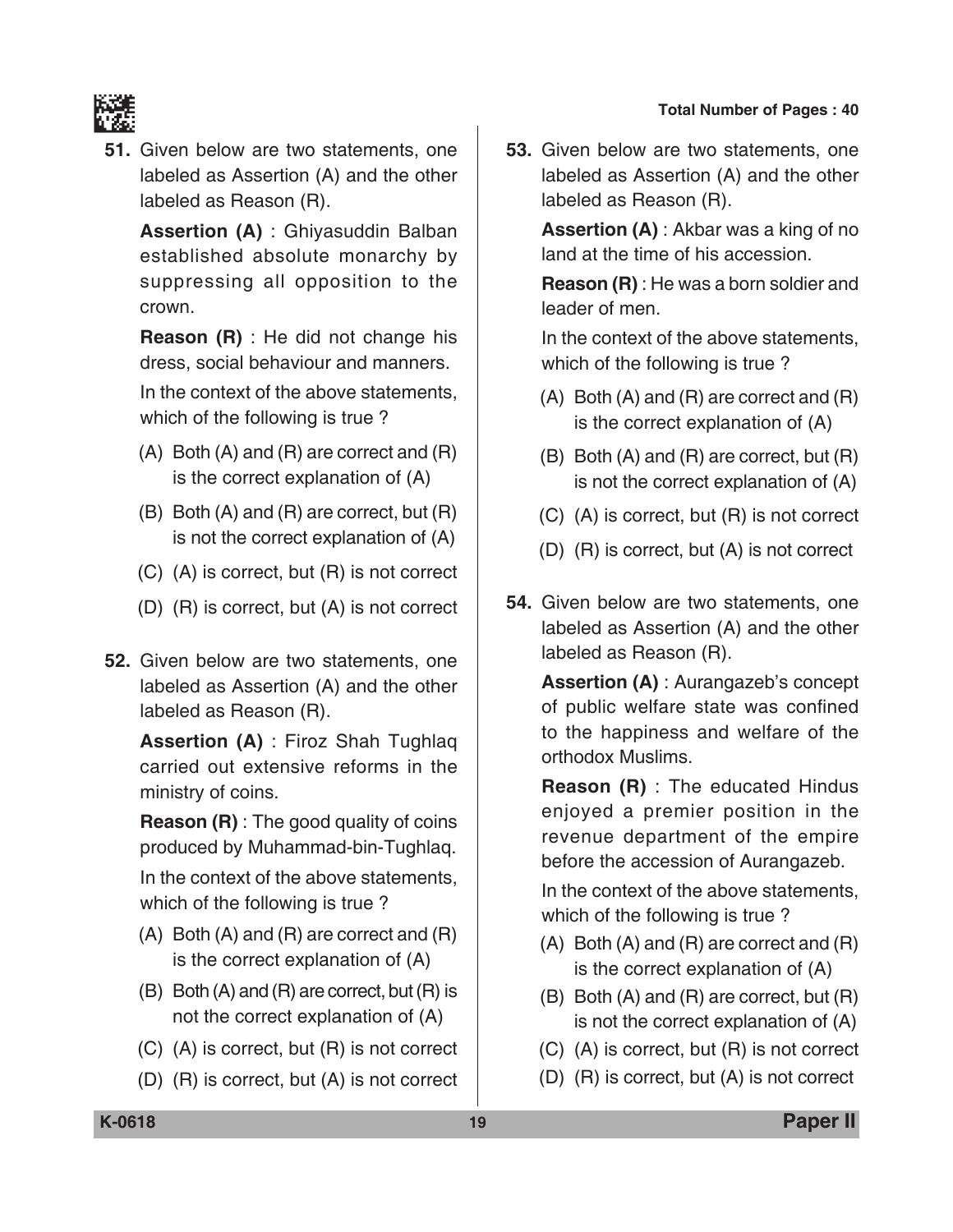

**51.** Given below are two statements, one labeled as Assertion (A) and the other labeled as Reason (R).

 **Assertion (A)** : Ghiyasuddin Balban established absolute monarchy by suppressing all opposition to the crown.

 **Reason (R)** : He did not change his dress, social behaviour and manners.

 In the context of the above statements, which of the following is true ?

- (A) Both (A) and (R) are correct and (R) is the correct explanation of (A)
- (B) Both (A) and (R) are correct, but (R) is not the correct explanation of (A)
- (C) (A) is correct, but (R) is not correct
- (D) (R) is correct, but (A) is not correct
- **52.** Given below are two statements, one labeled as Assertion (A) and the other labeled as Reason (R).

 **Assertion (A)** : Firoz Shah Tughlaq carried out extensive reforms in the ministry of coins.

**Reason (R)** : The good quality of coins produced by Muhammad-bin-Tughlaq.

 In the context of the above statements, which of the following is true ?

- (A) Both (A) and (R) are correct and (R) is the correct explanation of (A)
- (B) Both (A) and (R) are correct, but (R) is not the correct explanation of (A)
- (C) (A) is correct, but (R) is not correct
- (D) (R) is correct, but (A) is not correct

**53.** Given below are two statements, one labeled as Assertion (A) and the other labeled as Reason (R).

> **Assertion (A)** : Akbar was a king of no land at the time of his accession.

> **Reason (R)** : He was a born soldier and leader of men.

> In the context of the above statements, which of the following is true ?

- (A) Both (A) and (R) are correct and (R) is the correct explanation of (A)
- (B) Both (A) and (R) are correct, but (R) is not the correct explanation of (A)
- (C) (A) is correct, but (R) is not correct
- (D) (R) is correct, but (A) is not correct
- **54.** Given below are two statements, one labeled as Assertion (A) and the other labeled as Reason (R).

 **Assertion (A)** : Aurangazeb's concept of public welfare state was confined to the happiness and welfare of the orthodox Muslims.

 **Reason (R)** : The educated Hindus enjoyed a premier position in the revenue department of the empire before the accession of Aurangazeb.

 In the context of the above statements, which of the following is true ?

- (A) Both (A) and (R) are correct and (R) is the correct explanation of (A)
- (B) Both (A) and (R) are correct, but (R) is not the correct explanation of (A)
- (C) (A) is correct, but (R) is not correct
- (D) (R) is correct, but (A) is not correct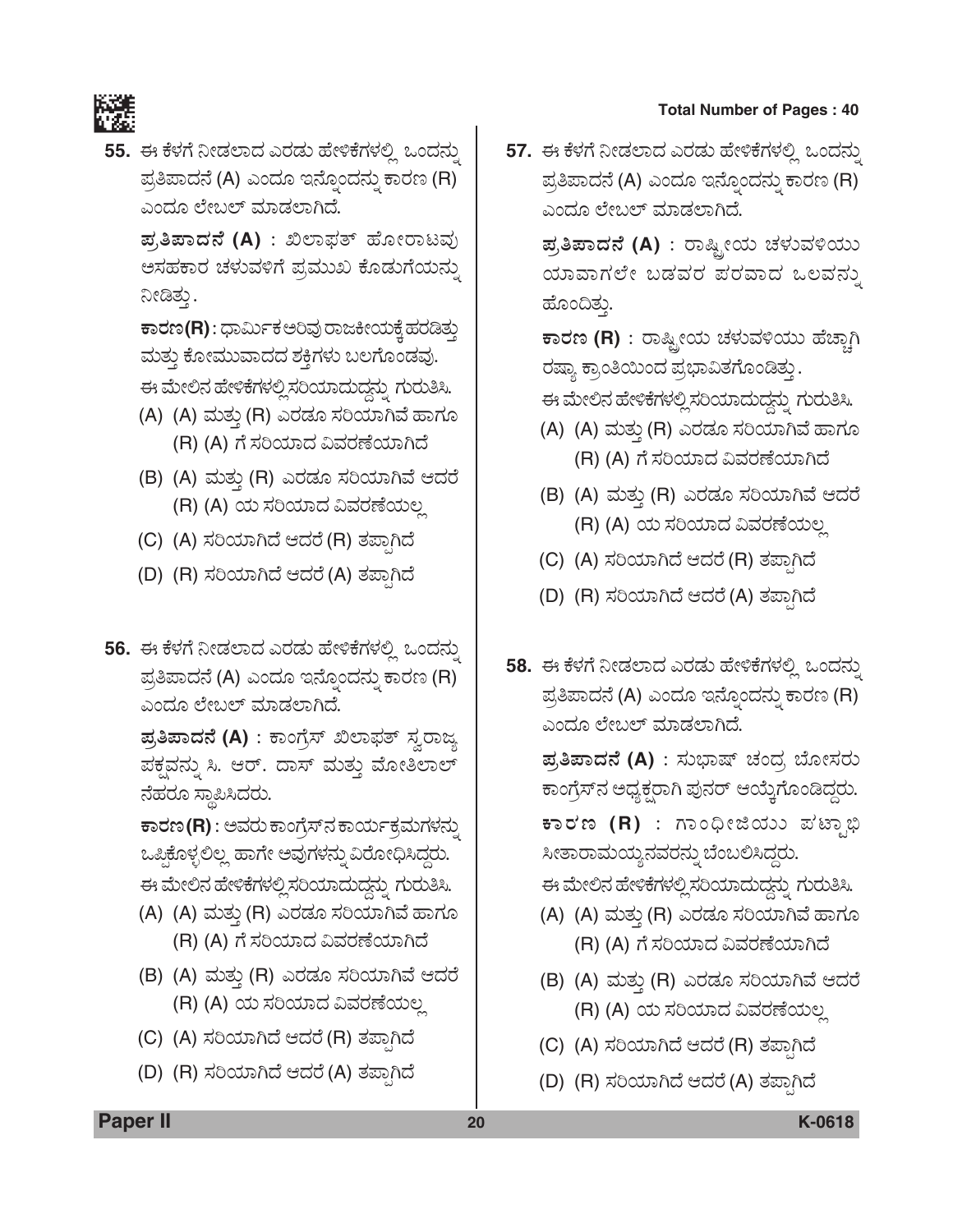

55. ಈ ಕೆಳಗೆ ನೀಡಲಾದ ಎರಡು ಹೇಳಿಕೆಗಳಲ್ಲಿ ಒಂದನ್ನು ಪ್ರತಿಪಾದನೆ (A) ಎಂದೂ ಇನ್ನೊಂದನ್ನು ಕಾರಣ (R) ಎಂದೂ ಲೇಬಲ್ ಮಾಡಲಾಗಿದೆ.

> ಪ್ರತಿಪಾದನೆ (A) : ಖಿಲಾಫತ್ ಹೋರಾಟವು ಅಸಹಕಾರ ಚಳುವಳಿಗೆ ಪ್ರಮುಖ ಕೊಡುಗೆಯನ್ನು ನೀಡಿತ್ತು.

> ಕಾರಣ(R): ಧಾರ್ಮಿಕ ಅರಿವು ರಾಜಕೀಯಕ್ಕೆ ಹರಡಿತ್ತು ಮತ್ತು ಕೋಮುವಾದದ ಶಕ್ತಿಗಳು ಬಲಗೊಂಡವು.

- ಈ ಮೇಲಿನ ಹೇಳಿಕೆಗಳಲ್ಲಿ ಸರಿಯಾದುದ್ದನ್ನು ಗುರುತಿಸಿ.
- (A) (A) ಮತ್ತು (R) ಎರಡೂ ಸರಿಯಾಗಿವೆ ಹಾಗೂ (R) (A) ಗೆ ಸರಿಯಾದ ವಿವರಣೆಯಾಗಿದೆ
- (B) (A) ಮತ್ತು (R) ಎರಡೂ ಸರಿಯಾಗಿವೆ ಆದರೆ (R) (A) ಯ ಸರಿಯಾದ ವಿವರಣೆಯಲ್ಲ
- (C) (A) ಸರಿಯಾಗಿದೆ ಆದರೆ (R) ತಪಾಗಿದೆ
- (D) (R) ಸರಿಯಾಗಿದೆ ಆದರೆ (A) ತಪ್ಪಾಗಿದೆ
- 56. ಈ ಕೆಳಗೆ ನೀಡಲಾದ ಎರಡು ಹೇಳಿಕೆಗಳಲ್ಲಿ ಒಂದನ್ನು ಪ್ರತಿಪಾದನೆ (A) ಎಂದೂ ಇನ್ನೊಂದನ್ನು ಕಾರಣ (R) ಎಂದೂ ಲೇಬಲ್ ಮಾಡಲಾಗಿದೆ.

ಪ್ರತಿಪಾದನೆ (A) : ಕಾಂಗ್ರೆಸ್ ಖಿಲಾಫತ್ ಸ್ವರಾಜ್ಯ ಪಕ್ಷವನ್ನು ಸಿ. ಆರ್. ದಾಸ್ ಮತ್ತು ಮೋತಿಲಾಲ್ ನೆಹರೂ ಸ್ಥಾಪಿಸಿದರು.

ಕಾರಣ (R) : ಅವರು ಕಾಂಗ್ರೆಸ್ನ ಕಾರ್ಯಕ್ರಮಗಳನ್ನು ಒಪ್ಪಿಕೊಳ್ಳಲಿಲ್ಲ ಹಾಗೇ ಅವುಗಳನ್ನು ವಿರೋಧಿಸಿದ್ದರು. ಈ ಮೇಲಿನ ಹೇಳಿಕೆಗಳಲ್ಲಿ ಸರಿಯಾದುದ್ದನ್ನು ಗುರುತಿಸಿ.

- (A) (A) ಮತ್ತು (R) ಎರಡೂ ಸರಿಯಾಗಿವೆ ಹಾಗೂ (R) (A) ಗೆ ಸರಿಯಾದ ವಿವರಣೆಯಾಗಿದೆ
- (B) (A) ಮತ್ತು (R) ಎರಡೂ ಸರಿಯಾಗಿವೆ ಆದರೆ (R) (A) ಯ ಸರಿಯಾದ ವಿವರಣೆಯಲ್ಲ
- (C) (A) ಸರಿಯಾಗಿದೆ ಆದರೆ (R) ತಪಾಗಿದೆ
- (D) (R) ಸರಿಯಾಗಿದೆ ಆದರೆ (A) ತಪಾಗಿದೆ

57. ಈ ಕೆಳಗೆ ನೀಡಲಾದ ಎರಡು ಹೇಳಿಕೆಗಳಲ್ಲಿ ಒಂದನ್ನು ಪ್ರತಿಪಾದನೆ (A) ಎಂದೂ ಇನ್ನೊಂದನ್ನು ಕಾರಣ (R) ಎಂದೂ ಲೇಬಲ್ ಮಾಡಲಾಗಿದೆ.

ಪ್ರತಿಪಾದನೆ (A) : ರಾಷ್ಟ್ರೀಯ ಚಳುವಳಿಯು ಯಾವಾಗಲೇ ಬಡವರ ಪರವಾದ ಒಲವನ್ನು ಹೊಂದಿತ್ತು.

ಕಾರಣ (R) : ರಾಷ್ಟ್ರೀಯ ಚಳುವಳಿಯು ಹೆಚ್ಚಾಗಿ ರಷ್ಯಾ ಕ್ರಾಂತಿಯಿಂದ ಪ್ರಭಾವಿತಗೊಂಡಿತ್ತು.

ಈ ಮೇಲಿನ ಹೇಳಿಕೆಗಳಲ್ಲಿ ಸರಿಯಾದುದ್ದನ್ನು ಗುರುತಿಸಿ.

- (A) (A) ಮತ್ತು (R) ಎರಡೂ ಸರಿಯಾಗಿವೆ ಹಾಗೂ (R) (A) ಗೆ ಸರಿಯಾದ ವಿವರಣೆಯಾಗಿದೆ
- (B) (A) ಮತ್ತು (R) ಎರಡೂ ಸರಿಯಾಗಿವೆ ಆದರೆ (R) (A) ಯ ಸರಿಯಾದ ವಿವರಣೆಯಲ್ಲ
- (C) (A) ಸರಿಯಾಗಿದೆ ಆದರೆ (R) ತಪ್ಪಾಗಿದೆ
- (D) (R) ಸರಿಯಾಗಿದೆ ಆದರೆ (A) ತಪಾಗಿದೆ
- 58. ಈ ಕೆಳಗೆ ನೀಡಲಾದ ಎರಡು ಹೇಳಿಕೆಗಳಲ್ಲಿ ಒಂದನ್ನು ಪ್ರತಿಪಾದನೆ (A) ಎಂದೂ ಇನ್ನೊಂದನ್ನು ಕಾರಣ (R) ಎಂದೂ ಲೇಬಲ್ ಮಾಡಲಾಗಿದೆ.

ಪ್ರತಿಪಾದನೆ (A) : ಸುಭಾಷ್ ಚಂದ್ರ ಬೋಸರು ಕಾಂಗ್ರೆಸ್ನ ಅಧ್ಯಕ್ಷರಾಗಿ ಪುನರ್ ಆಯ್ಕೆಗೊಂಡಿದ್ದರು. ಕಾರಣ (R) : ಗಾಂಧೀಜಿಯು ಪಟ್ಟಾಭಿ ಸೀತಾರಾಮಯ್ಯನವರನ್ನು ಬೆಂಬಲಿಸಿದ್ದರು. ಈ ಮೇಲಿನ ಹೇಳಿಕೆಗಳಲ್ಲಿ ಸರಿಯಾದುದ್ದನ್ನು ಗುರುತಿಸಿ.

- (A) (A) ಮತ್ತು (R) ಎರಡೂ ಸರಿಯಾಗಿವೆ ಹಾಗೂ (R) (A) ಗೆ ಸರಿಯಾದ ವಿವರಣೆಯಾಗಿದೆ
- (B) (A) ಮತ್ತು (R) ಎರಡೂ ಸರಿಯಾಗಿವೆ ಆದರೆ (R) (A) ಯ ಸರಿಯಾದ ವಿವರಣೆಯಲ್ಲ
- (C) (A) ಸರಿಯಾಗಿದೆ ಆದರೆ (R) ತಪಾಗಿದೆ
- (D) (R) ಸರಿಯಾಗಿದೆ ಆದರೆ (A) ತಪಾಗಿದೆ

**Paper II** 

K-0618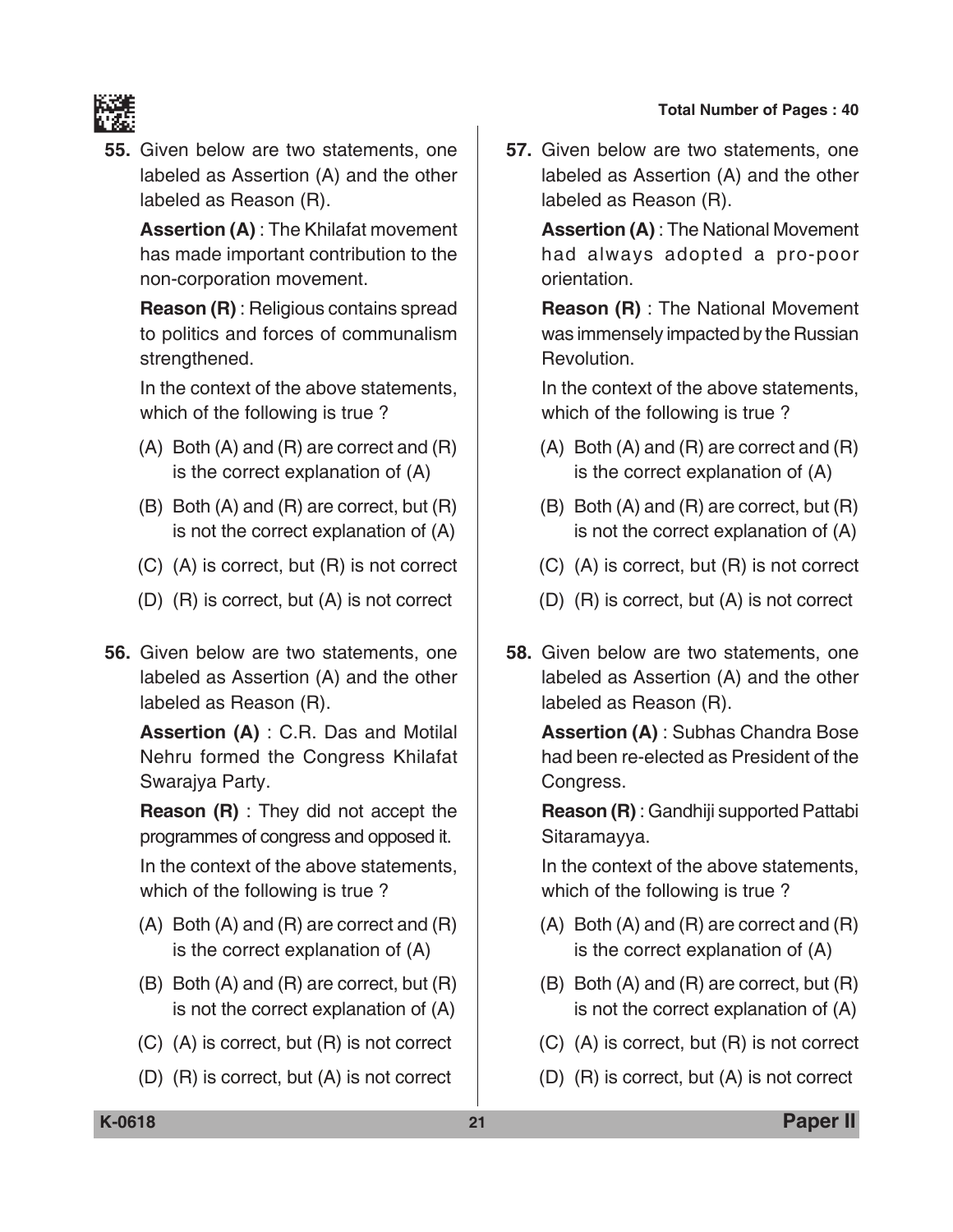

**55.** Given below are two statements, one labeled as Assertion (A) and the other labeled as Reason (R).

 **Assertion (A)** : The Khilafat movement has made important contribution to the non-corporation movement.

 **Reason (R)** : Religious contains spread to politics and forces of communalism strengthened.

 In the context of the above statements, which of the following is true ?

- (A) Both (A) and (R) are correct and (R) is the correct explanation of (A)
- (B) Both (A) and (R) are correct, but (R) is not the correct explanation of (A)
- (C) (A) is correct, but (R) is not correct
- (D) (R) is correct, but (A) is not correct
- **56.** Given below are two statements, one labeled as Assertion (A) and the other labeled as Reason (R).

 **Assertion (A)** : C.R. Das and Motilal Nehru formed the Congress Khilafat Swarajya Party.

 **Reason (R)** : They did not accept the programmes of congress and opposed it.

 In the context of the above statements, which of the following is true ?

- (A) Both (A) and (R) are correct and (R) is the correct explanation of (A)
- (B) Both (A) and (R) are correct, but (R) is not the correct explanation of (A)
- (C) (A) is correct, but (R) is not correct
- (D) (R) is correct, but (A) is not correct

**57.** Given below are two statements, one labeled as Assertion (A) and the other labeled as Reason (R).

> **Assertion (A)** : The National Movement had always adopted a pro-poor orientation.

> **Reason (R)** : The National Movement was immensely impacted by the Russian Revolution.

> In the context of the above statements, which of the following is true ?

- (A) Both (A) and (R) are correct and (R) is the correct explanation of (A)
- (B) Both (A) and (R) are correct, but (R) is not the correct explanation of (A)
- (C) (A) is correct, but (R) is not correct
- (D) (R) is correct, but (A) is not correct
- **58.** Given below are two statements, one labeled as Assertion (A) and the other labeled as Reason (R).

 **Assertion (A)** : Subhas Chandra Bose had been re-elected as President of the Congress.

 **Reason (R)** : Gandhiji supported Pattabi Sitaramayya.

 In the context of the above statements, which of the following is true ?

- (A) Both (A) and (R) are correct and (R) is the correct explanation of (A)
- (B) Both (A) and (R) are correct, but (R) is not the correct explanation of (A)
- (C) (A) is correct, but (R) is not correct
- (D) (R) is correct, but (A) is not correct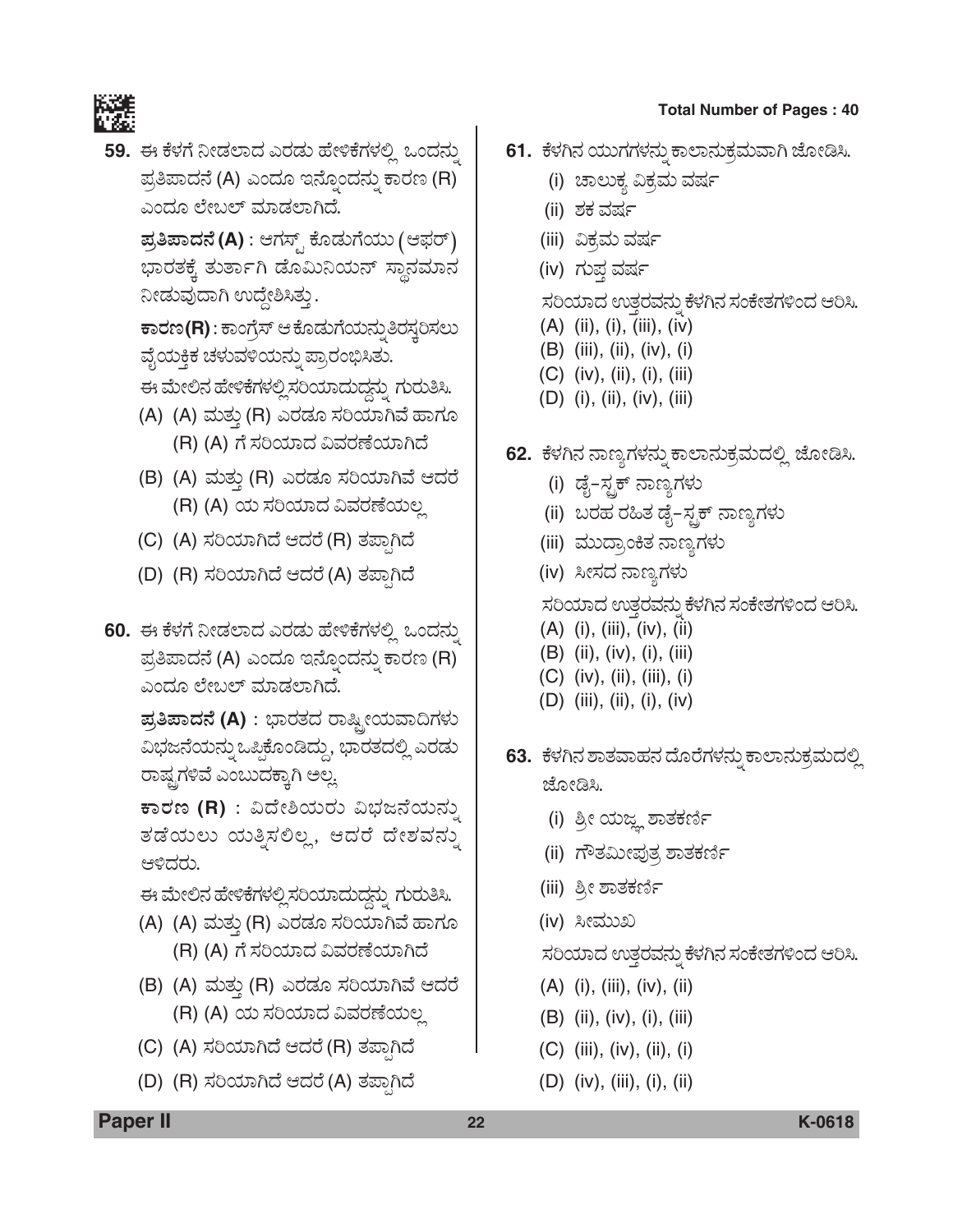

59. ಈ ಕೆಳಗೆ ನೀಡಲಾದ ಎರಡು ಹೇಳಿಕೆಗಳಲ್ಲಿ ಒಂದನ್ನು ಪ್ರತಿಪಾದನೆ (A) ಎಂದೂ ಇನ್ನೊಂದನ್ನು ಕಾರಣ (R) ಎಂದೂ ಲೇಬಲ್ ಮಾಡಲಾಗಿದೆ.

> $\vec{a}$ ತಿಪಾದನೆ (A) : ಆಗಸ್ಟ್ ಕೊಡುಗೆಯು (ಆಫರ್) ಭಾರತಕ್ಕೆ ತುರ್ತಾಗಿ ಡೊಮಿನಿಯನ್ ಸ್ಥಾನಮಾನ ನೀಡುವುದಾಗಿ ಉದ್ದೇಶಿಸಿತ್ತು.

> $\overline{P}$ ಕಾರಣ(R) : ಕಾಂಗ್ರೆಸ್ ಆ ಕೊಡುಗೆಯನ್ನು ತಿರಸ್ತರಿಸಲು ವೈಯಕ್ತಿಕ ಚಳುವಳಿಯನ್ನು ಪ್ರಾರಂಭಿಸಿತು.

ಈ ಮೇಲಿನ ಹೇಳಿಕೆಗಳಲ್ಲಿ ಸರಿಯಾದುದ್ದನ್ನು ಗುರುತಿಸಿ.

- (A) (A) ಮತ್ತು (R) ಎರಡೂ ಸರಿಯಾಗಿವೆ ಹಾಗೂ (R) (A) ಗೆ ಸರಿಯಾದ ವಿವರಣೆಯಾಗಿದೆ
- (B) (A) ಮತ್ತು (R) ಎರಡೂ ಸರಿಯಾಗಿವೆ ಆದರೆ (R) (A) ಯ ಸರಿಯಾದ ವಿವರಣೆಯಲ್ಲ
- (C) (A) ಸರಿಯಾಗಿದೆ ಆದರೆ (R) ತಪಾಗಿದೆ
- (D) (R) ಸರಿಯಾಗಿದೆ ಆದರೆ (A) ತಪ್ಪಾಗಿದೆ
- 60. ಈ ಕೆಳಗೆ ನೀಡಲಾದ ಎರಡು ಹೇಳಿಕೆಗಳಲ್ಲಿ ಒಂದನ್ನು ಪ್ರತಿಪಾದನೆ (A) ಎಂದೂ ಇನ್ನೊಂದನ್ನು ಕಾರಣ (R) ಎಂದೂ ಲೇಬಲ್ ಮಾಡಲಾಗಿದೆ.

 $\bar{z}$ ತಿಪಾದನೆ (A) : ಭಾರತದ ರಾಷ್ಟ್ರೀಯವಾದಿಗಳು ವಿಭಜನೆಯನ್ನು ಒಪ್ಪಿಕೊಂಡಿದ್ದು, ಭಾರತದಲ್ಲಿ ಎರಡು ರಾಷ್ಟ್ರಗಳಿವೆ ಎಂಬುದಕ್ಕಾಗಿ ಅಲ್ಲ

 $P$ ಕಾರಣ (R) : ವಿದೇಶಿಯರು ವಿಭಜನೆಯನ್ನು ತಡೆಯಲು ಯತ್ನಿಸಲಿಲ್ಲ, ಆದರೆ ದೇಶವನ್ನು ಆಳಿದರು.

ಈ ಮೇಲಿನ ಹೇಳಿಕೆಗಳಲ್ಲಿ ಸರಿಯಾದುದ್ದನ್ನು ಗುರುತಿಸಿ.

- (A) (A) ಮತ್ತು (R) ಎರಡೂ ಸರಿಯಾಗಿವೆ ಹಾಗೂ (R) (A) ಗೆ ಸರಿಯಾದ ವಿವರಣೆಯಾಗಿದೆ
- (B) (A) ಮತ್ತು (R) ಎರಡೂ ಸರಿಯಾಗಿವೆ ಆದರೆ (R) (A) ಯ ಸರಿಯಾದ ವಿವರಣೆಯಲ್ಲ
- (C) (A) ಸರಿಯಾಗಿದೆ ಆದರೆ (R) ತಪಾಗಿದೆ
- (D) (R) ಸರಿಯಾಗಿದೆ ಆದರೆ (A) ತಪಾಗಿದೆ
- **61.** ಕೆಳಗಿನ ಯುಗಗಳನ್ನು ಕಾಲಾನುಕ್ರಮವಾಗಿ ಜೋಡಿಸಿ.
	- (i) ಚಾಲುಕ್ತ ವಿಕ್ರಮ ವರ್ಷ
	- (ii) ಶಕ ವರ್ಷ
	- (iii) ವಿಕ್ರಮ ವರ್ಷ
	- (iv) ಗುಪ್ತ ವರ್ಷ

ಸರಿಯಾದ ಉತ್ತರವನ್ನು ಕೆಳಗಿನ ಸಂಕೇತಗಳಿಂದ ಆರಿಸಿ.

- $(A)$  (ii), (i), (iii), (iv)
- (B) (iii), (ii), (iv), (i)
- (C) (iv), (ii), (i), (iii)
- (D) (i), (ii), (iv), (iii)
- **62.** ಕೆಳಗಿನ ನಾಣ್ಯಗಳನ್ನು ಕಾಲಾನುಕ್ರಮದಲ್ಲಿ ಜೋಡಿಸಿ.
	- (i) ಡೈ–ಸ್ಟಕ್ ನಾಣ್ಯಗಳು
	- (ii) ಬರಹ ರಹಿತ ಡೈ–ಸ್ಟಕ್ ನಾಣ್ಯಗಳು
	- (iii) ಮುದ್ರಾಂಕಿತ ನಾಣ್ಯಗಳು
	- (iv) ಸೀಸದ ನಾಣ್ಯಗಳು

ಸರಿಯಾದ ಉತ್ತರವನ್ನು ಕೆಳಗಿನ ಸಂಕೇತಗಳಿಂದ ಆರಿಸಿ.

- (A) (i), (iii), (iv), (ii)
- (B) (ii), (iv), (i), (iii)
- (C) (iv), (ii), (iii), (i)
- (D) (iii), (ii), (i), (iv)
- **63.** ಕೆಳಗಿನ ಶಾತವಾಹನ ದೊರೆಗಳನ್ನು ಕಾಲಾನುಕ್ರಮದಲ್ಲಿ ಜೋಡಿಸಿ.
	- (i) ಶ್ರೀ ಯಜ್ಞ ಶಾತಕರ್ಣಿ
	- (ii) ಗೌತಮೀಪುತ್ರ ಶಾತಕರ್ಣಿ
	- (iii) ಶ್ರೀ ಶಾತಕರ್ಣಿ
	- (iv) ಸೀಮುಖ

ಸರಿಯಾದ ಉತ್ತರವನ್ನು ಕೆಳಗಿನ ಸಂಕೇತಗಳಿಂದ ಆರಿಸಿ.

- (A) (i), (iii), (iv), (ii)
- (B) (ii), (iv), (i), (iii)
- (C) (iii), (iv), (ii), (i)
- (D) (iv), (iii), (i), (ii)

**Paper II 22 K-0618**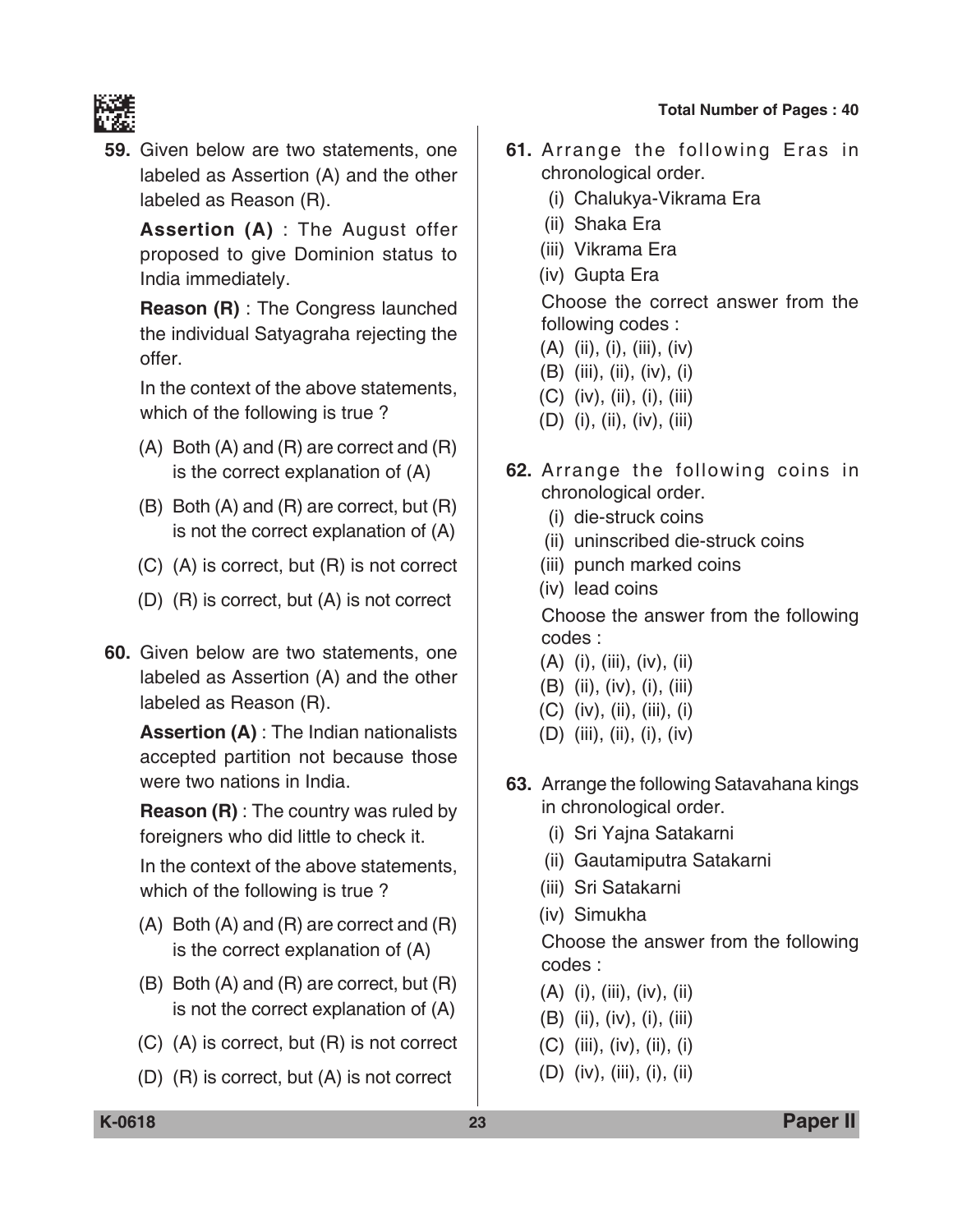

**59.** Given below are two statements, one labeled as Assertion (A) and the other labeled as Reason (R).

 **Assertion (A)** : The August offer proposed to give Dominion status to India immediately.

 **Reason (R)** : The Congress launched the individual Satyagraha rejecting the offer.

 In the context of the above statements, which of the following is true ?

- (A) Both (A) and (R) are correct and (R) is the correct explanation of (A)
- (B) Both (A) and (R) are correct, but (R) is not the correct explanation of (A)
- (C) (A) is correct, but (R) is not correct
- (D) (R) is correct, but (A) is not correct
- **60.** Given below are two statements, one labeled as Assertion (A) and the other labeled as Reason (R).

 **Assertion (A)** : The Indian nationalists accepted partition not because those were two nations in India.

 **Reason (R)** : The country was ruled by foreigners who did little to check it.

 In the context of the above statements, which of the following is true ?

- (A) Both (A) and (R) are correct and (R) is the correct explanation of (A)
- (B) Both (A) and (R) are correct, but (R) is not the correct explanation of (A)
- (C) (A) is correct, but (R) is not correct
- (D) (R) is correct, but (A) is not correct
- **61.** Arrange the following Eras in chronological order.
	- (i) Chalukya-Vikrama Era
	- (ii) Shaka Era
	- (iii) Vikrama Era
	- (iv) Gupta Era

 Choose the correct answer from the following codes :

- (A) (ii), (i), (iii), (iv)
- (B) (iii), (ii), (iv), (i)
- (C) (iv), (ii), (i), (iii)
- (D) (i), (ii), (iv), (iii)
- **62.** Arrange the following coins in chronological order.
	- (i) die-struck coins
	- (ii) uninscribed die-struck coins
	- (iii) punch marked coins
	- (iv) lead coins

 Choose the answer from the following codes :

- (A) (i), (iii), (iv), (ii)
- (B) (ii), (iv), (i), (iii)
- (C) (iv), (ii), (iii), (i)
- (D) (iii), (ii), (i), (iv)
- **63.** Arrange the following Satavahana kings in chronological order.
	- (i) Sri Yajna Satakarni
	- (ii) Gautamiputra Satakarni
	- (iii) Sri Satakarni
	- (iv) Simukha

 Choose the answer from the following codes :

- (A) (i), (iii), (iv), (ii)
- (B) (ii), (iv), (i), (iii)
- (C) (iii), (iv), (ii), (i)
- (D) (iv), (iii), (i), (ii)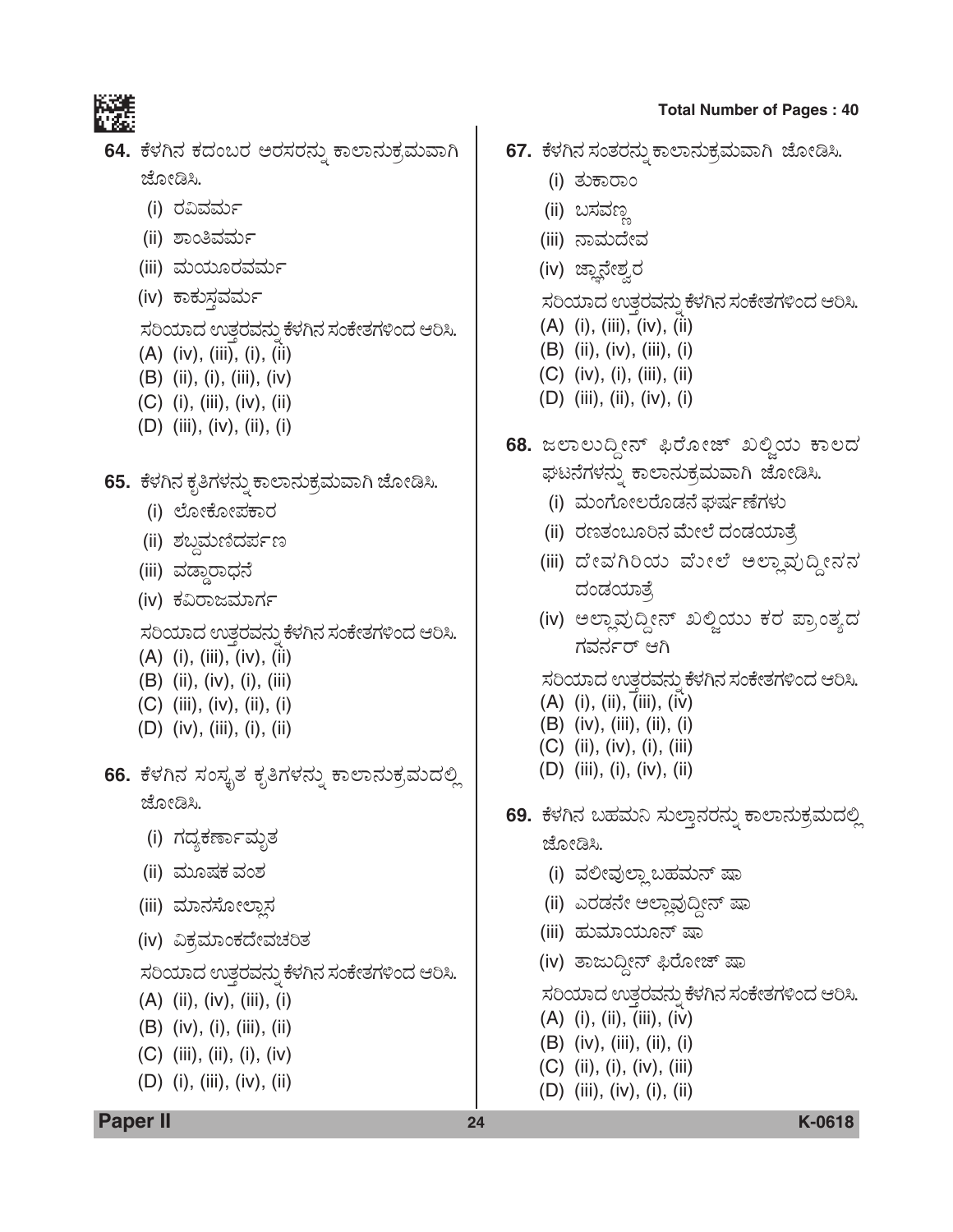

- 64. ಕೆಳಗಿನ ಕದಂಬರ ಅರಸರನ್ನು ಕಾಲಾನುಕ್ರಮವಾಗಿ ಜೋಡಿಸಿ.
	- (i) ರವಿವರ್ಮ
	- (ii) ಶಾಂತಿವರ್ಮ
	- (iii) ಮಯೂರವರ್ಮ
	- (iv) ಕಾಕುಸ್ತವರ್ಮ

ಸರಿಯಾದ ಉತ್ತರವನ್ನು ಕೆಳಗಿನ ಸಂಕೇತಗಳಿಂದ ಆರಿಸಿ.

- (A) (iv), (iii), (i), (ii)
- (B) (ii), (i), (iii), (iv)
- (C) (i), (iii), (iv), (ii)
- (D) (iii), (iv), (ii), (i)
- **65.** ಕೆಳಗಿನ ಕೃತಿಗಳನ್ನು ಕಾಲಾನುಕ್ರಮವಾಗಿ ಜೋಡಿಸಿ.
	- (i) ಲೋಕೋಪಕಾರ
	- (ii) ಶಬ್ದಮಣಿದರ್ಪಣ
	- (iii) ವಡ್ಡಾರಾಧನೆ
	- (iv) ಕವಿರಾಜಮಾರ್ಗ
	- ಸರಿಯಾದ ಉತ್ತರವನ್ನು ಕೆಳಗಿನ ಸಂಕೇತಗಳಿಂದ ಆರಿಸಿ.
	- (A) (i), (iii), (iv), (ii)
	- (B) (ii), (iv), (i), (iii)
	- (C) (iii), (iv), (ii), (i)
	- (D) (iv), (iii), (i), (ii)
- **66.** ಕೆಳಗಿನ ಸಂಸ್ಕೃತ ಕೃತಿಗಳನ್ನು ಕಾಲಾನುಕ್ರಮದಲ್ಲಿ ಜೋಡಿಸಿ.
	- (i) ಗದ್ಯಕರ್ಣಾಮೃತ
	- (ii) ಮೂಷಕ ವಂಶ
	- (iii) ಮಾನಸೋಲ್ತಾನ
	- (iv) ವಿಕ್ರಮಾಂಕದೇವಚರಿತ

ಸರಿಯಾದ ಉತ್ತರವನ್ನು ಕೆಳಗಿನ ಸಂಕೇತಗಳಿಂದ ಆರಿಸಿ.

- (A) (ii), (iv), (iii), (i)
- (B) (iv), (i), (iii), (ii)
- (C) (iii), (ii), (i), (iv)
- (D) (i), (iii), (iv), (ii)

**Total Number of Pages : 40**

- 67. ಕೆಳಗಿನ ಸಂತರನ್ನು ಕಾಲಾನುಕ್ರಮವಾಗಿ ಜೋಡಿಸಿ.
	- (i) ತುಕಾರಾಂ
	- (ii) ಬಸವಣ್ಣ
	- (iii) ನಾಮದೇವ
	- (iv) ಜ್ಞಾನೇಶ್ವರ

ಸರಿಯಾದ ಉತ್ತರವನ್ನು ಕೆಳಗಿನ ಸಂಕೇತಗಳಿಂದ ಆರಿಸಿ.

- (A) (i), (iii), (iv), (ii)
- (B) (ii), (iv), (iii), (i)
- (C) (iv), (i), (iii), (ii)
- (D) (iii), (ii), (iv), (i)
- **68.** ಜಲಾಲುದ್ದೀನ್ ಫಿರೋಜ್ ಖಲ್ಜಿಯ ಕಾಲದ ಘಟನೆಗಳನ್ನು ಕಾಲಾನುಕ್ರಮವಾಗಿ ಜೋಡಿಸಿ.
	- (i) ಮಂಗೋಲರೊಡನೆ ಘರ್ಷಣೆಗಳು
	- (ii) ರಣತಂಬೂರಿನ ಮೇಲೆ ದಂಡಯಾತೆ,
	- (iii) ದೇವಗಿರಿಯ ವೋಲೆ ಅಲ್ಲಾವುದ್ದೀನನ ದಂಡಯಾತ್ರೆ
	- (iv) ಅಲ್ಲಾವುದ್ದೀನ್ ಖಲ್ಪಿಯು ಕರ ಪ್ರಾಂತ್ಯದ ಗವರ್ನರ್ ಆಗಿ

ಸರಿಯಾದ ಉತ್ತರವನ್ನು ಕೆಳಗಿನ ಸಂಕೇತಗಳಿಂದ ಆರಿಸಿ.

- (A) (i), (ii), (iii), (iv)
- (B) (iv), (iii), (ii), (i)
- (C) (ii), (iv), (i), (iii)
- (D) (iii), (i), (iv), (ii)
- **69.** ಕೆಳಗಿನ ಬಹಮನಿ ಸುಲ್ತಾನರನ್ನು ಕಾಲಾನುಕ್ರಮದಲ್ಲಿ ಜೋಡಿಸಿ.
	- (i) ವಲೀವುಲ್ಲಾ ಬಹಮನ್ ಷಾ
	- (ii) ಎರಡನೇ ಅಲ್ಲಾವುದ್ದೀನ್ ಷಾ
	- (iii) ಹುಮಾಯೂನ್ ಷಾ
	- (iv) ತಾಜುದ್ದೀನ್ ಫಿರೋಜ್ ಷಾ

ಸರಿಯಾದ ಉತ್ತರವನ್ನು ಕೆಳಗಿನ ಸಂಕೇತಗಳಿಂದ ಆರಿಸಿ.

- (A) (i), (ii), (iii), (iv)
- (B) (iv), (iii), (ii), (i)
- (C) (ii), (i), (iv), (iii)
- (D) (iii), (iv), (i), (ii)

**Paper II 24 K-0618**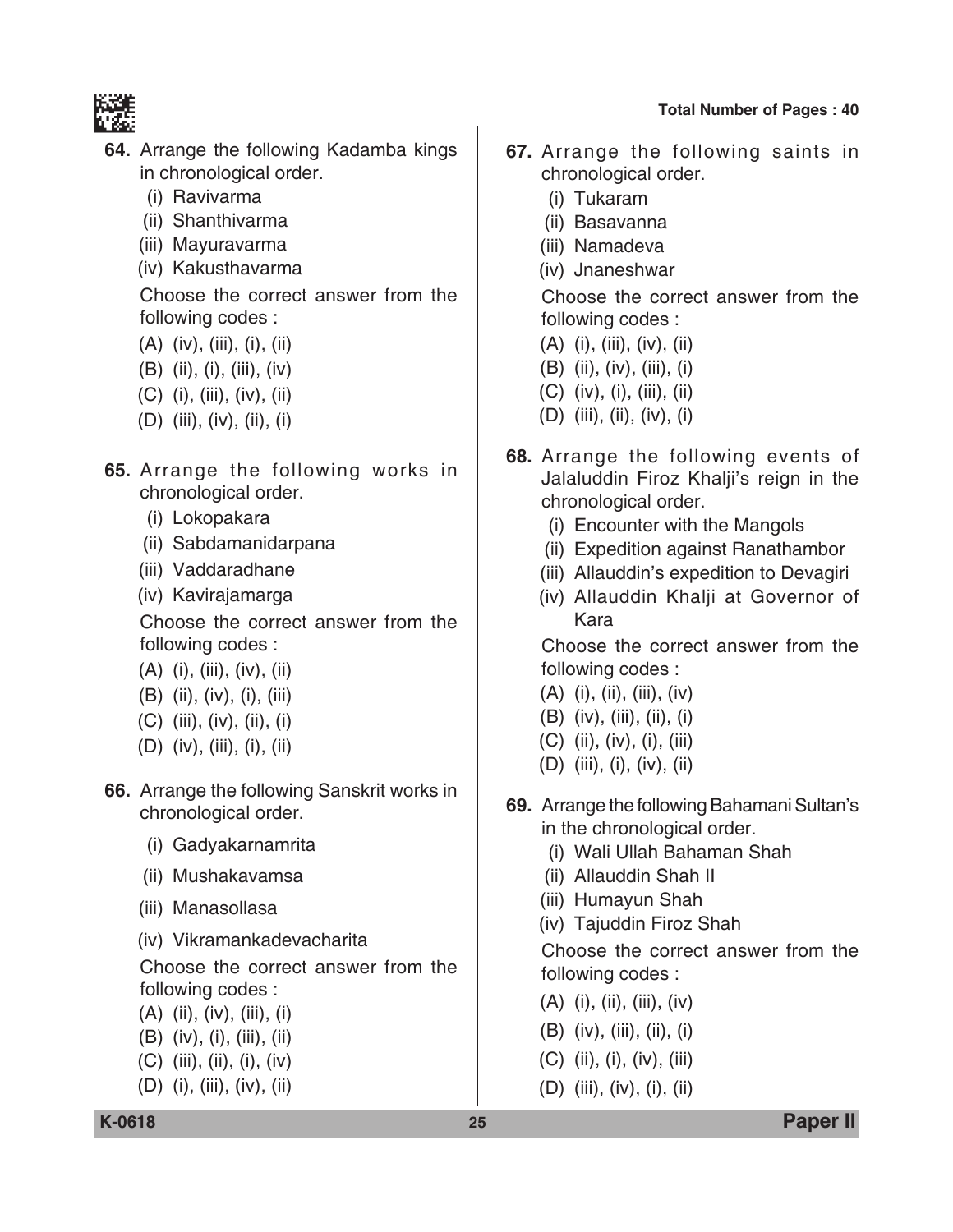

- **64.** Arrange the following Kadamba kings in chronological order.
	- (i) Ravivarma
	- (ii) Shanthivarma
	- (iii) Mayuravarma
	- (iv) Kakusthavarma

 Choose the correct answer from the following codes :

- (A) (iv), (iii), (i), (ii)
- (B) (ii), (i), (iii), (iv)
- (C) (i), (iii), (iv), (ii)
- (D) (iii), (iv), (ii), (i)
- **65.** Arrange the following works in chronological order.
	- (i) Lokopakara
	- (ii) Sabdamanidarpana
	- (iii) Vaddaradhane
	- (iv) Kavirajamarga

 Choose the correct answer from the following codes :

- (A) (i), (iii), (iv), (ii)
- (B) (ii), (iv), (i), (iii)
- (C) (iii), (iv), (ii), (i)
- (D) (iv), (iii), (i), (ii)
- **66.** Arrange the following Sanskrit works in chronological order.
	- (i) Gadyakarnamrita
	- (ii) Mushakavamsa
	- (iii) Manasollasa
	- (iv) Vikramankadevacharita

 Choose the correct answer from the following codes :

- (A) (ii), (iv), (iii), (i)
- (B) (iv), (i), (iii), (ii)
- (C) (iii), (ii), (i), (iv)
- (D) (i), (iii), (iv), (ii)

**67.** Arrange the following saints in chronological order.

- (i) Tukaram
- (ii) Basavanna
- (iii) Namadeva
- (iv) Jnaneshwar

 Choose the correct answer from the following codes :

- (A) (i), (iii), (iv), (ii)
- (B) (ii), (iv), (iii), (i)
- (C) (iv), (i), (iii), (ii)
- (D) (iii), (ii), (iv), (i)
- **68.** Arrange the following events of Jalaluddin Firoz Khalji's reign in the chronological order.
	- (i) Encounter with the Mangols
	- (ii) Expedition against Ranathambor
	- (iii) Allauddin's expedition to Devagiri
	- (iv) Allauddin Khalji at Governor of Kara

 Choose the correct answer from the following codes :

- $(A)$  (i), (ii), (iii), (iv)
- (B) (iv), (iii), (ii), (i)
- (C) (ii), (iv), (i), (iii)
- (D) (iii), (i), (iv), (ii)
- **69.** Arrange the following Bahamani Sultan's in the chronological order.
	- (i) Wali Ullah Bahaman Shah
	- (ii) Allauddin Shah II
	- (iii) Humayun Shah
	- (iv) Tajuddin Firoz Shah

 Choose the correct answer from the following codes :

- $(A)$  (i), (ii), (iii), (iv)
- (B) (iv), (iii), (ii), (i)
- (C) (ii), (i), (iv), (iii)
- (D) (iii), (iv), (i), (ii)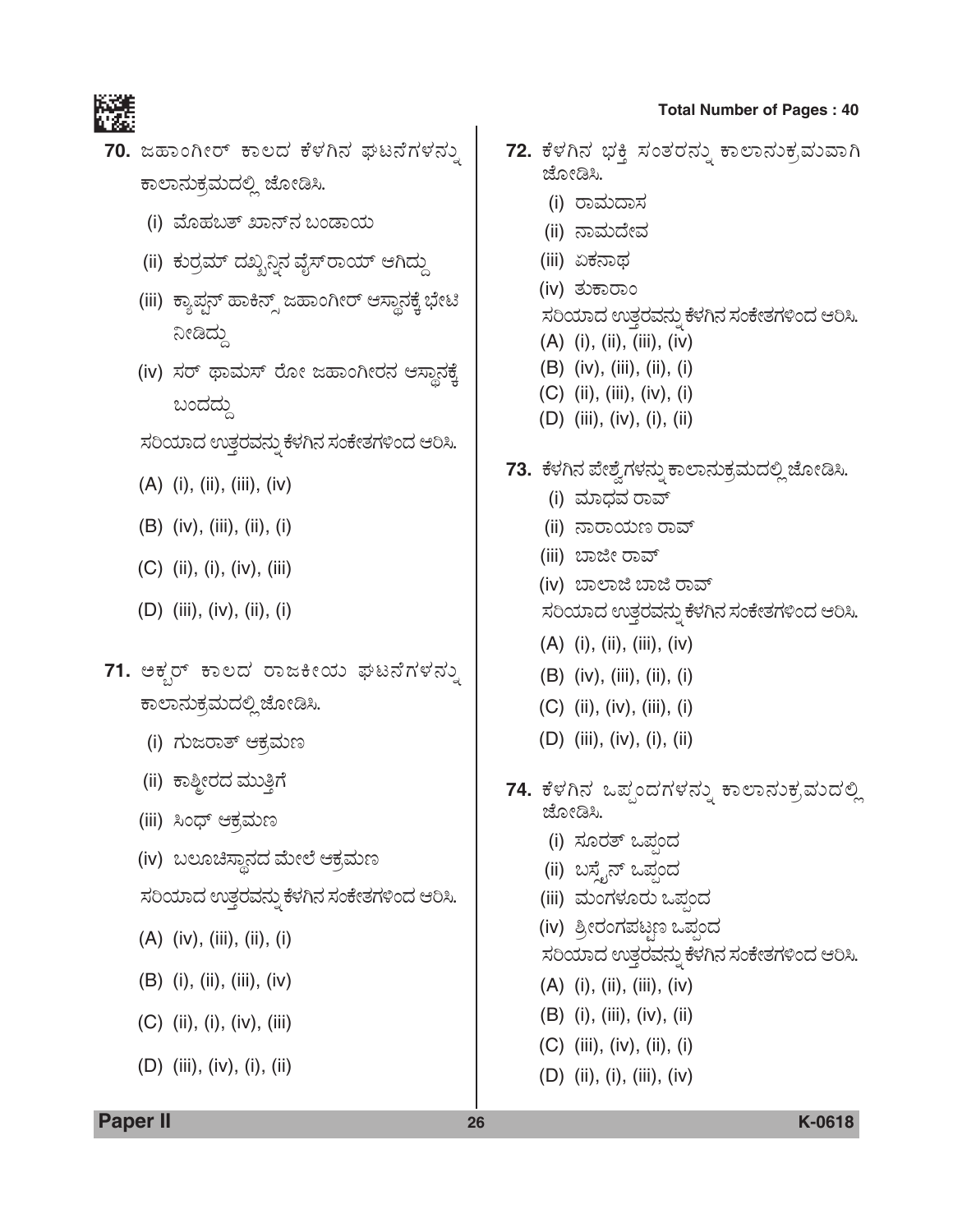

- 70. ಜಹಾಂಗೀರ್ ಕಾಲದ ಕೆಳಗಿನ ಘಟನೆಗಳನ್ನು ಕಾಲಾನುಕ್ರಮದಲ್ಲಿ ಜೋಡಿಸಿ.
	- (i) ಮೊಹಬತ್ ಖಾನ್**ನ** ಬಂಡಾಯ
	- (ii) ಕುರ್ರಮ್ ದಖ್ಖನ್ದಿನ ವೈಸ್**ರಾಯ್ ಆಗಿದ್ದು**
	- (iii) ಕ್ಯಾಪ್ಷನ್ ಹಾಕಿನ್ಸ್ ಜಹಾಂಗೀರ್ ಆಸ್ಥಾನಕ್ಕೆ ಭೇಟಿ ನೀಡಿದ್ದು
	- (iv) ಸರ್ ಥಾಮಸ್ ರೋ ಜಹಾಂಗೀರನ ಆಸ್ಥಾನಕ್ಕೆ ಬಂದದು
	- ಸರಿಯಾದ ಉತ್ತರವನ್ನು ಕೆಳಗಿನ ಸಂಕೇತಗಳಿಂದ ಆರಿಸಿ.
	- $(A)$  (i), (ii), (iii), (iv)
	- $(B)$  (iv), (iii), (ii), (i)
	- $(C)$  (ii), (i), (iv), (iii)
	- $(D)$  (iii), (iv), (ii), (i)
- 71. ಅಕ್ಸರ್ ಕಾಲದ ರಾಜಕೀಯ ಘಟನೆಗಳನ್ನು ಕಾಲಾನುಕ್ರಮದಲ್ಲಿ ಜೋಡಿಸಿ.
	- (i) ಗುಜರಾತ್ ಆಕ್ರಮಣ
	- (ii) ಕಾಶ್ಮೀರದ ಮುತ್ತಿಗೆ
	- (iii) ಸಿಂಧ್ ಆಕ್ರಮಣ
	- (iv) ಬಲೂಚಿಸ್ಥಾನದ ಮೇಲೆ ಆಕ್ರಮಣ
	- ಸರಿಯಾದ ಉತ್ತರವನ್ನು ಕೆಳಗಿನ ಸಂಕೇತಗಳಿಂದ ಆರಿಸಿ.
	- $(A)$  (iv), (iii), (ii), (i)
	- $(B)$  (i), (ii), (iii), (iv)
	- $(C)$  (ii), (i), (iv), (iii)
	- $(D)$  (iii), (iv), (i), (ii)
- 72. ಕೆಳಗಿನ ಭಕ್ತಿ ಸಂತರನ್ನು ಕಾಲಾನುಕ್ರಮುವಾಗಿ ಜೋಡಿಸಿ. (i) ರಾಮದಾಸ (ii) ನಾಮದೇವ (iii) ಏಕನಾಥ (iv) ತುಕಾರಾಂ ಸರಿಯಾದ ಉತ್ತರವನ್ನು ಕೆಳಗಿನ ಸಂಕೇತಗಳಿಂದ ಆರಿಸಿ.  $(A)$  (i), (ii), (iii), (iv)  $(B)$  (iv), (iii), (ii), (i)  $(C)$  (ii), (iii), (iv), (i)  $(D)$  (iii), (iv), (i), (ii) 73. ಕೆಳಗಿನ ಪೇಶ್ವೆಗಳನ್ನು ಕಾಲಾನುಕ್ರಮದಲ್ಲಿ ಜೋಡಿಸಿ. (i) ಮಾಧವ ರಾವ್ (ii) ನಾರಾಯಣ ರಾವ್ (iii) ಬಾಜೀ ರಾವ್ (iv) ಬಾಲಾಜಿ ಬಾಜಿ ರಾವ್ ಸರಿಯಾದ ಉತ್ತರವನ್ನು ಕೆಳಗಿನ ಸಂಕೇತಗಳಿಂದ ಆರಿಸಿ.  $(A)$  (i), (ii), (iii), (iv)  $(B)$  (iv), (iii), (ii), (i)  $(C)$  (ii), (iv), (iii), (i)  $(D)$  (iii), (iv), (i), (ii) 74. ಕೆಳಗಿನ ಒಪ್ಪಂದಗಳನ್ನು ಕಾಲಾನುಕ್ರಮುದಲ್ಲಿ ಜೋಡಿಸಿ. (i) ಸೂರತ್ ಒಪ್ಪಂದ (ii) ಬಸ್ತೈನ್ ಒಪ್ಗಂದ (iii) ಮಂಗಳೂರು ಒಪಂದ (iv) ಶ್ರೀರಂಗಪಟ್ಟಣ ಒಪ್ಪಂದ ಸರಿಯಾದ ಉತ್ತರವನ್ನು ಕೆಳಗಿನ ಸಂಕೇತಗಳಿಂದ ಆರಿಸಿ.  $(A)$  (i), (ii), (iii), (iv)  $(B)$  (i), (iii), (iv), (ii)
	- $(C)$  (iii), (iv), (ii), (i)
	- (D) (ii), (i), (iii), (iv)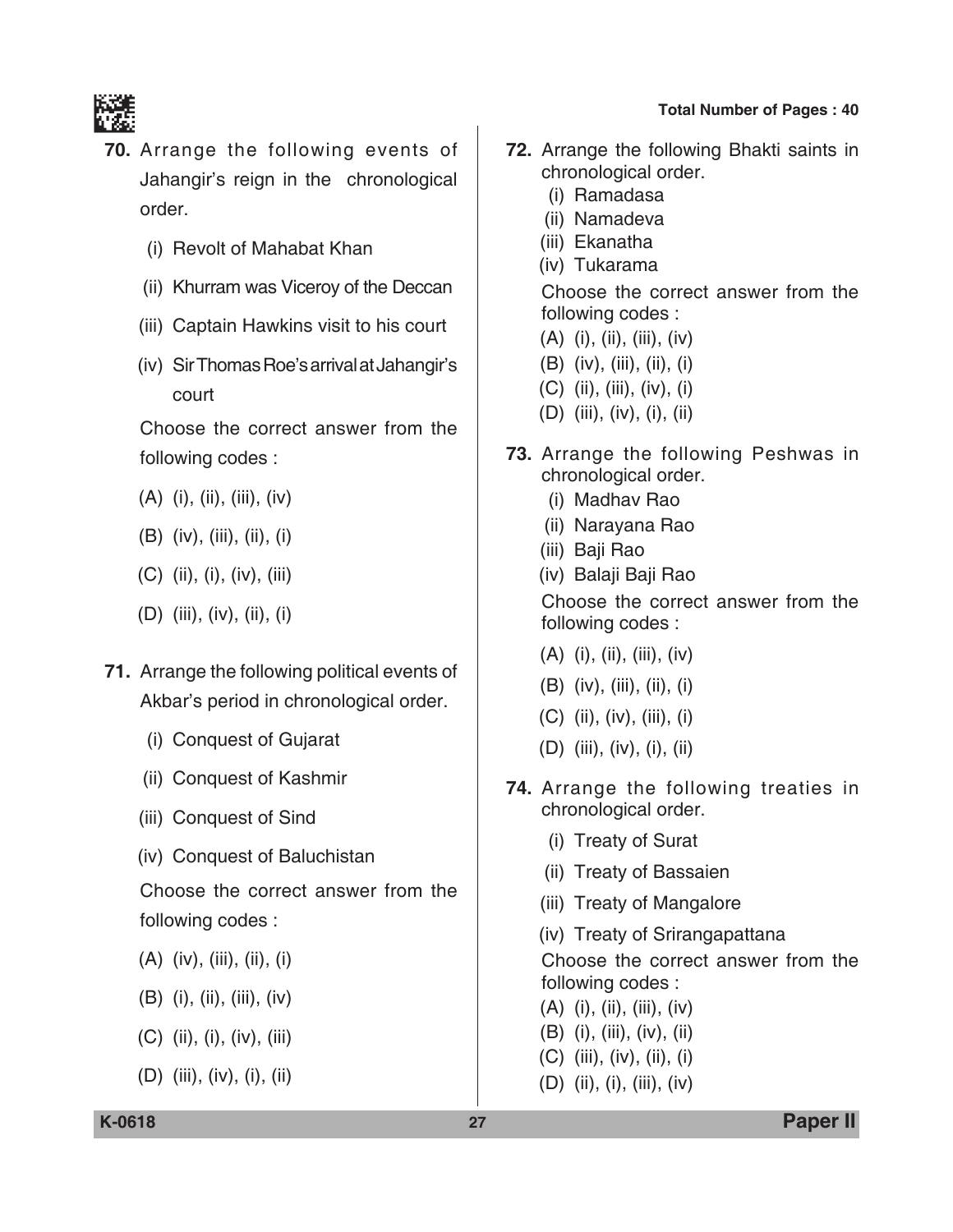

- **70.** Arrange the following events of Jahangir's reign in the chronological order.
	- (i) Revolt of Mahabat Khan
	- (ii) Khurram was Viceroy of the Deccan
	- (iii) Captain Hawkins visit to his court
	- (iv) Sir Thomas Roe's arrival at Jahangir's court

 Choose the correct answer from the following codes :

- (A) (i), (ii), (iii), (iv)
- (B) (iv), (iii), (ii), (i)
- (C) (ii), (i), (iv), (iii)
- (D) (iii), (iv), (ii), (i)
- **71.** Arrange the following political events of Akbar's period in chronological order.
	- (i) Conquest of Gujarat
	- (ii) Conquest of Kashmir
	- (iii) Conquest of Sind
	- (iv) Conquest of Baluchistan

 Choose the correct answer from the following codes :

- (A) (iv), (iii), (ii), (i)
- (B) (i), (ii), (iii), (iv)
- (C) (ii), (i), (iv), (iii)
- (D) (iii), (iv), (i), (ii)
- **72.** Arrange the following Bhakti saints in chronological order.
	- (i) Ramadasa
	- (ii) Namadeva
	- (iii) Ekanatha
	- (iv) Tukarama

 Choose the correct answer from the following codes :

- (A) (i), (ii), (iii), (iv)
- (B) (iv), (iii), (ii), (i)
- (C) (ii), (iii), (iv), (i)
- (D) (iii), (iv), (i), (ii)
- **73.** Arrange the following Peshwas in chronological order.
	- (i) Madhav Rao
	- (ii) Narayana Rao
	- (iii) Baji Rao
	- (iv) Balaji Baji Rao

 Choose the correct answer from the following codes :

- $(A)$  (i), (ii), (iii), (iv)
- (B) (iv), (iii), (ii), (i)
- (C) (ii), (iv), (iii), (i)
- (D) (iii), (iv), (i), (ii)
- **74.** Arrange the following treaties in chronological order.
	- (i) Treaty of Surat
	- (ii) Treaty of Bassaien
	- (iii) Treaty of Mangalore
	- (iv) Treaty of Srirangapattana

 Choose the correct answer from the following codes :

- (A) (i), (ii), (iii), (iv)
- (B) (i), (iii), (iv), (ii)
- (C) (iii), (iv), (ii), (i)
- (D) (ii), (i), (iii), (iv)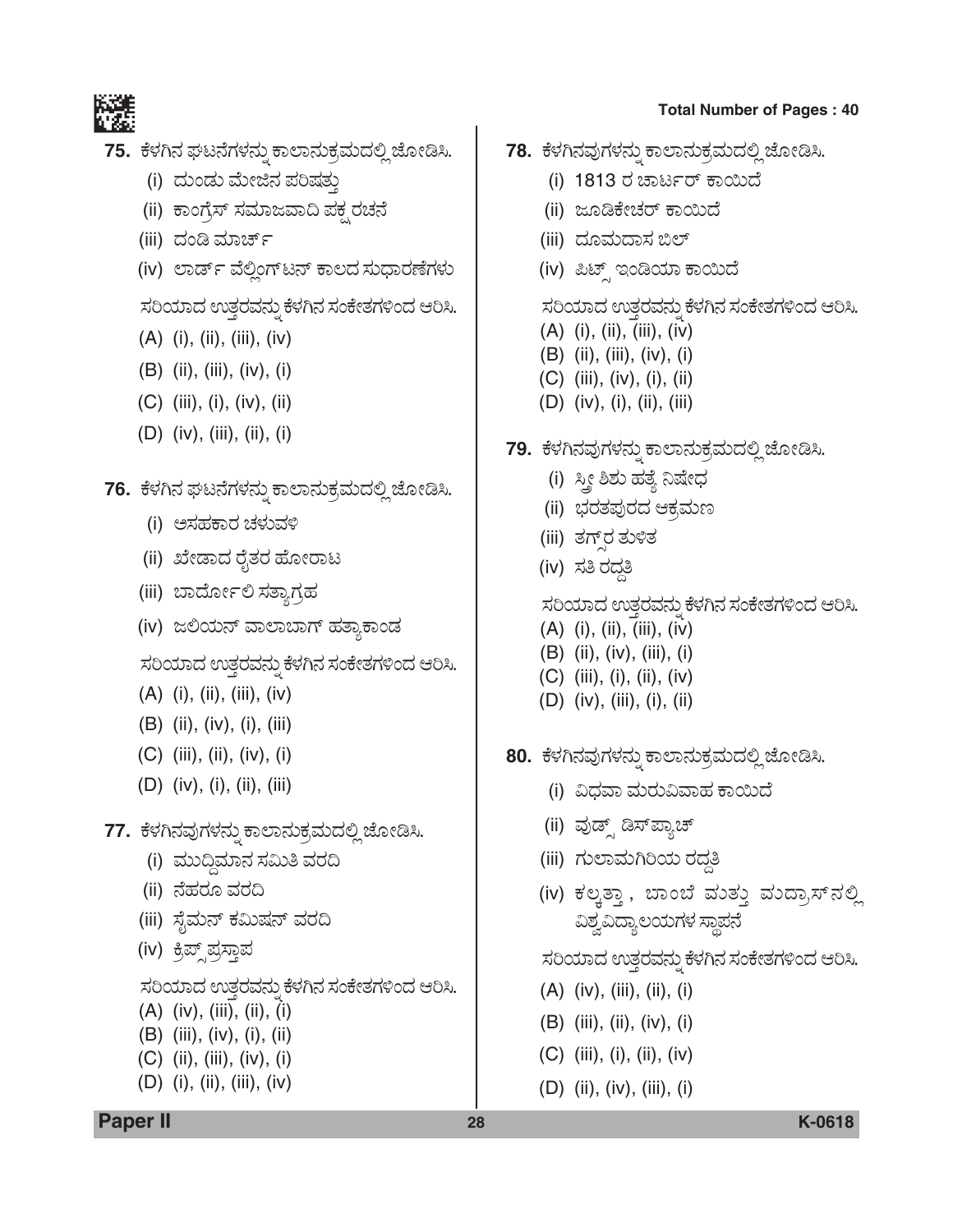

- 75. ಕೆಳಗಿನ ಘಟನೆಗಳನ್ನು ಕಾಲಾನುಕ್ರಮದಲ್ಲಿ ಜೋಡಿಸಿ.
	- (i) ದುಂಡು ಮೇಜಿನ ಪರಿಷತು
	- (ii) ಕಾಂಗ್ರೆಸ್ ಸಮಾಜವಾದಿ ಪಕ್ಷರಚನೆ
	- (iii) ದಂಡಿ ಮಾರ್ಚ್
	- (iv) ಲಾರ್ಡ್ ವೆಲ್ಲಿಂಗ್ ಟನ್ ಕಾಲದ ಸುಧಾರಣೆಗಳು

ಸರಿಯಾದ ಉತ್ತರವನ್ನು ಕೆಳಗಿನ ಸಂಕೇತಗಳಿಂದ ಆರಿಸಿ.

- $(A)$  (i), (ii), (iii), (iv)
- $(B)$  (ii), (iii), (iv), (i)
- $(C)$  (iii), (i), (iv), (ii)
- (D)  $(iv)$ ,  $(iii)$ ,  $(ii)$ ,  $(i)$

# 76. ಕೆಳಗಿನ ಘಟನೆಗಳನ್ನು ಕಾಲಾನುಕ್ರಮದಲ್ಲಿ ಜೋಡಿಸಿ.

- (i) ಅಸಹಕಾರ ಚಳುವಳಿ
- (ii) ಖೇಡಾದ ರೈತರ ಹೋರಾಟ
- (iii) ಬಾರ್ದೋಲಿ ಸತ್ತಾಗ್ರಹ
- (iv) ಜಲಿಯನ್ ವಾಲಾಬಾಗ್ ಹತ್ಯಾಕಾಂಡ

ಸರಿಯಾದ ಉತ್ತರವನ್ನು ಕೆಳಗಿನ ಸಂಕೇತಗಳಿಂದ ಆರಿಸಿ.

- $(A)$  (i), (ii), (iii), (iv)
- $(B)$  (ii), (iv), (i), (iii)
- $(C)$  (iii), (ii), (iv), (i)
- $(D)$  (iv), (i), (ii), (iii)
- 77. ಕೆಳಗಿನವುಗಳನ್ನು ಕಾಲಾನುಕ್ರಮದಲ್ಲಿ ಜೋಡಿಸಿ.
	- (i) ಮುದ್ದಿಮಾನ ಸಮಿತಿ ವರದಿ
	- (ii) ನೆಹರೂ ವರದಿ
	- (iii) ಸೈಮನ್ ಕಮಿಷನ್ ವರದಿ
	- (iv) ಕ್ರಿಪ್ ಪ್ರಸ್ತಾಪ

ಸರಿಯಾದ ಉತ್ತರವನ್ನು ಕೆಳಗಿನ ಸಂಕೇತಗಳಿಂದ ಆರಿಸಿ.

- $(A)$  (iv), (iii), (ii), (i)
- $(B)$  (iii), (iv), (i), (ii)
- $(C)$  (ii), (iii), (iv), (i)
- $(D)$  (i), (ii), (iii), (iv)

### **Total Number of Pages: 40**

- 78. ಕೆಳಗಿನವುಗಳನ್ನು ಕಾಲಾನುಕ್ರಮದಲ್ಲಿ ಜೋಡಿಸಿ.
	- (i) 1813 ರ ಚಾರ್ಟರ್ ಕಾಯಿದೆ
	- (ii) ಜೂಡಿಕೇಚರ್ ಕಾಯಿದೆ
	- (iii) ದೂಮದಾಸ ಬಿಲ್
	- (iv) ಪಿಟ್ಸ್ ಇಂಡಿಯಾ ಕಾಯಿದೆ

### ಸರಿಯಾದ ಉತ್ತರವನ್ನು ಕೆಳಗಿನ ಸಂಕೇತಗಳಿಂದ ಆರಿಸಿ.

- $(A)$  (i), (ii), (iii), (iv)
- $(B)$  (ii), (iii), (iv), (i)
- $(C)$  (iii), (iv), (i), (ii)
- $(D)$  (iv), (i), (ii), (iii)
- 79. ಕೆಳಗಿನವುಗಳನ್ನು ಕಾಲಾನುಕ್ರಮದಲ್ಲಿ ಜೋಡಿಸಿ.
	- (i) ಸ್ತ್ರೀ ಶಿಶು ಹತ್ಯೆ ನಿಷೇಧ
	- (ii) ಭರತಪುರದ ಆಕ್ರಮಣ
	- (iii) ತಗ್**ರ** ತುಳಿತ
	- (iv) ಸತಿ ರದ್ದತಿ

ಸರಿಯಾದ ಉತ್ತರವನ್ನು ಕೆಳಗಿನ ಸಂಕೇತಗಳಿಂದ ಆರಿಸಿ.

- $(A)$  (i), (ii), (iii), (iv)
- $(B)$  (ii), (iv), (iii), (i)
- $(C)$  (iii), (i), (ii), (iv)
- $(D)$  (iv), (iii), (i), (ii)
- 80. ಕೆಳಗಿನವುಗಳನ್ನು ಕಾಲಾನುಕ್ರಮದಲ್ಲಿ ಜೋಡಿಸಿ.
	- (i) ವಿಧವಾ ಮರುವಿವಾಹ ಕಾಯಿದೆ
	- (ii) ವುಡ್ಸ್ ಡಿಸ್ಪ್ಯಾಚ್
	- (iii) ಗುಲಾಮಗಿರಿಯ ರದ್ದತಿ
	- (iv) ಕಲ್ಕತ್ತಾ, ಬಾಂಬೆ ಮತ್ತು ಮಂದ್ರಾಸ್ ನಲ್ಲಿ ವಿಶ್ವವಿದ್ಯಾಲಯಗಳ ಸ್ಥಾಪನೆ

ಸರಿಯಾದ ಉತ್ತರವನ್ನು ಕೆಳಗಿನ ಸಂಕೇತಗಳಿಂದ ಆರಿಸಿ.

- (A) (iv), (iii), (ii), (i)
- $(B)$  (iii), (ii), (iv), (i)
- $(C)$  (iii), (i), (ii), (iv)
- $(D)$  (ii), (iv), (iii), (i)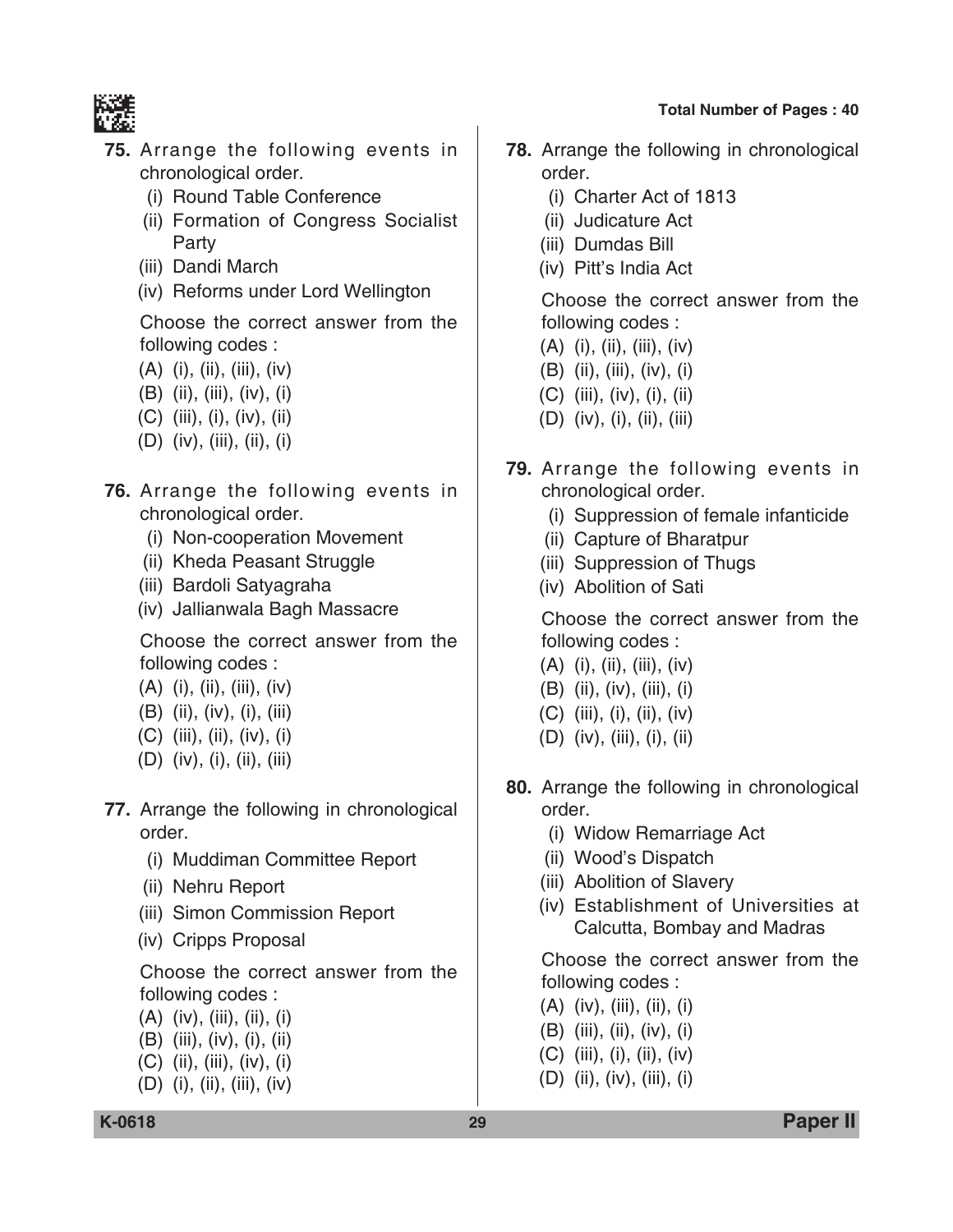

- **75.** Arrange the following events in chronological order.
	- (i) Round Table Conference
	- (ii) Formation of Congress Socialist Party
	- (iii) Dandi March
	- (iv) Reforms under Lord Wellington

 Choose the correct answer from the following codes :

- $(A)$  (i), (ii), (iii), (iv)
- (B) (ii), (iii), (iv), (i)
- (C) (iii), (i), (iv), (ii)
- (D) (iv), (iii), (ii), (i)
- **76.** Arrange the following events in chronological order.
	- (i) Non-cooperation Movement
	- (ii) Kheda Peasant Struggle
	- (iii) Bardoli Satyagraha
	- (iv) Jallianwala Bagh Massacre

 Choose the correct answer from the following codes :

- (A) (i), (ii), (iii), (iv)
- (B) (ii), (iv), (i), (iii)
- (C) (iii), (ii), (iv), (i)
- (D) (iv), (i), (ii), (iii)
- **77.** Arrange the following in chronological order.
	- (i) Muddiman Committee Report
	- (ii) Nehru Report
	- (iii) Simon Commission Report
	- (iv) Cripps Proposal

 Choose the correct answer from the following codes :

- (A) (iv), (iii), (ii), (i)
- (B) (iii), (iv), (i), (ii)
- (C) (ii), (iii), (iv), (i)
- (D) (i), (ii), (iii), (iv)
- **78.** Arrange the following in chronological order.
	- (i) Charter Act of 1813
	- (ii) Judicature Act
	- (iii) Dumdas Bill
	- (iv) Pitt's India Act

 Choose the correct answer from the following codes :

- $(A)$  (i), (ii), (iii), (iv)
- (B) (ii), (iii), (iv), (i)
- (C) (iii), (iv), (i), (ii)
- (D) (iv), (i), (ii), (iii)
- **79.** Arrange the following events in chronological order.
	- (i) Suppression of female infanticide
	- (ii) Capture of Bharatpur
	- (iii) Suppression of Thugs
	- (iv) Abolition of Sati

 Choose the correct answer from the following codes :

- (A) (i), (ii), (iii), (iv)
- (B) (ii), (iv), (iii), (i)
- (C) (iii), (i), (ii), (iv)
- (D) (iv), (iii), (i), (ii)
- **80.** Arrange the following in chronological order.
	- (i) Widow Remarriage Act
	- (ii) Wood's Dispatch
	- (iii) Abolition of Slavery
	- (iv) Establishment of Universities at Calcutta, Bombay and Madras

 Choose the correct answer from the following codes :

- (A) (iv), (iii), (ii), (i)
- (B) (iii), (ii), (iv), (i)
- (C) (iii), (i), (ii), (iv)
- (D) (ii), (iv), (iii), (i)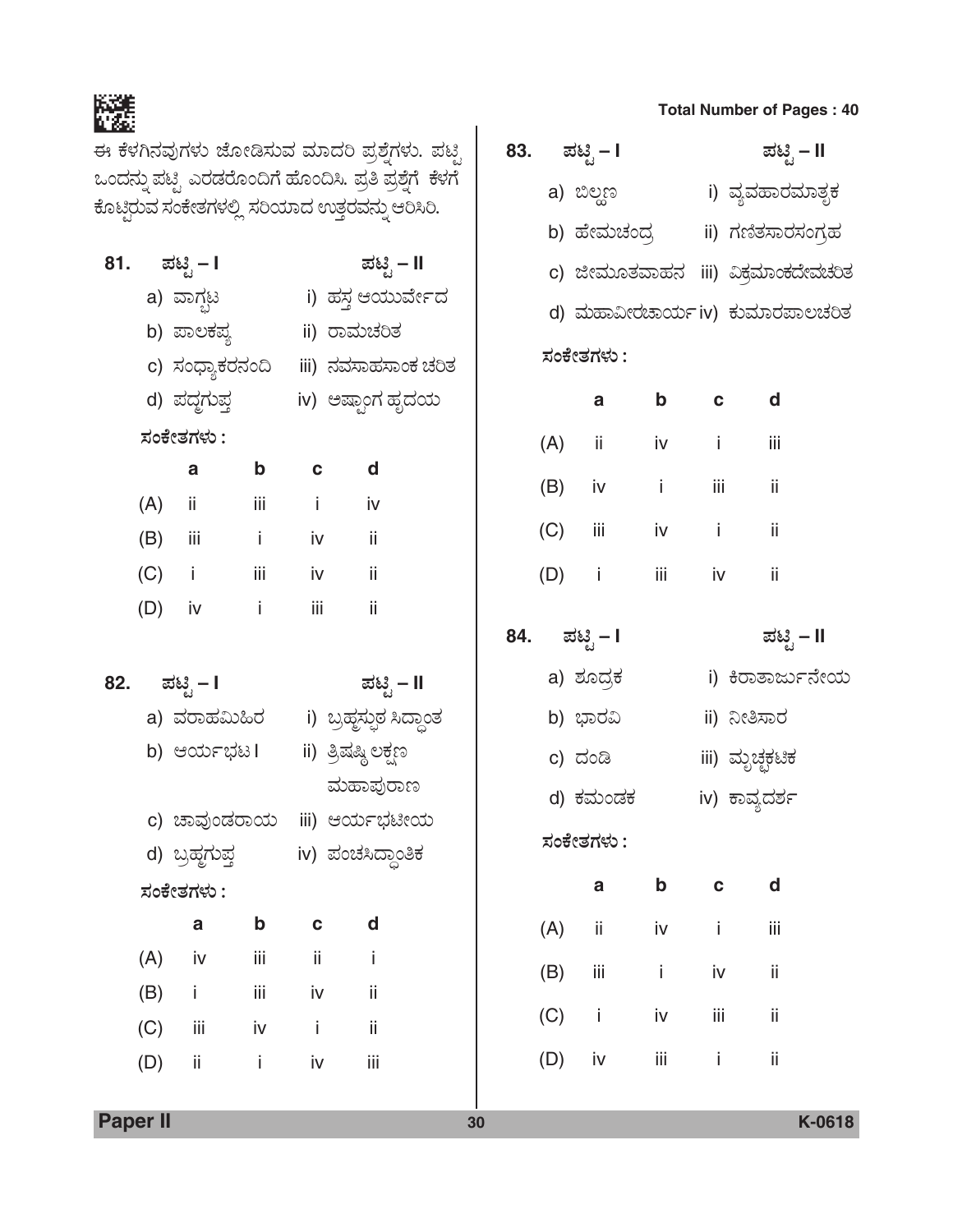灂

ಈ ಕೆಳಗಿನವುಗಳು ಜೋಡಿಸುವ ಮಾದರಿ ಪ್ರಶ್ನೆಗಳು. ಪಟ್ಟಿ 83. ಪಟ್ಟಿ – I ಒಂದನ್ನು ಪಟ್ಟಿ ಎರಡರೊಂದಿಗೆ ಹೊಂದಿಸಿ. ಪ್ರತಿ ಪ್ರಶ್ನೆಗೆ ಕೆಳಗೆ a) ಬಿಲ್ದಣ i) ವ್ಯವಹಾರಮಾತೃಕ ಕೊಟ್ಟಿರುವ ಸಂಕೇತಗಳಲ್ಲಿ ಸರಿಯಾದ ಉತ್ತರವನ್ನು ಆರಿಸಿರಿ. b) ಹೇಮಚಂದ್ರ ii) ಗಣಿತಸಾರಸಂಗ್ರಹ ಪಟ್ಟಿ – I 81. ಪಟ್ಟಿ – II c) ಜೀಮೂತವಾಹನ iii) ವಿಕ್ರಮಾಂಕದೇವಚರಿತ a) ವಾಗ್ಬಟ i) ಹಸ್ತ ಆಯುರ್ವೇದ d) ಮಹಾವೀರಚಾರ್ಯiv) ಕುಮಾರಪಾಲಚರಿತ b) ಪಾಲಕಪ್ಯ ii) ರಾಮಚರಿತ ಸಂಕೇತಗಳು : c) ಸಂಧ್ಯಾಕರನಂದಿ iii) ನವಸಾಹಸಾಂಕ ಚರಿತ d) ಪದ್ಧಗುಪ್ತ iv) ಅಷ್ಟಾಂಗ ಹೃದಯ  $\mathbf{a}$  $\mathbf b$  $\mathbf c$ ಸಂಕೇತಗಳು :  $(A)$ ii. iv  $\mathbf{i}$  $\mathbf a$  $\mathbf b$  $\mathbf c$  $\mathbf d$  $(B)$ iii. iv i.  $(A)$ ii. iii  $\mathbf{i}$ iv  $(C)$ iii. iv i.  $(B)$ iii  $\mathbf{i}$ iv ii.  $(C)$  $\mathbf{i}$ iii. iv ii.  $(D)$  $\mathbf{I}$ iii iv iii  $(D)$  iv  $\mathbf{i}$ ii. 84. ಪಟ್ಟಿ – I a) ಶೂದ್ರಕ i) ಕಿರಾತಾರ್ಜುನೇಯ 82. ಪಟ್ಟಿ – I ಪಟ್ಟಿ – II a) ವರಾಹಮಿಹಿರ ( i ಬ್ರಹ್ಮಸ್ಪುಠ ಸಿದ್ಧಾಂತ b) ಭಾರವಿ ii) ನೀತಿಸಾರ ii) ತ್ರಿಷಷ್ಠಿ ಲಕ್ಷಣ b) ಆರ್ಯಭಟ l iii) ಮೃಚ್ಛಕಟಿಕ c) ದಂಡಿ ಮಹಾಪುರಾಣ iv) ಕಾವ್ಯದರ್ಶ d) ಕಮಂಡಕ c) ಚಾವುಂಡರಾಯ iii) ಆರ್ಯಭಟೀಯ ಸಂಕೇತಗಳು : d) ಬ್ರಹ್ಮಗುಪ್ತ iv) ಪಂಚಸಿದ್ಧಾಂತಿಕ  $\mathbf b$  $\mathsf{a}$  $\mathbf c$ ಸಂಕೇತಗಳು :  $\mathbf b$  $\mathbf c$ d a  $(A)$ ij. İ. iv  $(A)$ iii ii. Ť iv  $\sim$  1.  $(B)$ iii iv  $(B)$ i. iv iii ij.  $(C)$  $\mathbf{i}$ iii iv  $(C)$ iii i. ii. iv  $(D)$ iv iii j.  $(D)$ j. iv ii. iii

**Paper II** 

**Total Number of Pages: 40** 

ಪಟ್ಟಿ – II

d

iii

ii.

ii.

ii

 $\mathbf d$ 

iij

ii.

ii.

ii

ಪಟ್ಟಿ – II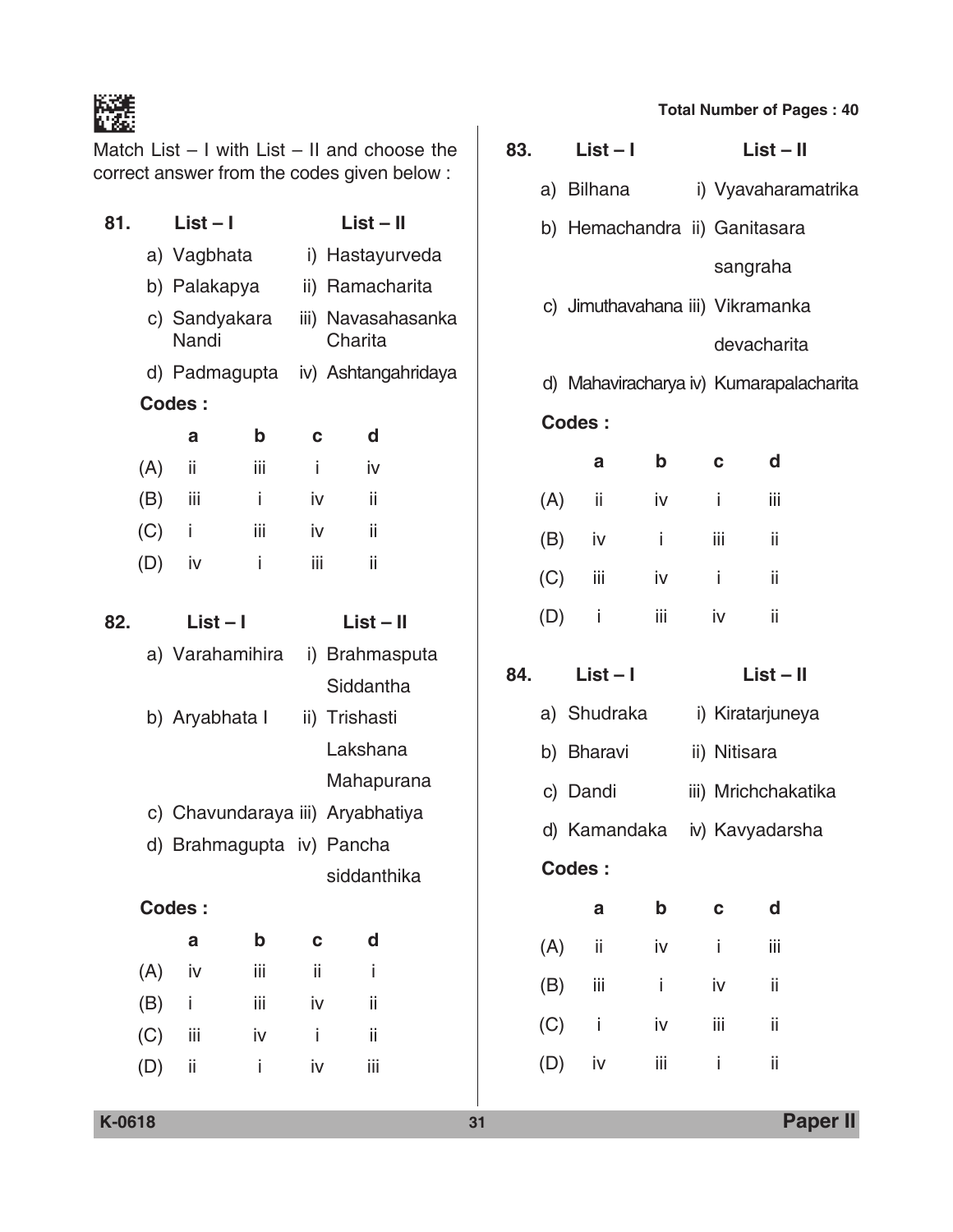Match List – I with List – II and choose the correct answer from the codes given below :

| 81. | $List - I$                |     | $List - II$ |                                  |  |  |  |  |
|-----|---------------------------|-----|-------------|----------------------------------|--|--|--|--|
|     | a) Vagbhata               |     |             | i) Hastayurveda                  |  |  |  |  |
|     | b) Palakapya              |     |             | ii) Ramacharita                  |  |  |  |  |
|     | c) Sandyakara<br>Nandi    |     |             | iii) Navasahasanka<br>Charita    |  |  |  |  |
|     | d) Padmagupta             |     |             | iv) Ashtangahridaya              |  |  |  |  |
|     | Codes:                    |     |             |                                  |  |  |  |  |
|     | a                         | b   | C           | d                                |  |  |  |  |
| (A) | ii                        | iii | Ť           | iv                               |  |  |  |  |
| (B) | – iii                     | j.  | iv          | ii                               |  |  |  |  |
|     | $(C)$ i                   | iii | iv          | ii                               |  |  |  |  |
| (D) | iv                        | i   | iii         | ii                               |  |  |  |  |
|     |                           |     |             |                                  |  |  |  |  |
| 82. | $List - I$                |     |             | $List - II$                      |  |  |  |  |
|     | a) Varahamihira           |     |             | i) Brahmasputa                   |  |  |  |  |
|     |                           |     |             | Siddantha                        |  |  |  |  |
|     | b) Aryabhata I            |     |             | ii) Trishasti                    |  |  |  |  |
|     |                           |     |             | Lakshana                         |  |  |  |  |
|     |                           |     |             | Mahapurana                       |  |  |  |  |
|     |                           |     |             | c) Chavundaraya iii) Aryabhatiya |  |  |  |  |
|     | d) Brahmagupta iv) Pancha |     |             |                                  |  |  |  |  |
|     |                           |     |             | siddanthika                      |  |  |  |  |
|     | Codes:                    |     |             |                                  |  |  |  |  |
|     | a                         | b   | C           | d                                |  |  |  |  |
| (A) | iv                        | iij | ii          | İ                                |  |  |  |  |
|     | $(B)$ i                   | iij | iv          | ij                               |  |  |  |  |
| (C) | Ϊİ                        | iv  | İ           | ij                               |  |  |  |  |
| (D) | ii                        | İ.  | iv          | iij                              |  |  |  |  |
|     |                           |     |             |                                  |  |  |  |  |

### **Total Number of Pages : 40**

|     | $83.$ List-I   |     |     | $List - II$                             |  |
|-----|----------------|-----|-----|-----------------------------------------|--|
|     |                |     |     | a) Bilhana (i) Vyavaharamatrika         |  |
|     |                |     |     | b) Hemachandra ii) Ganitasara           |  |
|     |                |     |     | sangraha                                |  |
|     |                |     |     | c) Jimuthavahana iii) Vikramanka        |  |
|     |                |     |     | devacharita                             |  |
|     |                |     |     | d) Mahaviracharya iv) Kumarapalacharita |  |
|     | Codes:         |     |     |                                         |  |
|     | a              | b   | C   | d                                       |  |
|     | $(A)$ ii       | iv  | -i  | iii                                     |  |
|     | $(B)$ iv i     |     |     | iii ii                                  |  |
|     | $(C)$ iii iv i |     |     | $\overline{\phantom{a}}$ ii             |  |
|     | $(D)$ i        |     |     | iii iv ii                               |  |
|     | 84. $List - 1$ |     |     | $List - II$                             |  |
|     |                |     |     | a) Shudraka i) Kiratarjuneya            |  |
|     | b) Bharavi     |     |     | ii) Nitisara                            |  |
|     | c) Dandi       |     |     | iii) Mrichchakatika                     |  |
|     |                |     |     | d) Kamandaka iv) Kavyadarsha            |  |
|     | Codes:         |     |     |                                         |  |
|     | a              | b   | C   | d                                       |  |
| (A) | ii             | iv  | İ   | iij                                     |  |
| (B) | iij            | İ   | iv  | ii                                      |  |
| (C) | i              | iv  | iij | ij                                      |  |
| (D) | iv             | iij | İ   | ij                                      |  |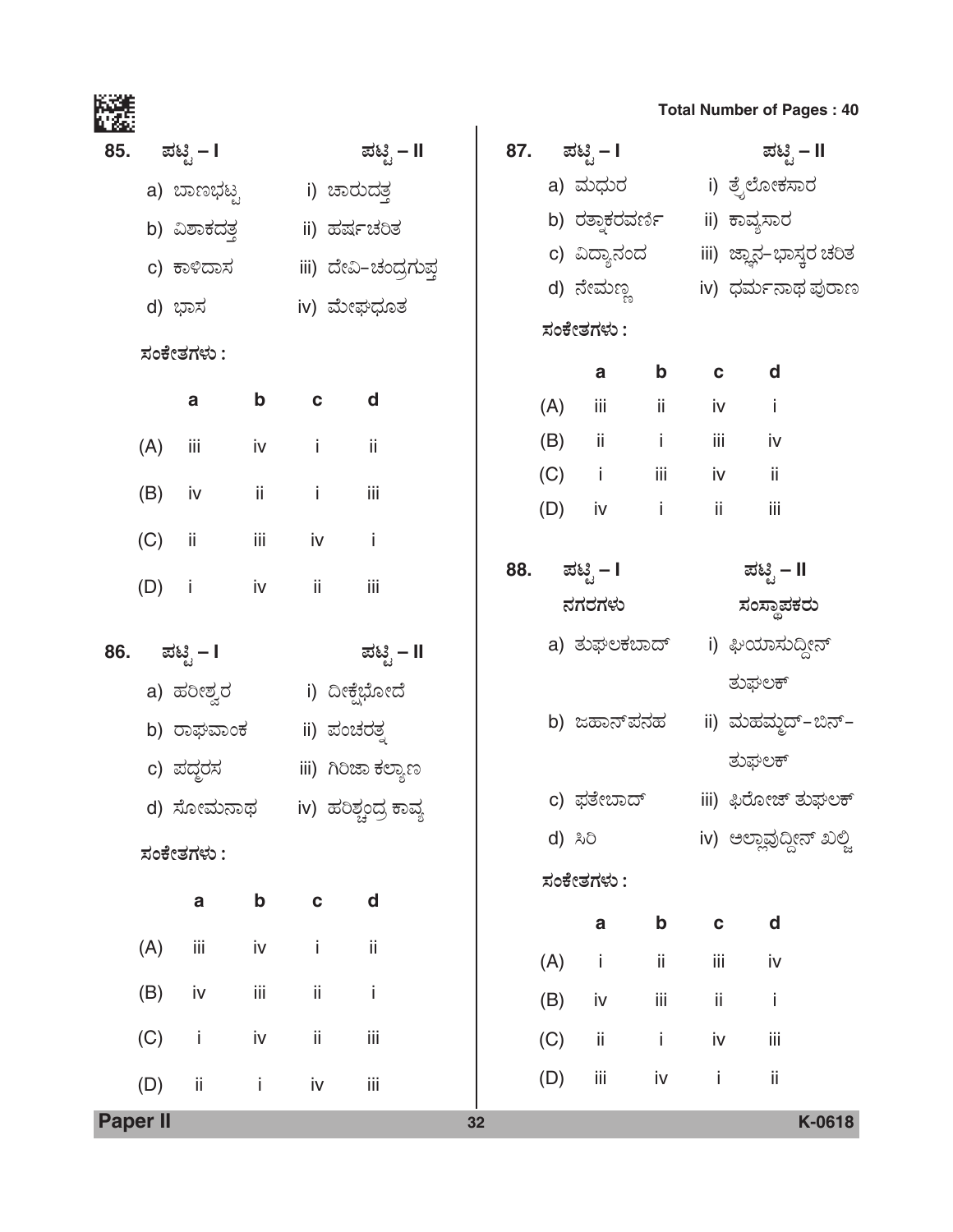|     |                 |                |                              |                             |                                    |    |     |     |              |                                |              | <b>Total Number of Pages: 40</b>    |        |
|-----|-----------------|----------------|------------------------------|-----------------------------|------------------------------------|----|-----|-----|--------------|--------------------------------|--------------|-------------------------------------|--------|
| 85. |                 | ಪಟ್ಟಿ – I      |                              |                             | ಪಟ್ಟಿ – II                         |    | 87. |     | ಪಟಿೃ – I     |                                |              | ಪಟಿೖ – II                           |        |
|     |                 |                | a) ಬಾಣಭಟ್ಟ       i) ಚಾರುದತ್ತ |                             |                                    |    |     |     |              |                                |              | a) ಮಧುರ           i) ತ್ರೆಲೋಕಸಾರ     |        |
|     |                 |                | b) ವಿಶಾಕದ <u>ತ್</u> ತ        |                             | ii) ಹರ್ಷಚರಿತ                       |    |     |     |              | b) ರತ್ನಾಕರವರ್ಣಿ   ii) ಕಾವ್ಯಸಾರ |              |                                     |        |
|     |                 |                | c) ಕಾಳಿದಾಸ                   |                             | iii) ದೇವಿ–ಚಂದ್ರಗುಪ್ತ               |    |     |     |              |                                |              | c) ವಿದ್ಯಾನಂದ iii) ಜ್ಞಾನ–ಭಾಸ್ತರ ಚರಿತ |        |
|     |                 | d) ಭಾಸ         |                              |                             | iv) ಮೇಘಧೂತ                         |    |     |     |              | d) ನೇಮಣ್ಣ                      |              | iv) ಧರ್ಮನಾಥ ಪುರಾಣ                   |        |
|     |                 | ಸಂಕೇತಗಳು :     |                              |                             |                                    |    |     |     | ಸಂಕೇತಗಳು :   |                                |              |                                     |        |
|     |                 |                |                              |                             |                                    |    |     |     | $\mathbf{a}$ | $\mathbf b$                    | $\mathbf c$  | d                                   |        |
|     |                 | a              | $\mathbf b$                  | $\mathbf c$                 | d                                  |    |     | (A) | iii          | ii.                            | iv           | j.                                  |        |
|     | (A)             | iii            | iv                           | $\sim$ $\frac{1}{2}$        | ii                                 |    |     |     | $(B)$ ii i   |                                | iii          | iv                                  |        |
|     | (B)             | iv             | ij.                          | $\sim$ $\sim$ $\frac{1}{2}$ | iii                                |    |     |     | $(C)$ i      | iii                            | iv           | ii                                  |        |
|     |                 | ii.            | iii                          | iv                          | İ                                  |    | (D) |     | iv           | $\sim$ 1                       | ii.          | iii                                 |        |
|     | (C)             |                |                              |                             |                                    |    | 88. |     | ಪಟಿೖೆ – I    |                                |              | ಪಟ್ಟಿ – II                          |        |
|     | (D)             | $\blacksquare$ | iv                           | ii.                         | iii                                |    |     |     | ನಗರಗಳು       |                                |              | ಸಂಸ್ಥಾಪಕರು                          |        |
| 86. |                 | ಪಟ್ಟಿ – I      |                              |                             | ಪಟ್ಟಿ – II                         |    |     |     |              | a) ತುಘಲಕಬಾದ್                   |              | i) ಘಿಯಾಸುದ್ದೀನ್                     |        |
|     |                 | a) ಹರೀಶ್ವರ     |                              |                             | i) ದೀಕ್ಷೆಭೋದೆ                      |    |     |     |              |                                |              | ತುಘಲಕ್                              |        |
|     |                 | b) ರಾಘವಾಂಕ     |                              |                             | ii) ಪಂಚರತ್ <del>ತ</del>            |    |     |     |              | b) ಜಹಾನ್ <b>ಪನ</b> ಹ           |              | ii) ಮಹಮ್ಮದ್-ಬಿನ್-                   |        |
|     |                 |                |                              |                             |                                    |    |     |     |              |                                |              | ತುಘಲಕ್                              |        |
|     |                 | c) ಪದ್ಧರಸ      |                              |                             | iii) ಗಿರಿಜಾ ಕಲ್ಯಾಣ                 |    |     |     | c) ಫತೇಬಾದ್   |                                |              | iii) ಫಿರೋಜ್ ತುಘಲಕ್                  |        |
|     |                 |                |                              |                             | d) ಸೋಮನಾಥ     iv) ಹರಿಶ್ಚಂದ್ರ ಕಾವ್ಯ |    |     |     | d) ಸಿರಿ      |                                |              | iv) ಅಲ್ಲಾವುದ್ದೀನ್ ಖಲ್ಲಿ             |        |
|     |                 | ಸಂಕೇತಗಳು :     |                              |                             |                                    |    |     |     | ಸಂಕೇತಗಳು :   |                                |              |                                     |        |
|     |                 | $\mathbf a$    | b                            | $\mathbf{C}$                | d                                  |    |     |     |              |                                |              |                                     |        |
|     | (A)             | iii            | iv                           | İ                           | ii                                 |    |     |     | $\mathbf a$  | $\mathbf b$                    | $\mathbf{c}$ | d                                   |        |
|     |                 | iv             | iii                          | ij.                         | İ                                  |    | (A) |     | j.           | ij.                            | İΪİ          | iv                                  |        |
|     | (B)             |                |                              |                             |                                    |    | (B) |     | iv           | Ϊİ                             | ii           | İ                                   |        |
|     | (C)             | j.             | iv                           | ii.                         | Ϊİİ                                |    | (C) |     | ij.          | $\dot{1}$                      | iv           | İΪİ                                 |        |
|     | (D)             | ii.            | j.                           | iv                          | iii                                |    | (D) |     | Ϊİ           | iv                             | Ť            | ii                                  |        |
|     | <b>Paper II</b> |                |                              |                             |                                    | 32 |     |     |              |                                |              |                                     | K-0618 |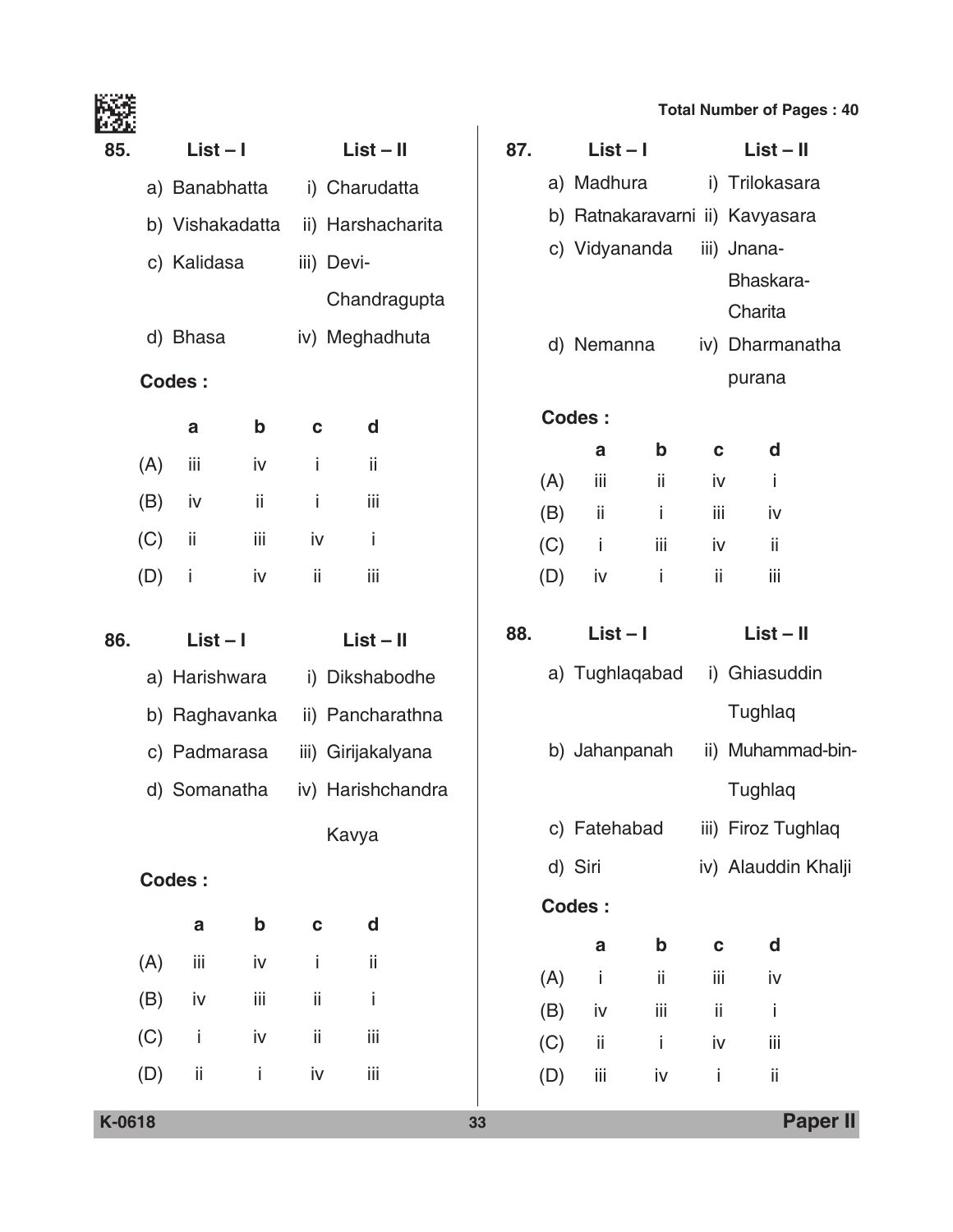|  | <b>Total Number of Pages: 40</b> |  |  |  |  |
|--|----------------------------------|--|--|--|--|
|--|----------------------------------|--|--|--|--|

|     |     |                 |             |              |                    |     |     |              |                                 |             | <b>Total Number of Pages: 40</b> |  |
|-----|-----|-----------------|-------------|--------------|--------------------|-----|-----|--------------|---------------------------------|-------------|----------------------------------|--|
| 85. |     | $List - I$      |             |              | $List - II$        | 87. |     | $List - I$   |                                 |             | $List - II$                      |  |
|     |     | a) Banabhatta   |             |              | i) Charudatta      |     |     | a) Madhura   |                                 |             | i) Trilokasara                   |  |
|     |     | b) Vishakadatta |             |              | ii) Harshacharita  |     |     |              | b) Ratnakaravarni ii) Kavyasara |             |                                  |  |
|     |     | c) Kalidasa     |             |              | iii) Devi-         |     |     |              | c) Vidyananda                   |             | iii) Jnana-                      |  |
|     |     |                 |             |              | Chandragupta       |     |     |              |                                 |             | Bhaskara-<br>Charita             |  |
|     |     | d) Bhasa        |             |              | iv) Meghadhuta     |     |     | d) Nemanna   |                                 |             | iv) Dharmanatha                  |  |
|     |     | <b>Codes:</b>   |             |              |                    |     |     |              |                                 |             | purana                           |  |
|     |     | a               | $\mathbf b$ | $\mathbf{C}$ | d                  |     |     | Codes:       |                                 |             |                                  |  |
|     | (A) | iii             | iv          | i            | ii                 |     |     | a            | $\mathbf b$                     | $\mathbf c$ | d                                |  |
|     |     | iv              | ii          | i            | iij                |     | (A) | iii          | ii.                             | iv          | j.                               |  |
|     | (B) |                 |             |              |                    |     | (B) | ii           | İ                               | iii         | iv                               |  |
|     | (C) | ii              | iii         | iv           | İ                  |     | (C) | Ť            | iii                             | iv          | ii                               |  |
|     | (D) | İ               | iv          | ii           | iij                |     | (D) | iv           | j.                              | ii          | iii                              |  |
| 86. |     | $List - I$      |             |              | $List - II$        | 88. |     | $List - I$   |                                 |             | $List - II$                      |  |
|     |     | a) Harishwara   |             |              | i) Dikshabodhe     |     |     |              | a) Tughlaqabad                  |             | i) Ghiasuddin                    |  |
|     |     | b) Raghavanka   |             |              | ii) Pancharathna   |     |     |              |                                 |             | Tughlaq                          |  |
|     |     | c) Padmarasa    |             |              | iii) Girijakalyana |     |     |              | b) Jahanpanah                   |             | ii) Muhammad-bin-                |  |
|     |     | d) Somanatha    |             |              | iv) Harishchandra  |     |     |              |                                 |             | Tughlaq                          |  |
|     |     |                 |             |              | Kavya              |     |     | c) Fatehabad |                                 |             | iii) Firoz Tughlaq               |  |
|     |     | Codes:          |             |              |                    |     |     | d) Siri      |                                 |             | iv) Alauddin Khalji              |  |
|     |     |                 |             |              |                    |     |     | Codes:       |                                 |             |                                  |  |
|     |     | $\mathsf{a}$    | $\mathbf b$ | $\mathbf c$  | d                  |     |     | $\mathbf a$  | $\mathbf b$                     | C           | $\mathbf d$                      |  |
|     | (A) | Ϊİ              | iv          | i            | ii                 |     | (A) | Ť            | ii                              | iij         | iv                               |  |
|     | (B) | iv              | Ϊİ          | ii           | İ                  |     | (B) | iv           | Ϊİ                              | ij          | Ť                                |  |
|     | (C) | j.              | iv          | ij           | Ϊİ                 |     | (C) | ij           | j.                              | iv          | iij                              |  |
|     | (D) | ij              | İ           | iv           | Ϊİ                 |     | (D) | Ϊİ           | iv                              | İ           | ii                               |  |
|     |     |                 |             |              |                    |     |     |              |                                 |             |                                  |  |

**K-0618 33 Paper II**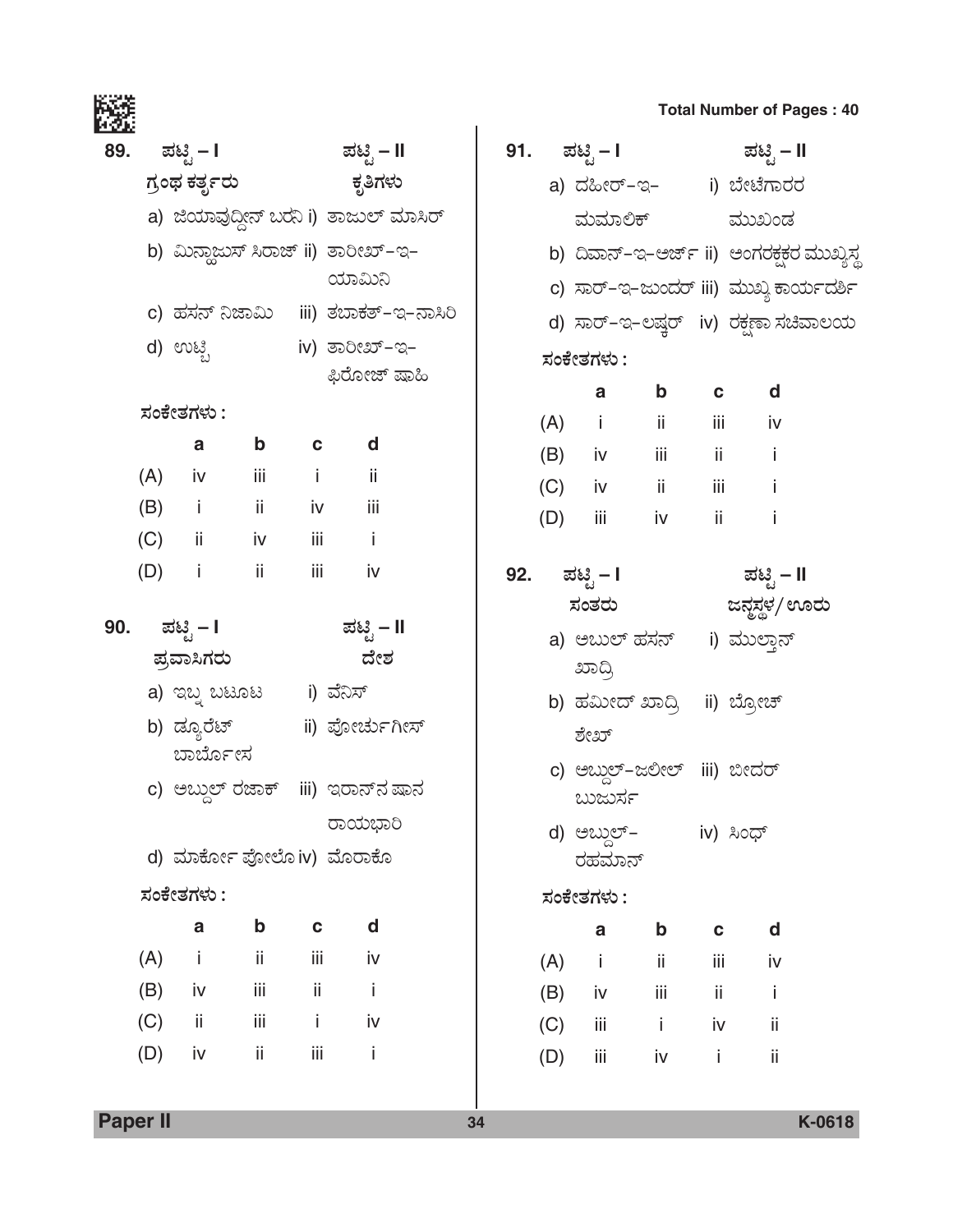|     |     |                                                                                                                |               |                             |                                                      |     |     |                                       |             |                                          | <b>Total Number of Pages: 40</b>       |  |
|-----|-----|----------------------------------------------------------------------------------------------------------------|---------------|-----------------------------|------------------------------------------------------|-----|-----|---------------------------------------|-------------|------------------------------------------|----------------------------------------|--|
| 89. |     | ಪಟಿೖೆ – I                                                                                                      |               |                             | ಪಟ್ಟಿ – II                                           | 91. |     |                                       |             |                                          | ಪಟ್ಟಿ – I ಪಟ್ಟಿ – II                   |  |
|     |     | ಗ್ರಂಥ ಕರ್ತೃರು                                                                                                  |               |                             | ಕೃತಿಗಳು                                              |     |     |                                       |             |                                          | a) ದಹೀರ್-ಇ- (i) ಬೇಟೆಗಾರರ               |  |
|     |     |                                                                                                                |               |                             | a) ಜಿಯಾವುದ್ದೀನ್ ಬರನಿ i) ತಾಜುಲ್ ಮಾಸಿರ್                |     |     |                                       | ಮಮಾಲಿಕ್     |                                          | ಮುಖಂಡ                                  |  |
|     |     |                                                                                                                |               |                             | b) ಮಿನ್ಲಾಜುಸ್ ಸಿರಾಜ್ ii) ತಾರೀಖ್-ಇ-                   |     |     |                                       |             | b) ದಿವಾನ್-ಇ-ಅರ್ಜ್ ii) ಅಂಗರಕ್ಷಕರ ಮುಖ್ಯಸ್ಥ |                                        |  |
|     |     |                                                                                                                |               |                             | ಯಾಮಿನಿ                                               |     |     |                                       |             |                                          | c) ಸಾರ್−ಇ−ಜುಂದರ್ iii) ಮುಖ್ಯ ಕಾರ್ಯದರ್ಶಿ |  |
|     |     |                                                                                                                |               |                             | c) ಹಸನ್ ನಿಜಾಮಿ iii) ತಬಾಕತ್-ಇ-ನಾಸಿರಿ                  |     |     |                                       |             |                                          | d) ಸಾರ್−ಇ−ಲಷ್ತರ್ iv) ರಕ್ಷಣಾ ಸಚಿವಾಲಯ    |  |
|     |     | d) ಉಟ್ಟಿ                                                                                                       |               |                             | iv) ತಾರೀಖ್-ಇ-                                        |     |     | ಸಂಕೇತಗಳು :                            |             |                                          |                                        |  |
|     |     |                                                                                                                |               |                             | ಫಿರೋಜ್ ಷಾಹಿ                                          |     |     | a                                     | $\mathbf b$ | $\mathbf c$                              | d                                      |  |
|     |     | ಸಂಕೇತಗಳು :                                                                                                     |               |                             |                                                      |     |     | $(A)$ i ii                            |             | iii aan                                  | iv                                     |  |
|     |     | a                                                                                                              | $\mathbf b$   | $\mathbf c$                 | d                                                    |     |     | $(B)$ iv iii                          |             |                                          | $ii \t i$                              |  |
|     | (A) | iv a strong for the strong strong strong strong strong strong strong strong strong strong strong strong strong | iii           | $\sim$ $\sim$ $\sim$ $\sim$ | ji                                                   |     |     | $(C)$ iv ii                           |             |                                          | iii i                                  |  |
|     | (B) | i ii iv                                                                                                        |               |                             | $\overline{\phantom{a}}$ iii                         |     | (D) | iii                                   | iv          | ii.                                      | İ                                      |  |
|     |     | $(C)$ ii iv iii i                                                                                              |               |                             |                                                      |     |     |                                       |             |                                          |                                        |  |
|     | (D) | $\mathbf{i}$ and $\mathbf{j}$                                                                                  | $\mathbf{ii}$ | iii                         | iv                                                   | 92. |     | ಪಟಿೖ – I                              |             |                                          | ಪಟ್ಟಿ – II                             |  |
| 90. |     | ಪಟಿೖ – I                                                                                                       |               |                             | ಪಟ್ಟಿ – II                                           |     |     | ಸಂತರು                                 |             |                                          | ಜನ್ಜಸ್ಥಳ/ ಊರು                          |  |
|     |     | ಪ್ರವಾಸಿಗರು                                                                                                     |               |                             | ದೇಶ                                                  |     |     | a) ಅಬುಲ್ ಹಸನ್                         |             |                                          | i) ಮುಲ್ಲಾನ್                            |  |
|     |     | a) ಇಬ್ನ ಬಟೂಟ       i) ವೆನಿಸ್                                                                                   |               |                             |                                                      |     |     | ಖಾದ್ರಿ<br>b) ಹಮೀದ್ ಖಾದ್ರಿ ii) ಬ್ರೋಚ್  |             |                                          |                                        |  |
|     |     |                                                                                                                |               |                             | b) ಡ್ಯೂರೆಟ್                           ii) ಪೋರ್ಚುಗೀಸ್ |     |     | ಶೇಖ್                                  |             |                                          |                                        |  |
|     |     | ಬಾರ್ಬೋನ                                                                                                        |               |                             |                                                      |     |     |                                       |             |                                          |                                        |  |
|     |     |                                                                                                                |               |                             | c) ಅಬ್ದುಲ್ ರಜಾಕ್ iii) ಇರಾನ್ <b>ನ</b> ಷಾನ             |     |     | c) ಅಬ್ದುಲ್-ಜಲೀಲ್ iii) ಬೀದರ್<br>ಬುರ್ಜು |             |                                          |                                        |  |
|     |     |                                                                                                                |               |                             | ರಾಯಭಾರಿ                                              |     |     | d) ಅಬ್ದುಲ್-                           |             | iv) ಸಿಂಧ್                                |                                        |  |
|     |     | d) ಮಾರ್ಕೋ ಪೋಲೊ iv) ಮೊರಾಕೊ                                                                                      |               |                             |                                                      |     |     | ರಹಮಾನ್                                |             |                                          |                                        |  |
|     |     | ಸಂಕೇತಗಳು :                                                                                                     |               |                             |                                                      |     |     | ಸಂಕೇತಗಳು :                            |             |                                          |                                        |  |
|     |     | a                                                                                                              | $\mathbf b$   | C                           | d                                                    |     |     | $\mathbf a$                           | $\mathbf b$ | C                                        | d                                      |  |
|     | (A) | İ                                                                                                              | ij.           | İΪİ                         | iv                                                   |     | (A) | j.                                    | ij.         | iij                                      | iv                                     |  |
|     | (B) | iv                                                                                                             | Ϊİ            | ij.                         | İ                                                    |     | (B) | iv                                    | İΪİ         | ii                                       | İ                                      |  |
|     | (C) | ii.                                                                                                            | iij           | İ.                          | iv                                                   |     | (C) | iii                                   | j.          | iv                                       | ii                                     |  |
|     | (D) | iv                                                                                                             | ij.           | iij                         | İ                                                    |     | (D) | iij                                   | iv          | j.                                       | ii                                     |  |
|     |     |                                                                                                                |               |                             |                                                      |     |     |                                       |             |                                          |                                        |  |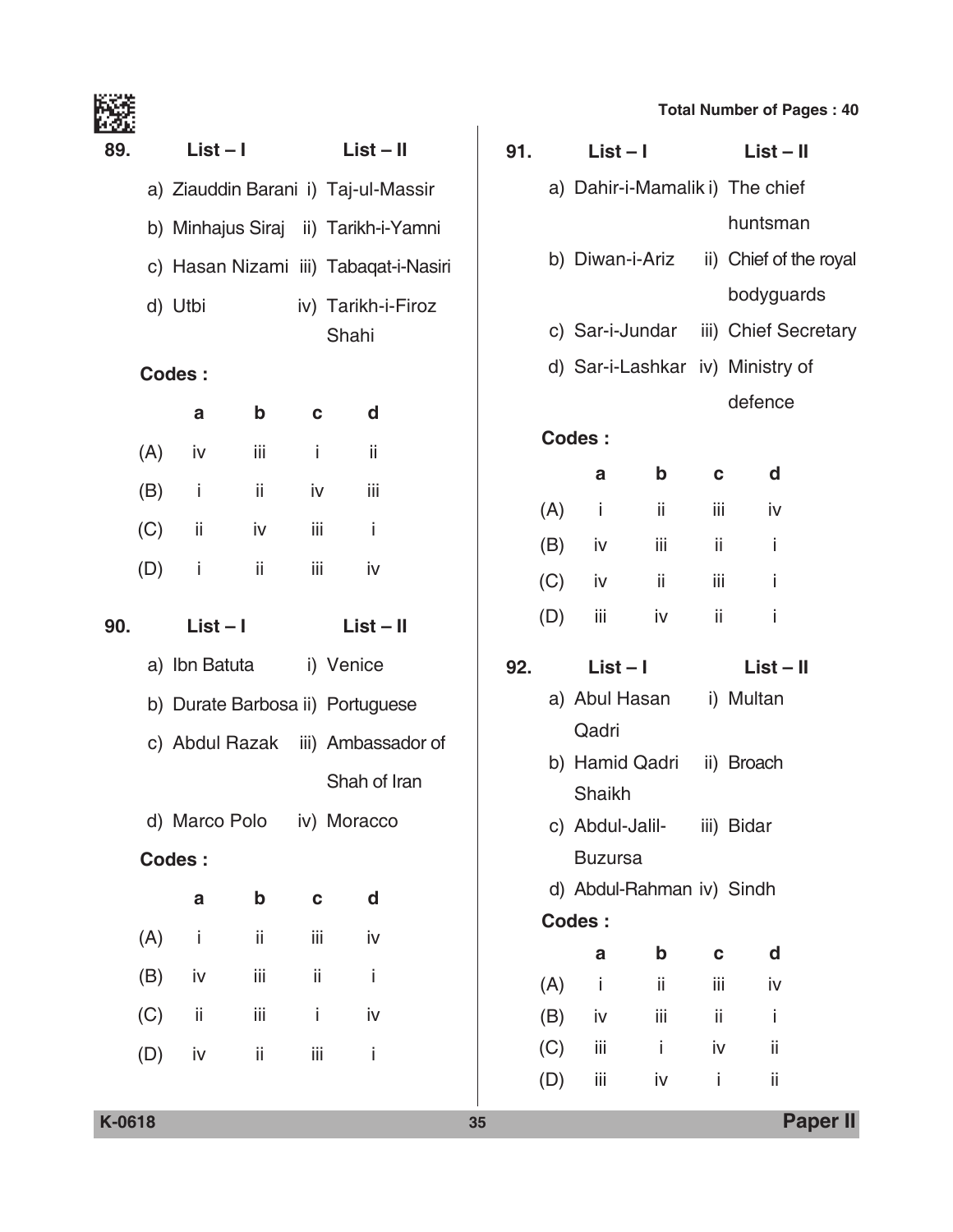|  | <b>Total Number of Pages: 40</b> |  |  |  |  |
|--|----------------------------------|--|--|--|--|
|--|----------------------------------|--|--|--|--|

|     |     |                                       |             |     |                    |            |                 |                              |             | <b>Total Number of</b> |
|-----|-----|---------------------------------------|-------------|-----|--------------------|------------|-----------------|------------------------------|-------------|------------------------|
| 89. |     | $List - I$                            |             |     | $List - II$        | 91.        | $List - I$      |                              |             | <b>List</b>            |
|     |     | a) Ziauddin Barani i) Taj-ul-Massir   |             |     |                    |            |                 | a) Dahir-i-Mamalik i) The cl |             |                        |
|     |     | b) Minhajus Siraj ii) Tarikh-i-Yamni  |             |     |                    |            |                 |                              |             | huntsr                 |
|     |     | c) Hasan Nizami iii) Tabaqat-i-Nasiri |             |     |                    |            |                 | b) Diwan-i-Ariz              |             | ii) Chief o            |
|     |     | d) Utbi                               |             |     | iv) Tarikh-i-Firoz |            |                 |                              |             | bodyg                  |
|     |     |                                       |             |     | Shahi              |            | c) Sar-i-Jundar |                              |             | iii) Chief             |
|     |     | <b>Codes:</b>                         |             |     |                    |            |                 | d) Sar-i-Lashkar iv) Minist  |             |                        |
|     |     | a                                     | $\mathbf b$ | C   | d                  |            |                 |                              |             | defend                 |
|     | (A) | iv                                    | iii         | Ť   | ii                 |            | <b>Codes:</b>   |                              |             |                        |
|     | (B) | Ť                                     | ij.         | iv  | Ϊİ                 |            | a               | $\mathbf b$                  | $\mathbf c$ | d                      |
|     | (C) | ii.                                   | iv          | iii | j.                 | (A)        | Ť               | ii                           | iii         | j٧                     |
|     | (D) | j.                                    | Ϊİ          | iii | iv                 | (B)        | iv              | iii                          | ii          | i                      |
|     |     |                                       |             |     |                    | (C)        | iv              | ii                           | iii         | i                      |
| 90. |     | $List - I$                            |             |     | $List - II$        | (D)        | iij             | iv                           | ii          | i                      |
|     |     | a) Ibn Batuta                         |             |     | i) Venice          | 92.        | $List - I$      |                              |             | List                   |
|     |     | b) Durate Barbosa ii) Portuguese      |             |     |                    |            |                 | a) Abul Hasan                |             | i) Multar              |
|     |     | c) Abdul Razak iii) Ambassador of     |             |     |                    |            | Qadri           |                              |             |                        |
|     |     |                                       |             |     | Shah of Iran       |            | Shaikh          | b) Hamid Qadri               |             | ii) Broach             |
|     |     | d) Marco Polo                         |             |     | iv) Moracco        |            | c) Abdul-Jalil- |                              |             | iii) Bidar             |
|     |     | <b>Codes:</b>                         |             |     |                    |            | <b>Buzursa</b>  |                              |             |                        |
|     |     | a                                     | b           | C   | d                  |            |                 | d) Abdul-Rahman iv) Sindh    |             |                        |
|     | (A) | İ.                                    | ij.         | iij | iv                 |            | Codes:          |                              |             |                        |
|     | (B) | iv                                    | iij         | ij  | j.                 |            | a               | b                            | C           | d                      |
|     |     | ii                                    | iij         | i   | iv                 | (A)        | Ť               | ij                           | iii         | j٧                     |
|     | (C) |                                       |             |     |                    | (B)<br>(C) | iv<br>iii       | iii<br>j.                    | ii<br>iv    | İ<br>ij                |
|     | (D) | iv                                    | ij.         | iij | Ť                  | (D)        | iij             | iv                           | j.          | ij                     |
|     |     |                                       |             |     |                    |            |                 |                              |             |                        |

|     | 91. | $List - I$     |                            |      | $List - II$                            |  |  |  |  |
|-----|-----|----------------|----------------------------|------|----------------------------------------|--|--|--|--|
|     |     |                |                            |      | a) Dahir-i-Mamalik i) The chief        |  |  |  |  |
|     |     |                |                            |      | huntsman                               |  |  |  |  |
|     |     |                |                            |      | b) Diwan-i-Ariz ii) Chief of the royal |  |  |  |  |
|     |     |                |                            |      | bodyguards                             |  |  |  |  |
|     |     |                |                            |      | c) Sar-i-Jundar iii) Chief Secretary   |  |  |  |  |
|     |     |                |                            |      | d) Sar-i-Lashkar iv) Ministry of       |  |  |  |  |
|     |     |                |                            |      | defence                                |  |  |  |  |
|     |     | Codes:         |                            |      |                                        |  |  |  |  |
|     |     | а              | $\mathbf b$                |      | <b>d</b><br>$\mathbf{c}$               |  |  |  |  |
|     |     | $(A)$ i        | $-ii$                      |      | iii iv                                 |  |  |  |  |
|     |     |                |                            |      |                                        |  |  |  |  |
|     |     | $(B)$ iv iii   |                            |      | $\mathbf{ii}$ $\mathbf{i}$             |  |  |  |  |
|     |     | $(C)$ iv       | $\sim$ 11                  | iii  | $\sim$ $\frac{1}{2}$                   |  |  |  |  |
|     |     | $(D)$ iii iv   |                            | ii - | İ                                      |  |  |  |  |
| 92. |     | List – I       |                            |      | $List - II$                            |  |  |  |  |
|     |     |                | a) Abul Hasan i) Multan    |      |                                        |  |  |  |  |
|     |     | Qadri          |                            |      |                                        |  |  |  |  |
|     |     |                | b) Hamid Qadri ii) Broach  |      |                                        |  |  |  |  |
|     |     | Shaikh         |                            |      |                                        |  |  |  |  |
|     |     |                | c) Abdul-Jalil- iii) Bidar |      |                                        |  |  |  |  |
|     |     | <b>Buzursa</b> |                            |      |                                        |  |  |  |  |
|     |     |                | d) Abdul-Rahman iv) Sindh  |      |                                        |  |  |  |  |
|     |     | <b>Codes:</b>  |                            |      |                                        |  |  |  |  |
|     |     | a              | b                          | C    | d                                      |  |  |  |  |
|     | (A) | - i            | ii.                        | iii  | iv                                     |  |  |  |  |
|     | (B) | iv             | iij                        | ij.  | İ                                      |  |  |  |  |
|     | (C) | iij            | i.                         | iv   | ii                                     |  |  |  |  |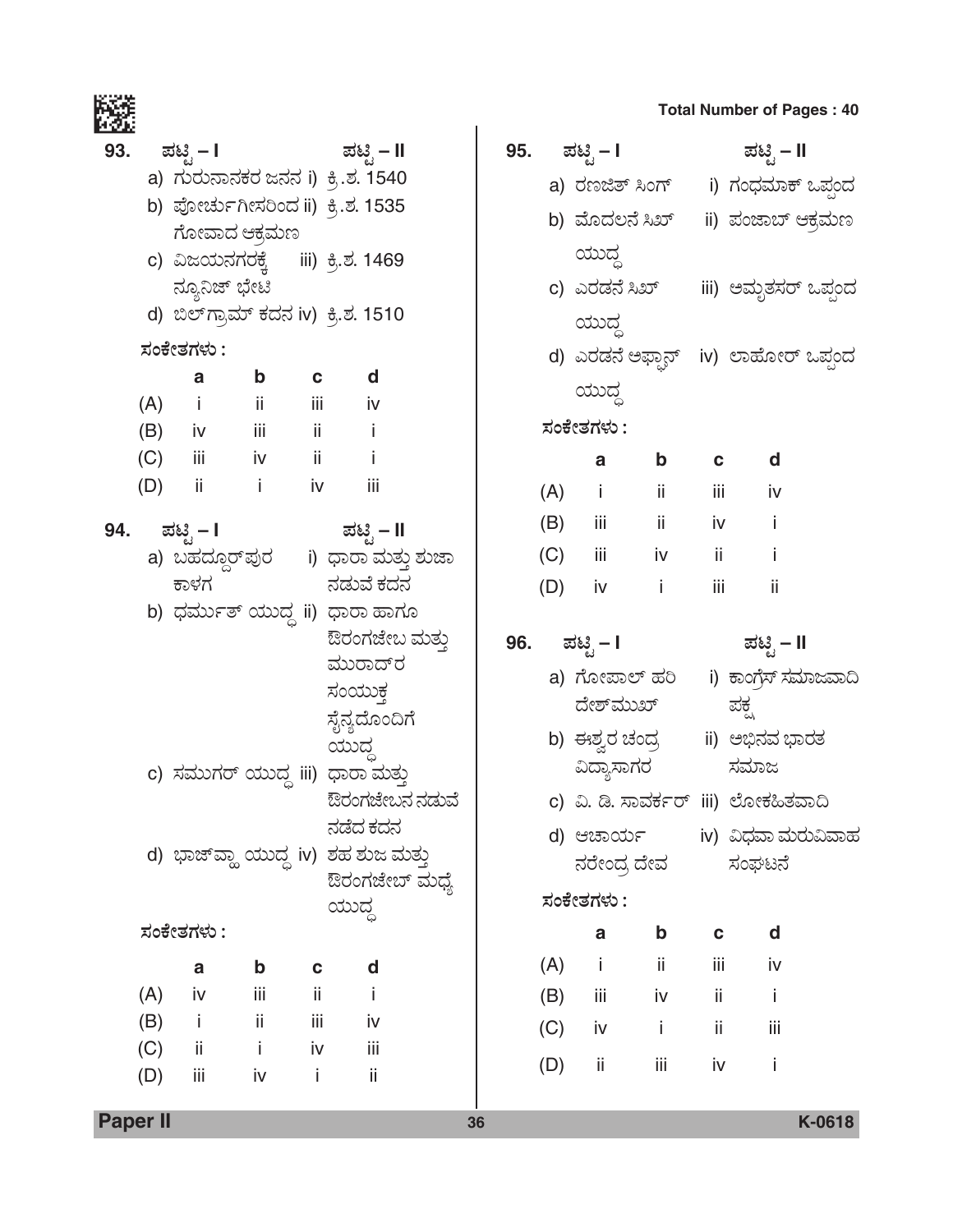|     |     |                                                      |             |                    |                                       |     |     |                 |                                    |             | <b>Total Number of Pages: 40</b>         |  |
|-----|-----|------------------------------------------------------|-------------|--------------------|---------------------------------------|-----|-----|-----------------|------------------------------------|-------------|------------------------------------------|--|
| 93. |     | ಪಟಿೃ – I                                             |             |                    | ಮಟ್ಟಿ – II                            | 95. |     | ಪಟ್ಟಿ – I       |                                    |             | ಪಟ್ಟಿ – II                               |  |
|     |     |                                                      |             |                    | a) ಗುರುನಾನಕರ ಜನನ i) ಕ್ರಿ.ಶ. 1540      |     |     |                 |                                    |             | a) ರಣಜಿತ್ ಸಿಂಗ್ i) ಗಂಧಮಾಕ್ ಒಪ್ಗಂದ        |  |
|     |     | b) ಪೋರ್ಚುಗೀಸರಿಂದ ii) ಕ್ರಿ.ಶ. 1535                    |             |                    |                                       |     |     | b) ಮೊದಲನೆ ಸಿಖ್  |                                    |             | ii) ಪಂಜಾಬ್ ಆಕ್ರಮಣ                        |  |
|     |     | ಗೋವಾದ ಆಕ್ರಮಣ                                         |             |                    |                                       |     |     | ಯುದ್ಧ           |                                    |             |                                          |  |
|     |     | c) ವಿಜಯನಗರಕ್ಕೆ iii) ಕ್ರಿ.ಶ. 1469                     |             |                    |                                       |     |     |                 |                                    |             |                                          |  |
|     |     | ನ್ಯೂನಿಜ್ ಭೇಟಿ<br>d) ಬಿಲ್ ಗ್ರಾಮ್ ಕದನ iv) ಕ್ರಿ.ಶ. 1510 |             |                    |                                       |     |     |                 |                                    |             | c) ಎರಡನೆ ಸಿಖ್        iii) ಅಮೃತಸರ್ ಒಪ್ಪಂದ |  |
|     |     |                                                      |             |                    |                                       |     |     | ಯುದ್ಧ           |                                    |             |                                          |  |
|     |     | ಸಂಕೇತಗಳು :                                           | $\mathbf b$ |                    | d                                     |     |     |                 |                                    |             | d) ಎರಡನೆ ಅಫ್ದಾನ್   iv)  ಲಾಹೋರ್ ಒಪ್ಪಂದ    |  |
|     | (A) | a<br>$\sim$ 1.                                       | jj.         | $\mathbf c$<br>iii | iv                                    |     |     | ಯುದ್ಧ           |                                    |             |                                          |  |
|     | (B) | iv iii                                               |             | $\sim$ 11          | $\mathbf{i}$                          |     |     | ಸಂಕೇತಗಳು :      |                                    |             |                                          |  |
|     | (C) | iii aan                                              |             | iv ii              | $\sim$ 1                              |     |     | a               | $\mathbf b$                        | C           | d                                        |  |
|     | (D) | ii.                                                  | j.          | iv iv              | iii                                   |     |     | $(A)$ i         | $\overline{\phantom{a}}$ ii        |             | iii aan<br>iv                            |  |
| 94. |     | ಪಟಿೃ – I                                             |             |                    | ಪಟ್ಟಿ – II                            |     |     | $(B)$ iii       | jj.                                |             | iv i<br>Ť                                |  |
|     |     |                                                      |             |                    | a) ಬಹದ್ದೂರ್ಘುರ     i) ಧಾರಾ ಮತ್ತು ಶುಜಾ |     |     | $(C)$ iii       | iv                                 | ii.         | İ                                        |  |
|     |     | ಕಾಳಗ                                                 |             |                    | ನಡುವೆ ಕದನ                             |     | (D) | iv              | $\sim$ $\sim$ $\sim$ $\sim$ $\sim$ | iii         | ii                                       |  |
|     |     |                                                      |             |                    | b) ಧರ್ಮುತ್ ಯುದ್ಧ ii) ಧಾರಾ ಹಾಗೂ        |     |     |                 |                                    |             |                                          |  |
|     |     |                                                      |             |                    | ಔರಂಗಜೇಬ ಮತ್ತು                         | 96. |     | ಪಟಿೖ – I        |                                    |             | ಪಟಿೖ – II                                |  |
|     |     |                                                      |             |                    | ಮುರಾದ್ರ                               |     |     | a) ಗೋಪಾಲ್ ಹರಿ   |                                    |             | i) ಕಾಂಗ್ರೆಸ್ ಸಮಾಜವಾದಿ                    |  |
|     |     |                                                      |             |                    | ಸಂಯುಕ್ತ                               |     |     | ದೇಶ್ಮುಖ್        |                                    |             | ಪಕ್ಷ                                     |  |
|     |     |                                                      |             |                    | ಸೈನ್ಯದೊಂದಿಗೆ<br>ಯುದ                   |     |     | b)  ಈಶ್ವರ ಚಂದ್ರ |                                    |             | ii) ಅಭಿನವ ಭಾರತ                           |  |
|     |     |                                                      |             |                    | c) ಸಮುಗರ್ ಯುದ್ಧ iii) ಧಾರಾ ಮತ್ತು       |     |     | ವಿದ್ಯಾಸಾಗರ      |                                    |             | ಸಮಾಜ                                     |  |
|     |     |                                                      |             |                    | ಔರಂಗಜೇಬನ ನಡುವೆ                        |     |     |                 |                                    |             | c) ವಿ. ಡಿ. ಸಾವರ್ಕರ್ iii) ಲೋಕಹಿತವಾದಿ      |  |
|     |     |                                                      |             |                    | ನಡೆದ ಕದನ                              |     |     | d) ಆಚಾರ್ಯ       |                                    |             | iv) ವಿಧವಾ ಮರುವಿವಾಹ                       |  |
|     |     |                                                      |             |                    | d) ಭಾಜ್ ವ್ಹಾ ಯುದ್ಧ iv) ಶಹ ಶುಜ ಮತ್ತು   |     |     | ನರೇಂದ್ರ ದೇವ     |                                    |             | ಸಂಘಟನೆ                                   |  |
|     |     |                                                      |             |                    | ಔರಂಗಜೇಬ್ ಮಧ್ಯೆ                        |     |     | ಸಂಕೇತಗಳು :      |                                    |             |                                          |  |
|     |     | ಸಂಕೇತಗಳು :                                           |             |                    | ಯುದ್ಧ                                 |     |     | a               | $\mathbf b$                        | $\mathbf c$ | d                                        |  |
|     |     |                                                      |             |                    |                                       |     | (A) | j.              | ii                                 | iii         | iv                                       |  |
|     | (A) | $\mathbf{a}$<br>iv                                   | b<br>iii    | C<br>ii.           | d<br>Ť                                |     |     | iii             |                                    | ii.         | İ                                        |  |
|     | (B) | j.                                                   | ij.         | iij                | iv                                    |     | (B) |                 | iv                                 |             |                                          |  |
|     | (C) | ii.                                                  | j.          | iv                 | iii                                   |     | (C) | iv              | İ                                  | ii          | iij                                      |  |
|     | (D) | iij                                                  | iv          | Ť                  | ii                                    |     | (D) | ii              | iii                                | iv          | İ                                        |  |
|     |     |                                                      |             |                    |                                       |     |     |                 |                                    |             |                                          |  |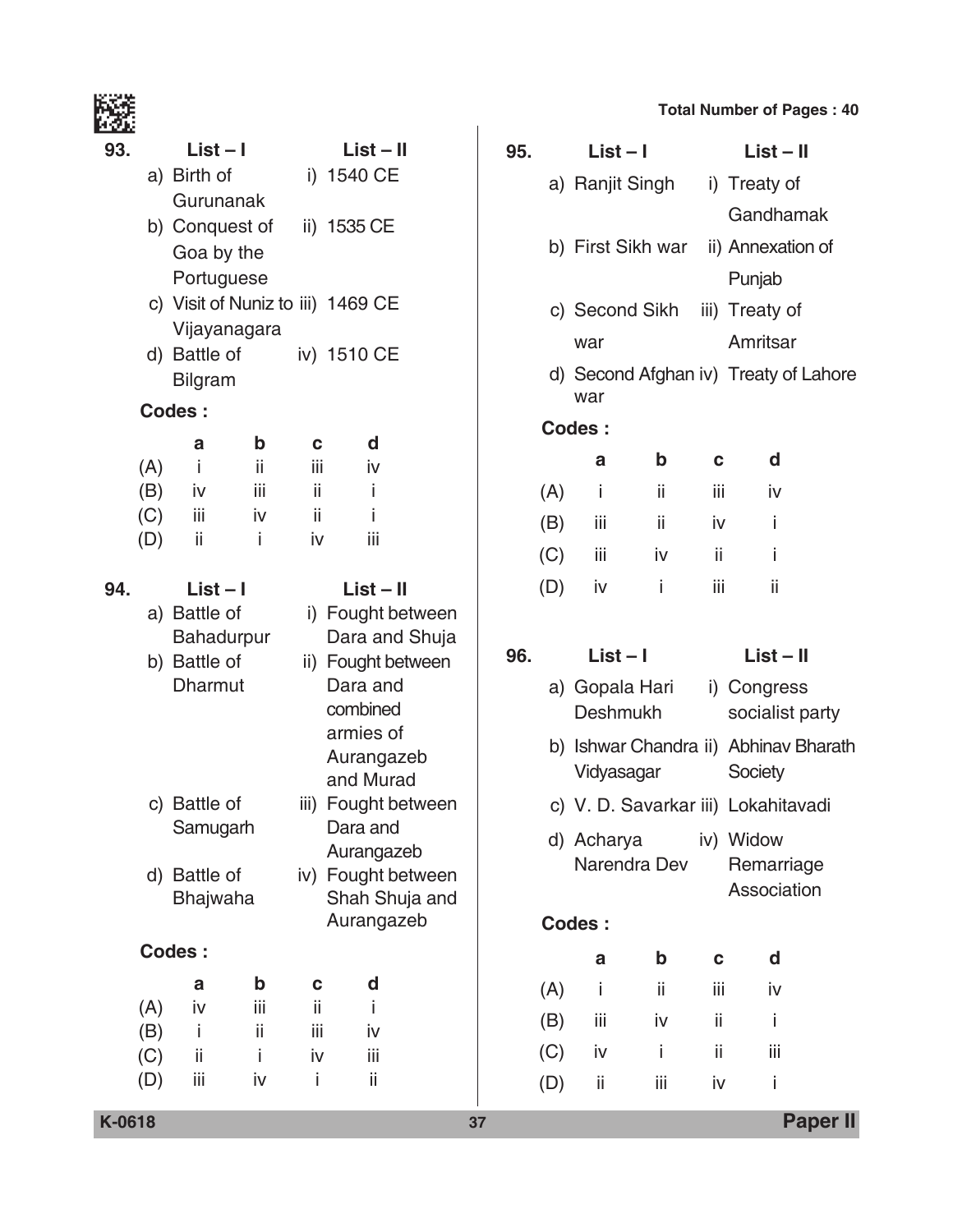|     |            |                               |            |             |                                   |  |                   |                   |                                   |                   |             | <b>Total Number of Pages: 40</b>      |  |
|-----|------------|-------------------------------|------------|-------------|-----------------------------------|--|-------------------|-------------------|-----------------------------------|-------------------|-------------|---------------------------------------|--|
| 93. |            | $List - I$                    |            | $List - II$ |                                   |  | 95.               |                   | $List - I$                        |                   |             | $List - II$                           |  |
|     |            | a) Birth of                   | i) 1540 CE |             |                                   |  | a) Ranjit Singh   |                   |                                   | i) Treaty of      |             |                                       |  |
|     |            | Gurunanak                     |            |             |                                   |  |                   |                   |                                   |                   |             | Gandhamak                             |  |
|     |            | ii) 1535 CE<br>b) Conquest of |            |             |                                   |  |                   | b) First Sikh war |                                   | ii) Annexation of |             |                                       |  |
|     |            | Goa by the<br>Portuguese      |            |             |                                   |  |                   |                   |                                   |                   |             | Punjab                                |  |
|     |            |                               |            |             | c) Visit of Nuniz to iii) 1469 CE |  |                   |                   |                                   |                   |             |                                       |  |
|     |            | Vijayanagara                  |            |             |                                   |  |                   |                   |                                   | c) Second Sikh    |             | iii) Treaty of                        |  |
|     |            | d) Battle of                  |            |             | iv) 1510 CE                       |  |                   |                   | war                               |                   |             | Amritsar                              |  |
|     |            | <b>Bilgram</b>                |            |             |                                   |  |                   |                   |                                   |                   |             | d) Second Afghan iv) Treaty of Lahore |  |
|     |            | <b>Codes:</b>                 |            |             |                                   |  |                   |                   | war                               |                   |             |                                       |  |
|     |            | a                             | b          | C           | d                                 |  |                   |                   | Codes:                            |                   |             |                                       |  |
|     | (A)        | j.                            | Ϊİ         | iίi         | iv                                |  |                   |                   | a                                 | $\mathbf b$       | C           | d                                     |  |
|     | (B)        | iv                            | iii        | ii.         | Ť                                 |  |                   | (A)               | İ                                 | ii                | iii         | iv                                    |  |
|     | (C)        | iii<br>ii.                    | iv<br>İ    | ii<br>iv    | Ť<br>iii                          |  |                   | (B)               | iii                               | ii.               | iv          | Ť                                     |  |
|     | (D)        |                               |            |             |                                   |  |                   | (C)               | iii                               | iv                | ii          | Ť                                     |  |
| 94. |            | $List - I$                    |            |             | $List - II$                       |  |                   | (D)               | iv                                | İ.                | iii         | ii.                                   |  |
|     |            | a) Battle of                  |            |             | i) Fought between                 |  |                   |                   |                                   |                   |             |                                       |  |
|     |            | <b>Bahadurpur</b>             |            |             | Dara and Shuja                    |  | 96.<br>$List - I$ |                   |                                   |                   | $List - II$ |                                       |  |
|     |            | b) Battle of                  |            |             | ii) Fought between                |  |                   |                   |                                   |                   |             |                                       |  |
|     |            | <b>Dharmut</b>                |            |             | Dara and<br>combined              |  |                   |                   | a) Gopala Hari<br><b>Deshmukh</b> |                   |             | i) Congress<br>socialist party        |  |
|     |            |                               |            |             | armies of                         |  |                   |                   |                                   |                   |             |                                       |  |
|     |            |                               |            |             | Aurangazeb                        |  |                   |                   |                                   |                   |             | b) Ishwar Chandra ii) Abhinav Bharath |  |
|     |            |                               |            |             | and Murad                         |  |                   |                   | Vidyasagar                        |                   |             | <b>Society</b>                        |  |
|     |            | c) Battle of                  |            |             | iii) Fought between               |  |                   |                   |                                   |                   |             | c) V. D. Savarkar iii) Lokahitavadi   |  |
|     |            | Samugarh                      |            |             | Dara and<br>Aurangazeb            |  |                   |                   | d) Acharya                        |                   |             | iv) Widow                             |  |
|     |            | d) Battle of                  |            |             | iv) Fought between                |  |                   |                   |                                   | Narendra Dev      |             | Remarriage                            |  |
|     |            | Bhajwaha                      |            |             | Shah Shuja and                    |  |                   |                   |                                   |                   |             | Association                           |  |
|     |            |                               |            |             | Aurangazeb                        |  |                   |                   | Codes:                            |                   |             |                                       |  |
|     |            | <b>Codes:</b>                 |            |             |                                   |  |                   |                   | a                                 | $\mathbf b$       | C           | d                                     |  |
|     |            | $\mathbf{a}$                  | b          | C           | d                                 |  |                   | (A)               | Ť                                 | ij.               | iii         | iv                                    |  |
|     | (A)        | iv                            | iii        | ii.         | Ť                                 |  |                   | (B)               | iij                               | iv                | ii          | İ                                     |  |
|     | (B)        | j.<br>ii.                     | ii<br>i    | iii<br>iv   | iv<br>iij                         |  |                   | (C)               | iv                                | Ť                 | ii          | iii                                   |  |
|     | (C)<br>(D) | Ϊİ                            | iv         | İ           | ii                                |  |                   |                   | ii                                | Ϊİ                | iv          | İ                                     |  |
|     |            |                               |            |             |                                   |  |                   | (D)               |                                   |                   |             |                                       |  |

**K-0618 37 Paper II**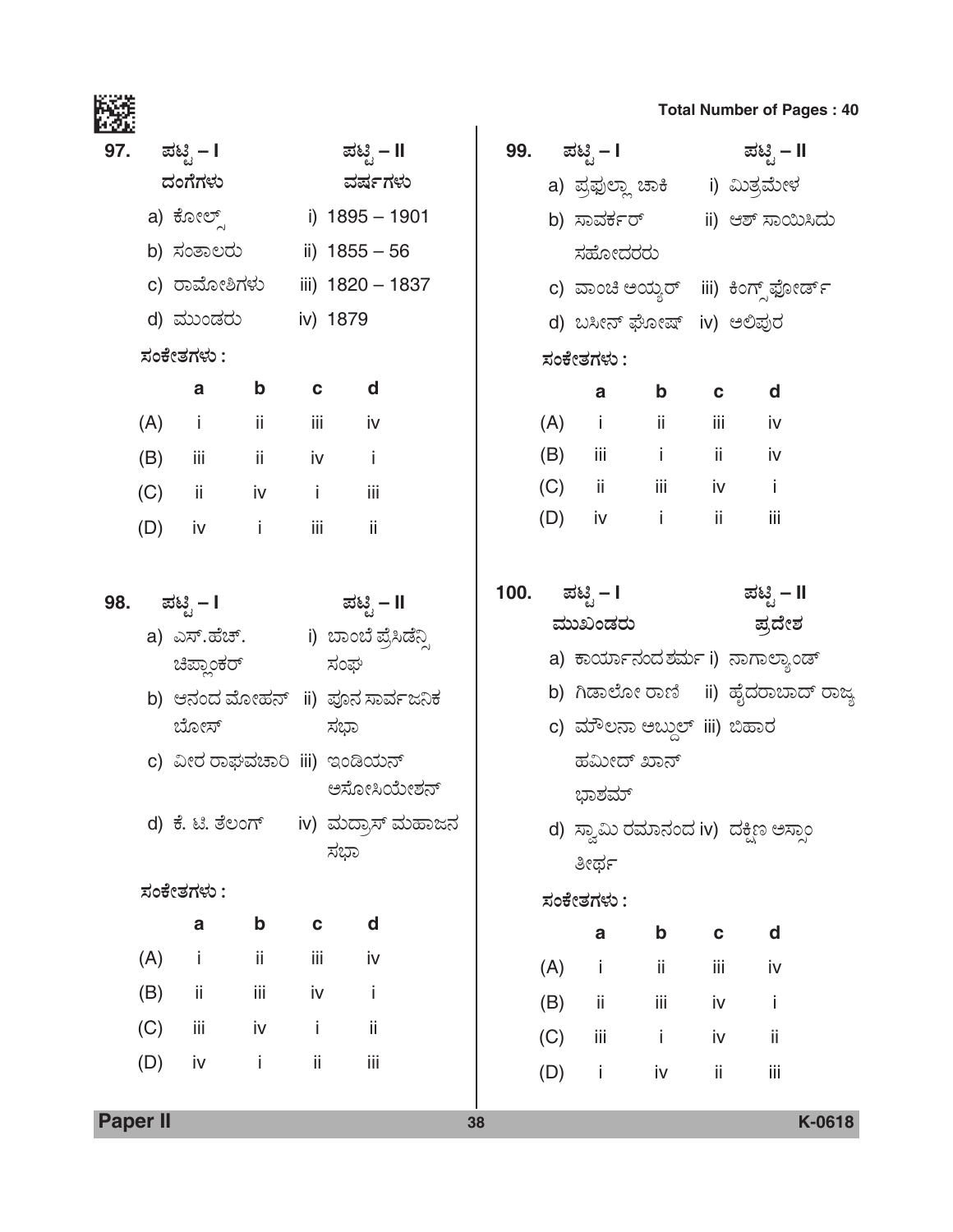# <mark>97. ಪಟ್ಟಿ – I</mark> ಪಟ್ಟಿ – II *¨ÜíWæWÜÙÜá ÊÜÐÜìWÜÙÜá* a) PæãàÇ…Õ i) 1895 – 1901 b) ಸಂತಾಲರು ii) 1855 – 56 c) ರಾಮೋಶಿಗಳು iii) 1820 – 1837 ಸಹೋದರರು

d) ಮುಂಡರು iv) 1879

### *ÓÜíPæàñÜWÜÙÜá :*

|     | a   | b  | C   | d   |
|-----|-----|----|-----|-----|
| (A) | Ť   | ii | iij | iv  |
| (B) | iij | ii | iv  | i   |
| (C) | ii  | iv | i   | iij |
| (D) | iv  | Ĺ  | iij | ii  |

| 98. | ಪಟಿೃ – I     | ಪಟಿೖ – II             |
|-----|--------------|-----------------------|
|     | a) ಎಸ್.ಹೆಚ್. | i) ಬಾಂಬೆ ಪ್ರೆಸಿಡೆನ್ಸಿ |
|     | ಚಿಪ್ಲಾಂಕರ್   | ಸಂಘ                   |

- b) ಆನಂದ ಮೋಹನ್ ii) ಪೂನ ಸಾರ್ವಜನಿಕ ಬೋಸ್ ಸಭಾ
- c) ವೀರ ರಾಘವಚಾರಿ iii) ಇಂಡಿಯನ್ ಅಸೋಸಿಯೇಶನ್
- d) ಕೆ. ಟಿ. ತೆಲಂಗ್ iv) ಮದ್ರಾಸ್ ಮಹಾಜನ ಸಭಾ

# *ÓÜíPæàñÜWÜÙÜá :*

|     | a   | b   | C.  | d   |
|-----|-----|-----|-----|-----|
| (A) | j.  | ii  | iij | iv  |
| (B) | ii  | iij | iv  | i   |
| (C) | iii | iv  | i   | ii  |
| (D) | iv  | Ĩ   | ii  | iij |

# **Total Number of Pages : 40**

|     | 99. ಪಟ್ಟಿ – I               |         |     | ಪಟ್ಟಿ – II                               |
|-----|-----------------------------|---------|-----|------------------------------------------|
|     |                             |         |     | a) ಪ್ರಫುಲ್ಲಾ ಚಾಕಿ       i) ಮಿತ್ರಮೇಳ      |
|     | b) ಸಾವರ್ಕರ್                 |         |     | ii) ಆಶ್ ಸಾಯಿಸಿದು                         |
|     | ಸಹೋದರರು                     |         |     |                                          |
|     |                             |         |     | c) ವಾಂಚಿ ಅಯ್ಯರ್   iii)  ಕಿಂಗ್ಸ್ ಫೋರ್ಡ್   |
|     | d) ಬಸೀನ್ ಘೋಷ್ iv) ಅಲಿಪುರ    |         |     |                                          |
|     | ಸಂಕೇತಗಳು :                  |         |     |                                          |
|     |                             | a b c d |     |                                          |
|     | (A) i ii iii iv             |         |     |                                          |
|     | (B) iii i ii iv             |         |     |                                          |
|     | (C) ii iii iv i             |         |     |                                          |
|     | (D) iv i ii iii             |         |     |                                          |
|     |                             |         |     |                                          |
|     | 100. ಪಟ್ಟಿ – I              |         |     | ಪಟ್ಟಿ – II                               |
|     | ಮುಖಂಡರು                     |         |     | ಪ್ರದೇಶ                                   |
|     |                             |         |     | a) ಕಾರ್ಯಾನಂದ <i>ಶ</i> ರ್ಮ i) ನಾಗಾಲ್ಯಾಂಡ್ |
|     |                             |         |     | b) ಗಿಡಾಲೋ ರಾಣಿ    ii) ಹೈದರಾಬಾದ್ ರಾಜ್ಯ    |
|     | c) ಮೌಲನಾ ಅಬ್ದುಲ್ iii) ಬಿಹಾರ |         |     |                                          |
|     | ಹಮೀದ್ ಖಾನ್                  |         |     |                                          |
|     | ಭಾಶಮ್                       |         |     |                                          |
|     |                             |         |     | d) ಸ್ವಾಮಿ ರಮಾನಂದ iv)  ದಕ್ಷಿಣ ಅಸ್ಸಾಂ      |
|     | ತೀರ್ಥ                       |         |     |                                          |
|     | ಸಂಕೇತಗಳು :                  |         |     |                                          |
|     | a                           | b       | C   | d                                        |
| (A) | - i                         | ii.     | iii | iv                                       |
|     | $(B)$ ii                    | iij     | iv  | İ                                        |
| (C) | iii                         | i       | iv  | ij                                       |

(D) i iv ii iii

**Paper II 38 K-0618**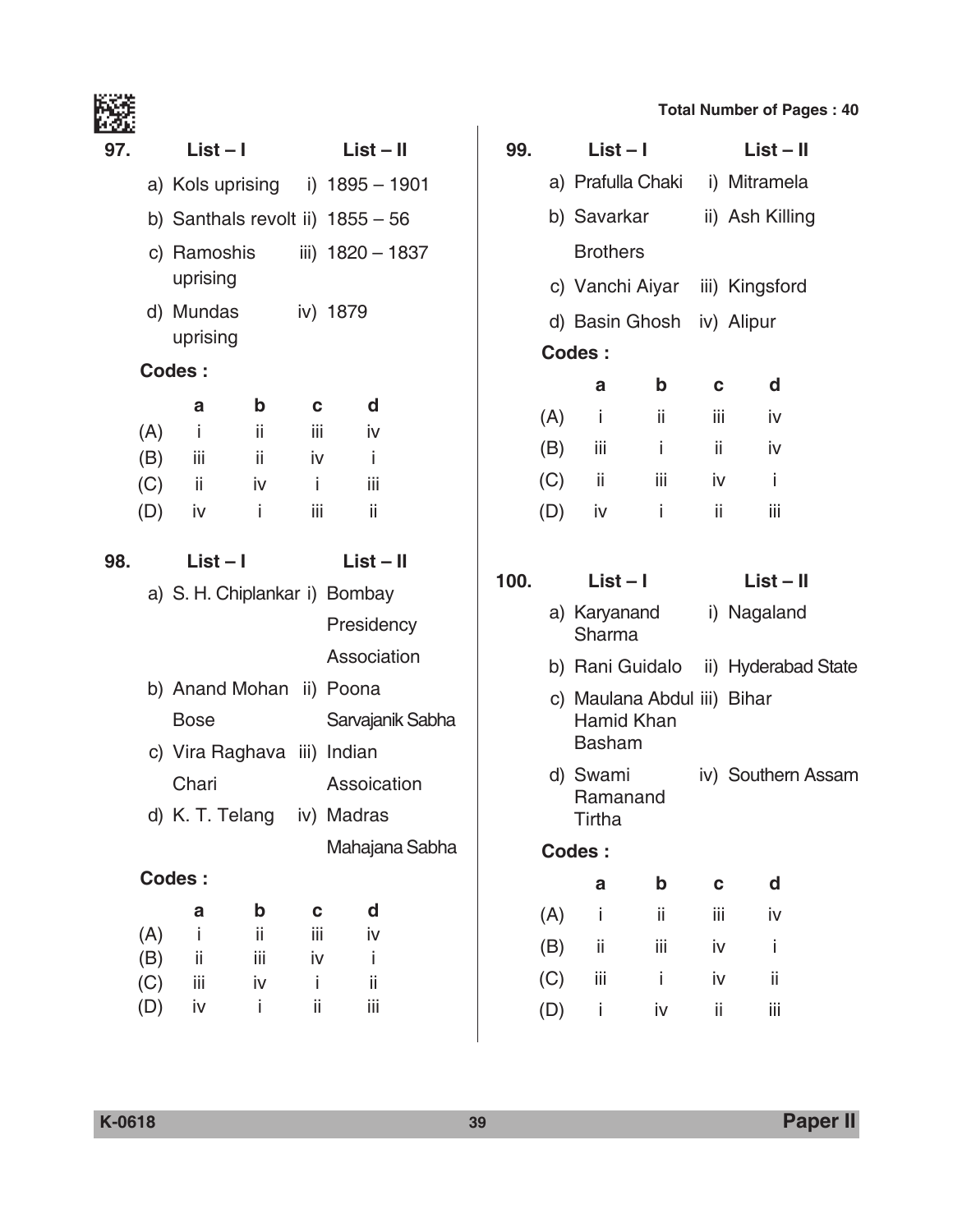| 97. | List – I              |                             |     | List – II                          |  |
|-----|-----------------------|-----------------------------|-----|------------------------------------|--|
|     |                       |                             |     | a) Kols uprising i) 1895 - 1901    |  |
|     |                       |                             |     | b) Santhals revolt ii) $1855 - 56$ |  |
|     | uprising              | c) Ramoshis                 |     | iii) 1820 - 1837                   |  |
|     | d) Mundas<br>uprising |                             |     | iv) 1879                           |  |
|     | Codes:                |                             |     |                                    |  |
|     | a                     | b                           | C.  | d                                  |  |
| (A) | $-i$                  | - ii                        | iii | iv                                 |  |
|     | $(B)$ iii             | - ii                        | iv  | j.                                 |  |
|     | $(C)$ ii              | iv                          | -i- | iii                                |  |
|     | $(D)$ iv              | ÷i                          | iіi | ii                                 |  |
| 98. | List – I              |                             |     | List – II                          |  |
|     |                       |                             |     | a) S. H. Chiplankar i) Bombay      |  |
|     |                       |                             |     | Presidency                         |  |
|     |                       |                             |     | Association                        |  |
|     |                       | b) Anand Mohan ii) Poona    |     |                                    |  |
|     | Bose                  |                             |     | Sarvajanik Sabha                   |  |
|     |                       | c) Vira Raghava iii) Indian |     |                                    |  |
|     |                       |                             |     | Chari Assoication                  |  |
|     |                       | d) K. T. Telang             |     | iv) Madras                         |  |
|     |                       |                             |     | Mahajana Sabha                     |  |
|     | <b>Codes:</b>         |                             |     |                                    |  |
|     | a                     | b                           | C   | d                                  |  |
| (A) | İ                     | ii                          | iij | iv                                 |  |
| (B) | ii                    | iίi                         | iv  | i                                  |  |
| (C) | iii                   | iv                          | i   | ii                                 |  |
| (D) | iv                    | i                           | ii  | iii                                |  |

| 99.  |               | $List - I$                     |                                           | List – II   |                                     |  |  |
|------|---------------|--------------------------------|-------------------------------------------|-------------|-------------------------------------|--|--|
|      |               |                                |                                           |             | a) Prafulla Chaki i) Mitramela      |  |  |
|      |               | b) Savarkar ii) Ash Killing    |                                           |             |                                     |  |  |
|      |               |                                |                                           |             |                                     |  |  |
|      |               | <b>Brothers</b>                |                                           |             |                                     |  |  |
|      |               | c) Vanchi Aiyar iii) Kingsford |                                           |             |                                     |  |  |
|      |               |                                | d) Basin Ghosh iv) Alipur                 |             |                                     |  |  |
|      |               | Codes:                         |                                           |             |                                     |  |  |
|      |               | а                              | b                                         | C.          | d                                   |  |  |
|      | (A)           | - i                            | - ii                                      |             | iii -<br>iv                         |  |  |
|      |               | $(B)$ iii                      | -i -                                      |             | $\mathbf{ii}$<br>iv i               |  |  |
|      |               | $(C)$ ii                       | $-iii$                                    | iv -        | $\blacksquare$                      |  |  |
|      |               | $(D)$ iv                       | - i                                       | $-ii$       | iii                                 |  |  |
|      |               |                                |                                           |             |                                     |  |  |
| 100. |               | $List - I$                     |                                           |             | $List - II$                         |  |  |
|      |               | Sharma                         | a) Karyanand                              | i) Nagaland |                                     |  |  |
|      |               |                                |                                           |             | b) Rani Guidalo ii) Hyderabad State |  |  |
|      |               | <b>Basham</b>                  | c) Maulana Abdul iii) Bihar<br>Hamid Khan |             |                                     |  |  |
|      |               | d) Swami<br>Ramanand<br>Tirtha |                                           |             | iv) Southern Assam                  |  |  |
|      | <b>Codes:</b> |                                |                                           |             |                                     |  |  |
|      |               | a                              | b                                         | C           | d                                   |  |  |
|      | (A)           | İ                              | ii                                        | iij         | iv                                  |  |  |
|      | (B)           | ii                             | iίi                                       | iv          | İ                                   |  |  |
|      | (C)           | iii                            | İ.                                        | iv          | ij                                  |  |  |
|      | (D)           | i                              | iv                                        | ii          | iii                                 |  |  |